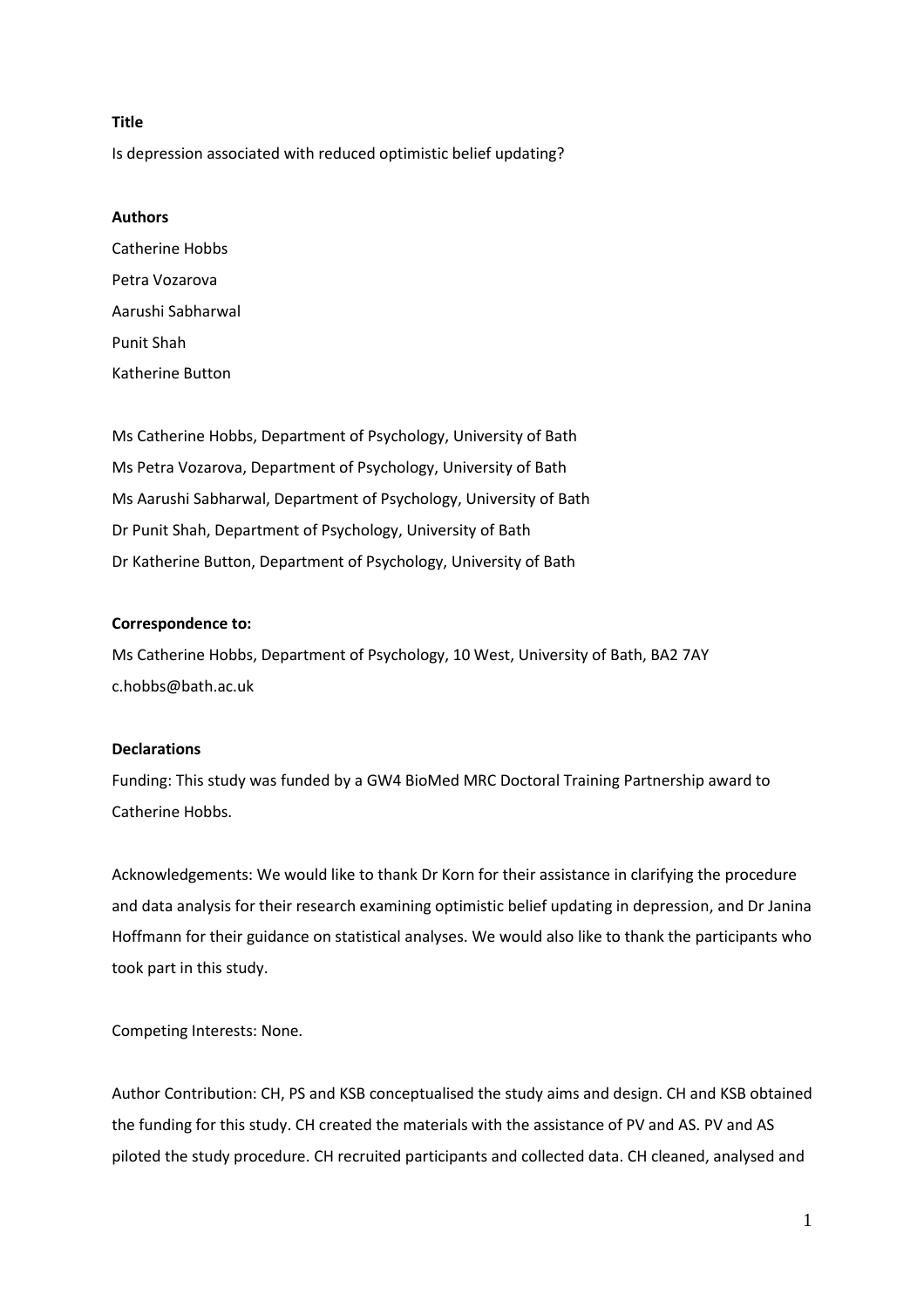# **Title**

Is depression associated with reduced optimistic belief updating?

# **Authors**

Catherine Hobbs Petra Vozarova Aarushi Sabharwal Punit Shah Katherine Button

Ms Catherine Hobbs, Department of Psychology, University of Bath Ms Petra Vozarova, Department of Psychology, University of Bath Ms Aarushi Sabharwal, Department of Psychology, University of Bath Dr Punit Shah, Department of Psychology, University of Bath Dr Katherine Button, Department of Psychology, University of Bath

# **Correspondence to:**

Ms Catherine Hobbs, Department of Psychology, 10 West, University of Bath, BA2 7AY c.hobbs@bath.ac.uk

# **Declarations**

Funding: This study was funded by a GW4 BioMed MRC Doctoral Training Partnership award to Catherine Hobbs.

Acknowledgements: We would like to thank Dr Korn for their assistance in clarifying the procedure and data analysis for their research examining optimistic belief updating in depression, and Dr Janina Hoffmann for their guidance on statistical analyses. We would also like to thank the participants who took part in this study.

Competing Interests: None.

Author Contribution: CH, PS and KSB conceptualised the study aims and design. CH and KSB obtained the funding for this study. CH created the materials with the assistance of PV and AS. PV and AS piloted the study procedure. CH recruited participants and collected data. CH cleaned, analysed and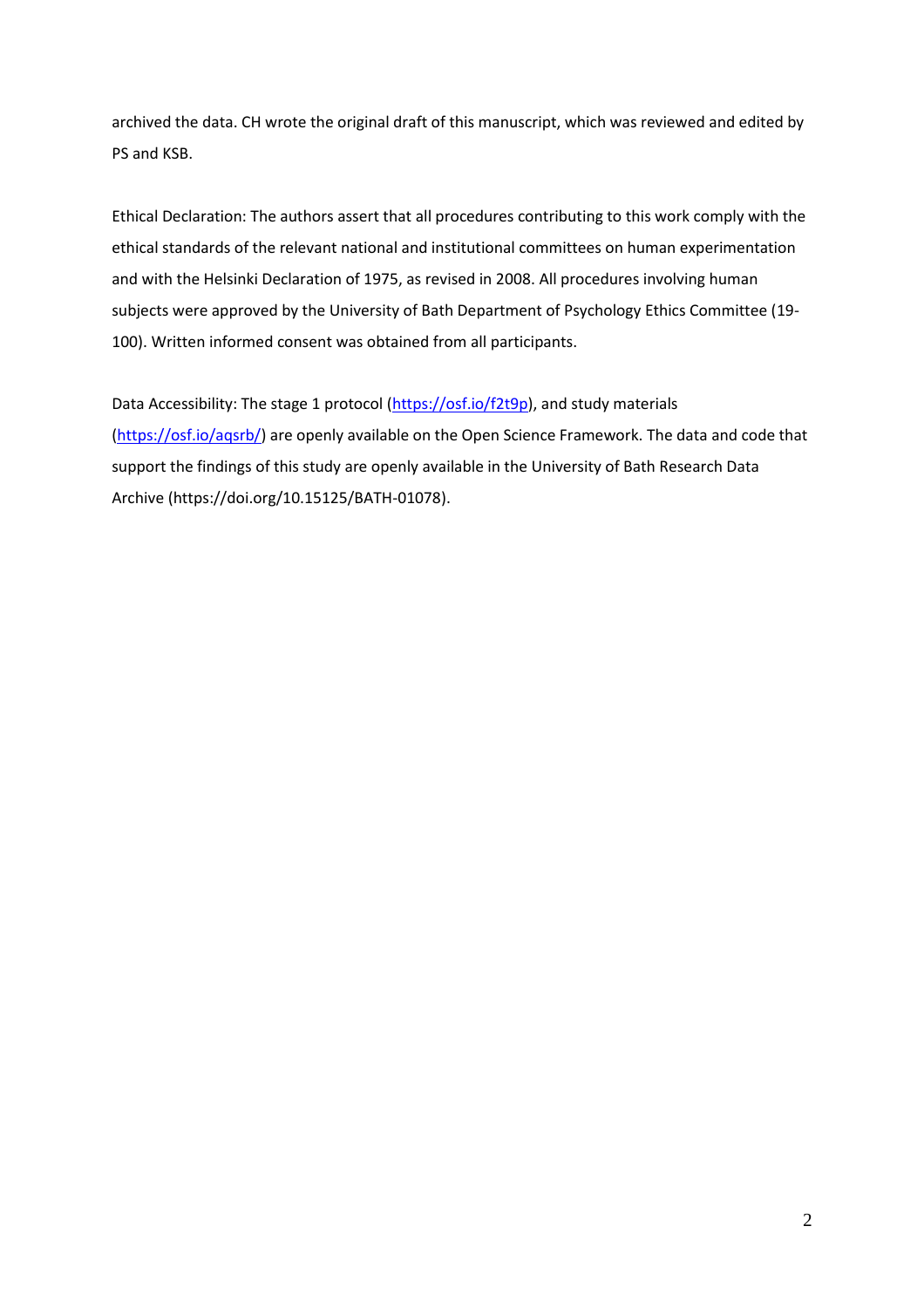archived the data. CH wrote the original draft of this manuscript, which was reviewed and edited by PS and KSB.

Ethical Declaration: The authors assert that all procedures contributing to this work comply with the ethical standards of the relevant national and institutional committees on human experimentation and with the Helsinki Declaration of 1975, as revised in 2008. All procedures involving human subjects were approved by the University of Bath Department of Psychology Ethics Committee (19- 100). Written informed consent was obtained from all participants.

Data Accessibility: The stage 1 protocol [\(https://osf.io/f2t9p\)](https://osf.io/f2t9p), and study materials (https://osf.io/agsrb/) are openly available on the Open Science Framework. The data and code that support the findings of this study are openly available in the University of Bath Research Data Archive (https://doi.org/10.15125/BATH-01078).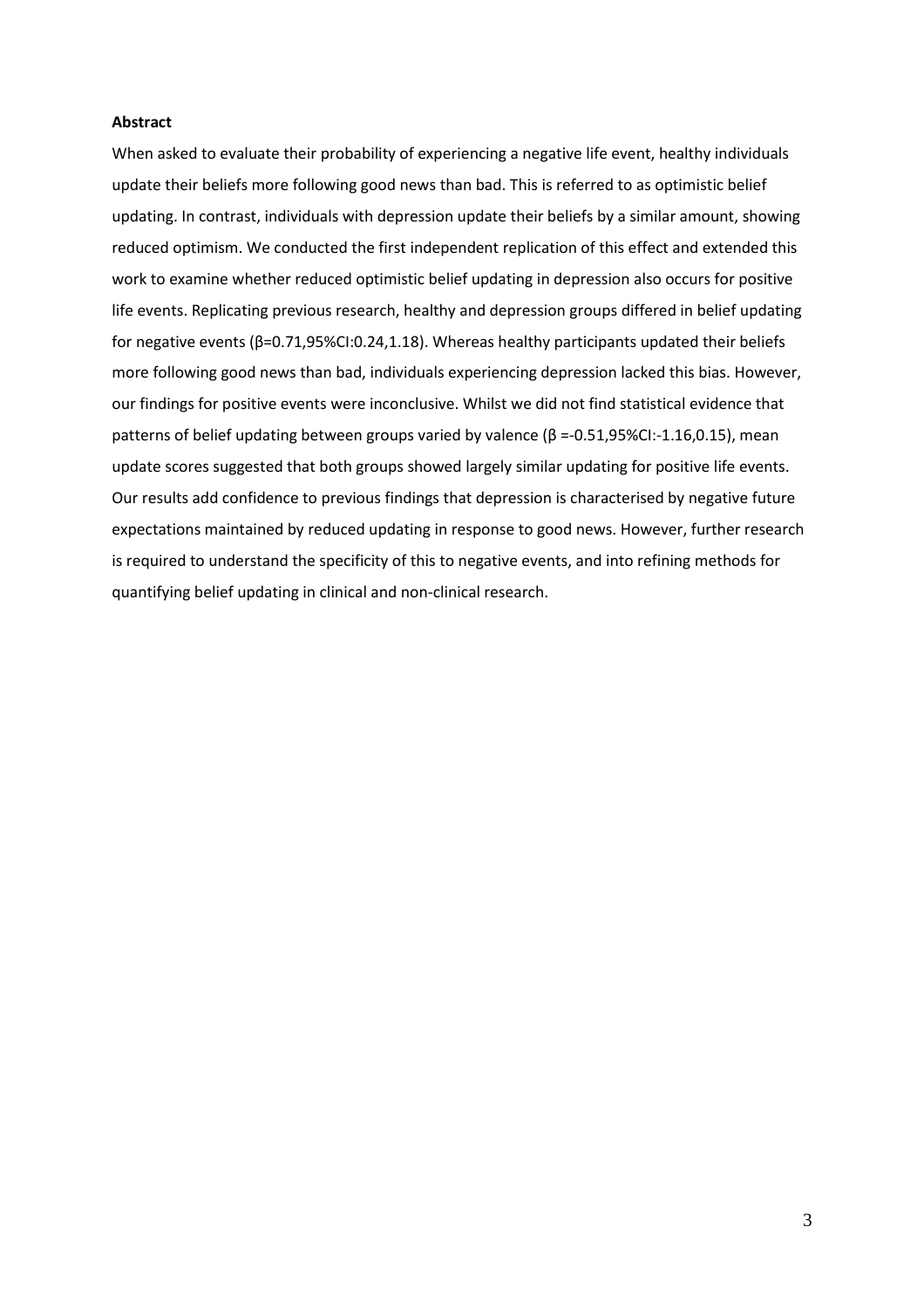### **Abstract**

When asked to evaluate their probability of experiencing a negative life event, healthy individuals update their beliefs more following good news than bad. This is referred to as optimistic belief updating. In contrast, individuals with depression update their beliefs by a similar amount, showing reduced optimism. We conducted the first independent replication of this effect and extended this work to examine whether reduced optimistic belief updating in depression also occurs for positive life events. Replicating previous research, healthy and depression groups differed in belief updating for negative events (β=0.71,95%CI:0.24,1.18). Whereas healthy participants updated their beliefs more following good news than bad, individuals experiencing depression lacked this bias. However, our findings for positive events were inconclusive. Whilst we did not find statistical evidence that patterns of belief updating between groups varied by valence  $(β = 0.51,95% CI:-1.16,0.15)$ , mean update scores suggested that both groups showed largely similar updating for positive life events. Our results add confidence to previous findings that depression is characterised by negative future expectations maintained by reduced updating in response to good news. However, further research is required to understand the specificity of this to negative events, and into refining methods for quantifying belief updating in clinical and non-clinical research.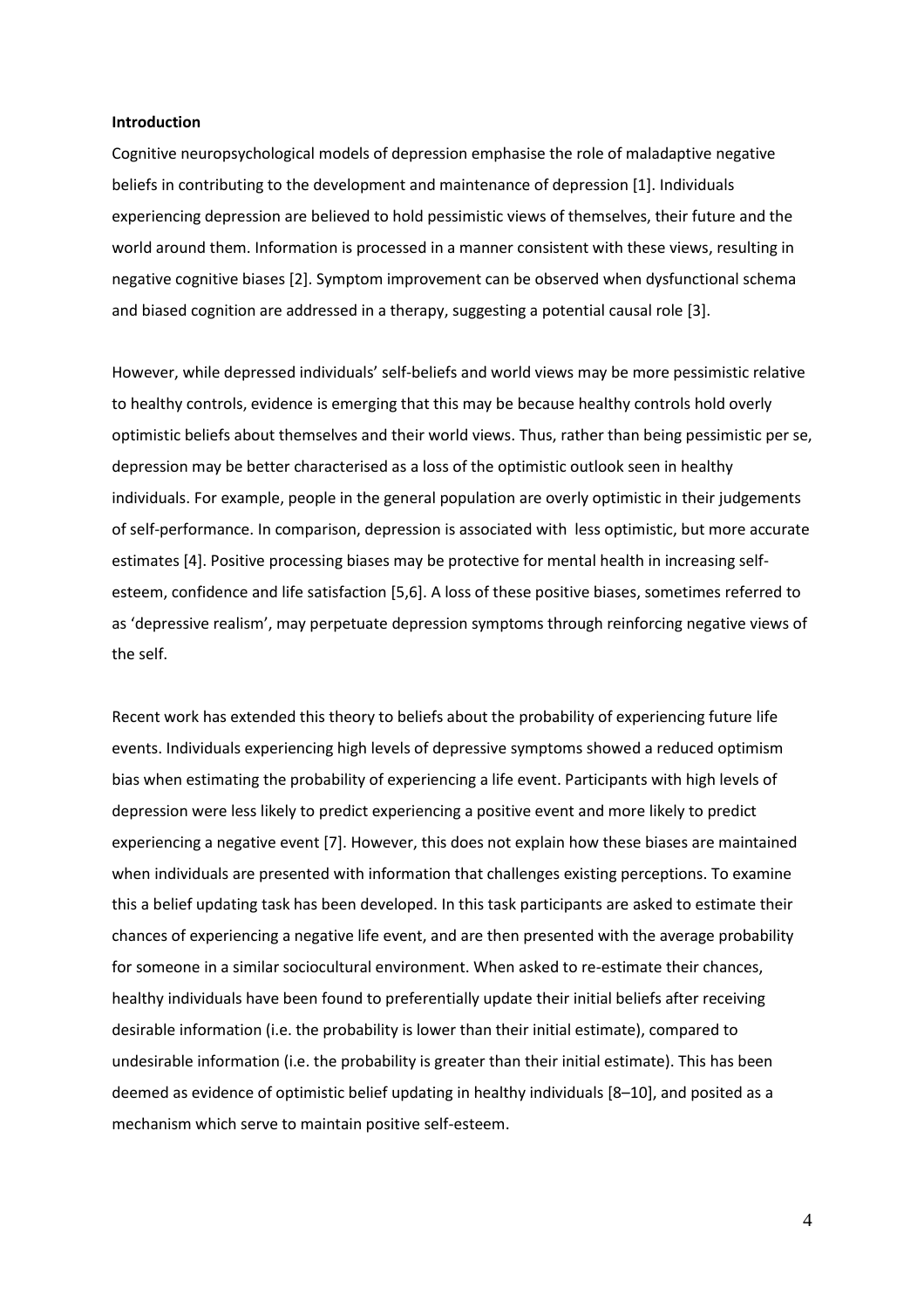### **Introduction**

Cognitive neuropsychological models of depression emphasise the role of maladaptive negative beliefs in contributing to the development and maintenance of depression [1]. Individuals experiencing depression are believed to hold pessimistic views of themselves, their future and the world around them. Information is processed in a manner consistent with these views, resulting in negative cognitive biases [2]. Symptom improvement can be observed when dysfunctional schema and biased cognition are addressed in a therapy, suggesting a potential causal role [3].

However, while depressed individuals' self-beliefs and world views may be more pessimistic relative to healthy controls, evidence is emerging that this may be because healthy controls hold overly optimistic beliefs about themselves and their world views. Thus, rather than being pessimistic per se, depression may be better characterised as a loss of the optimistic outlook seen in healthy individuals. For example, people in the general population are overly optimistic in their judgements of self-performance. In comparison, depression is associated with less optimistic, but more accurate estimates [4]. Positive processing biases may be protective for mental health in increasing selfesteem, confidence and life satisfaction [5,6]. A loss of these positive biases, sometimes referred to as 'depressive realism', may perpetuate depression symptoms through reinforcing negative views of the self.

Recent work has extended this theory to beliefs about the probability of experiencing future life events. Individuals experiencing high levels of depressive symptoms showed a reduced optimism bias when estimating the probability of experiencing a life event. Participants with high levels of depression were less likely to predict experiencing a positive event and more likely to predict experiencing a negative event [7]. However, this does not explain how these biases are maintained when individuals are presented with information that challenges existing perceptions. To examine this a belief updating task has been developed. In this task participants are asked to estimate their chances of experiencing a negative life event, and are then presented with the average probability for someone in a similar sociocultural environment. When asked to re-estimate their chances, healthy individuals have been found to preferentially update their initial beliefs after receiving desirable information (i.e. the probability is lower than their initial estimate), compared to undesirable information (i.e. the probability is greater than their initial estimate). This has been deemed as evidence of optimistic belief updating in healthy individuals [8–10], and posited as a mechanism which serve to maintain positive self-esteem.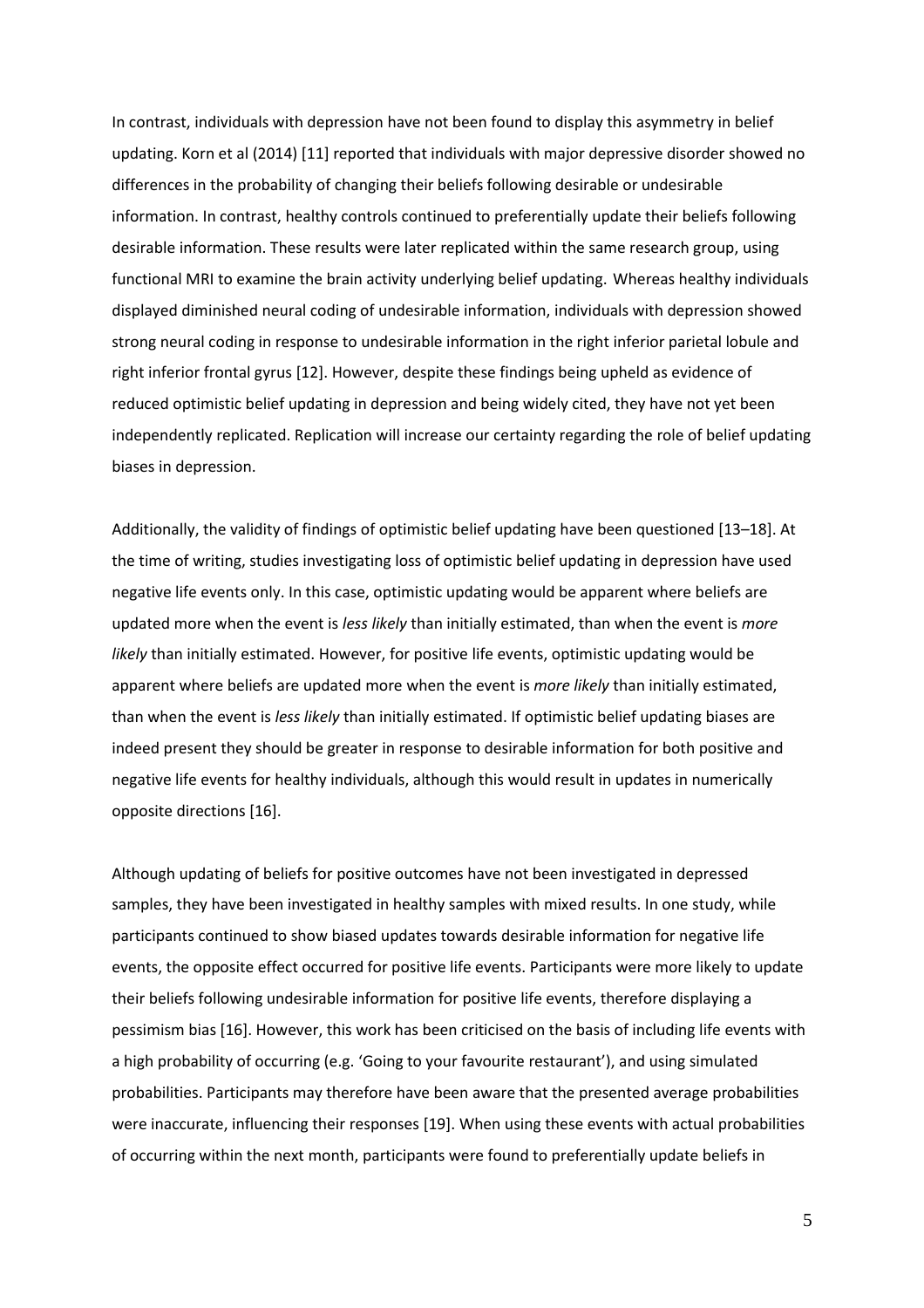In contrast, individuals with depression have not been found to display this asymmetry in belief updating. Korn et al (2014) [11] reported that individuals with major depressive disorder showed no differences in the probability of changing their beliefs following desirable or undesirable information. In contrast, healthy controls continued to preferentially update their beliefs following desirable information. These results were later replicated within the same research group, using functional MRI to examine the brain activity underlying belief updating. Whereas healthy individuals displayed diminished neural coding of undesirable information, individuals with depression showed strong neural coding in response to undesirable information in the right inferior parietal lobule and right inferior frontal gyrus [12]. However, despite these findings being upheld as evidence of reduced optimistic belief updating in depression and being widely cited, they have not yet been independently replicated. Replication will increase our certainty regarding the role of belief updating biases in depression.

Additionally, the validity of findings of optimistic belief updating have been questioned [13–18]. At the time of writing, studies investigating loss of optimistic belief updating in depression have used negative life events only. In this case, optimistic updating would be apparent where beliefs are updated more when the event is *less likely* than initially estimated, than when the event is *more likely* than initially estimated. However, for positive life events, optimistic updating would be apparent where beliefs are updated more when the event is *more likely* than initially estimated, than when the event is *less likely* than initially estimated. If optimistic belief updating biases are indeed present they should be greater in response to desirable information for both positive and negative life events for healthy individuals, although this would result in updates in numerically opposite directions [16].

Although updating of beliefs for positive outcomes have not been investigated in depressed samples, they have been investigated in healthy samples with mixed results. In one study, while participants continued to show biased updates towards desirable information for negative life events, the opposite effect occurred for positive life events. Participants were more likely to update their beliefs following undesirable information for positive life events, therefore displaying a pessimism bias [16]. However, this work has been criticised on the basis of including life events with a high probability of occurring (e.g. 'Going to your favourite restaurant'), and using simulated probabilities. Participants may therefore have been aware that the presented average probabilities were inaccurate, influencing their responses [19]. When using these events with actual probabilities of occurring within the next month, participants were found to preferentially update beliefs in

5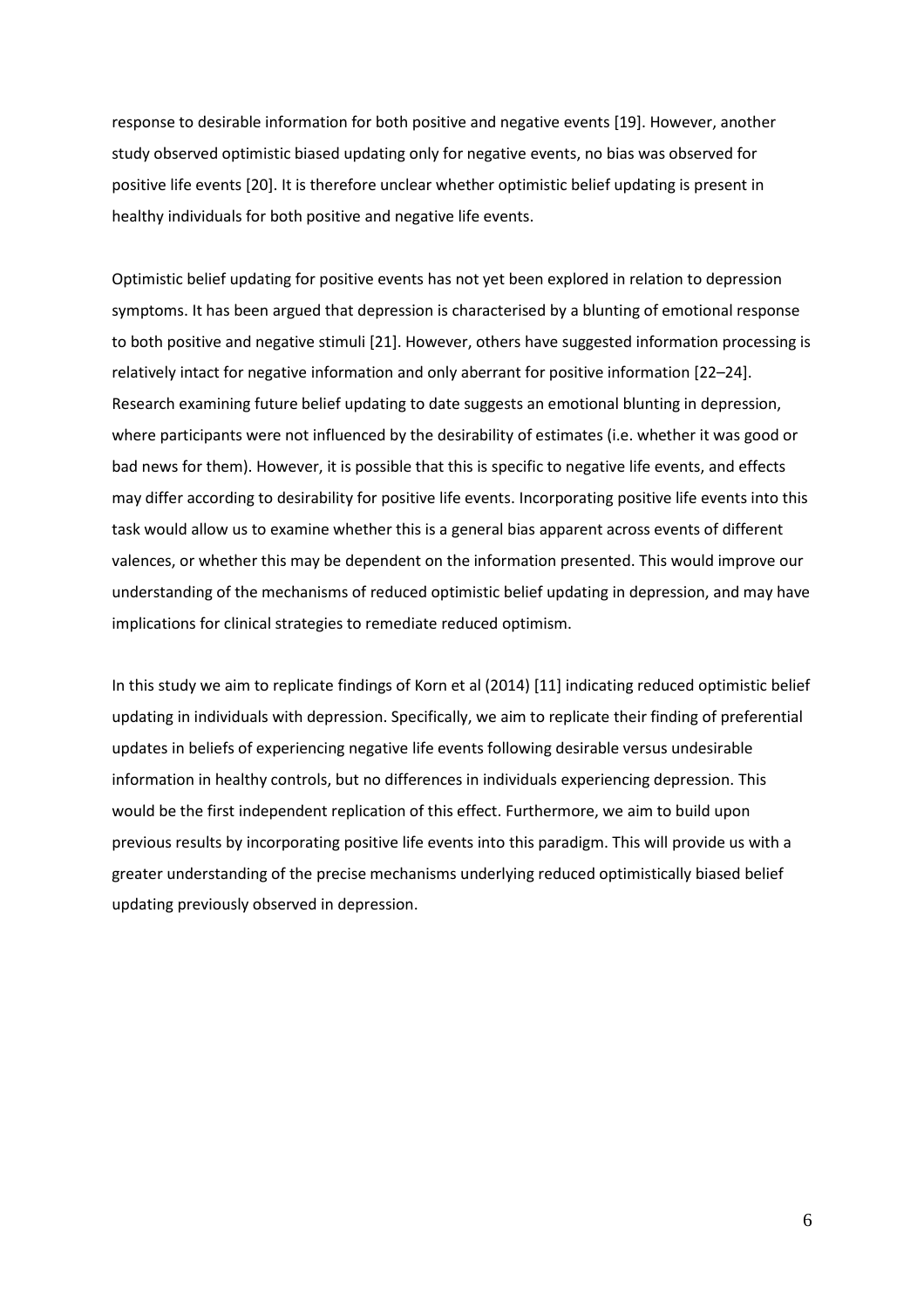response to desirable information for both positive and negative events [19]. However, another study observed optimistic biased updating only for negative events, no bias was observed for positive life events [20]. It is therefore unclear whether optimistic belief updating is present in healthy individuals for both positive and negative life events.

Optimistic belief updating for positive events has not yet been explored in relation to depression symptoms. It has been argued that depression is characterised by a blunting of emotional response to both positive and negative stimuli [21]. However, others have suggested information processing is relatively intact for negative information and only aberrant for positive information [22–24]. Research examining future belief updating to date suggests an emotional blunting in depression, where participants were not influenced by the desirability of estimates (i.e. whether it was good or bad news for them). However, it is possible that this is specific to negative life events, and effects may differ according to desirability for positive life events. Incorporating positive life events into this task would allow us to examine whether this is a general bias apparent across events of different valences, or whether this may be dependent on the information presented. This would improve our understanding of the mechanisms of reduced optimistic belief updating in depression, and may have implications for clinical strategies to remediate reduced optimism.

In this study we aim to replicate findings of Korn et al (2014) [11] indicating reduced optimistic belief updating in individuals with depression. Specifically, we aim to replicate their finding of preferential updates in beliefs of experiencing negative life events following desirable versus undesirable information in healthy controls, but no differences in individuals experiencing depression. This would be the first independent replication of this effect. Furthermore, we aim to build upon previous results by incorporating positive life events into this paradigm. This will provide us with a greater understanding of the precise mechanisms underlying reduced optimistically biased belief updating previously observed in depression.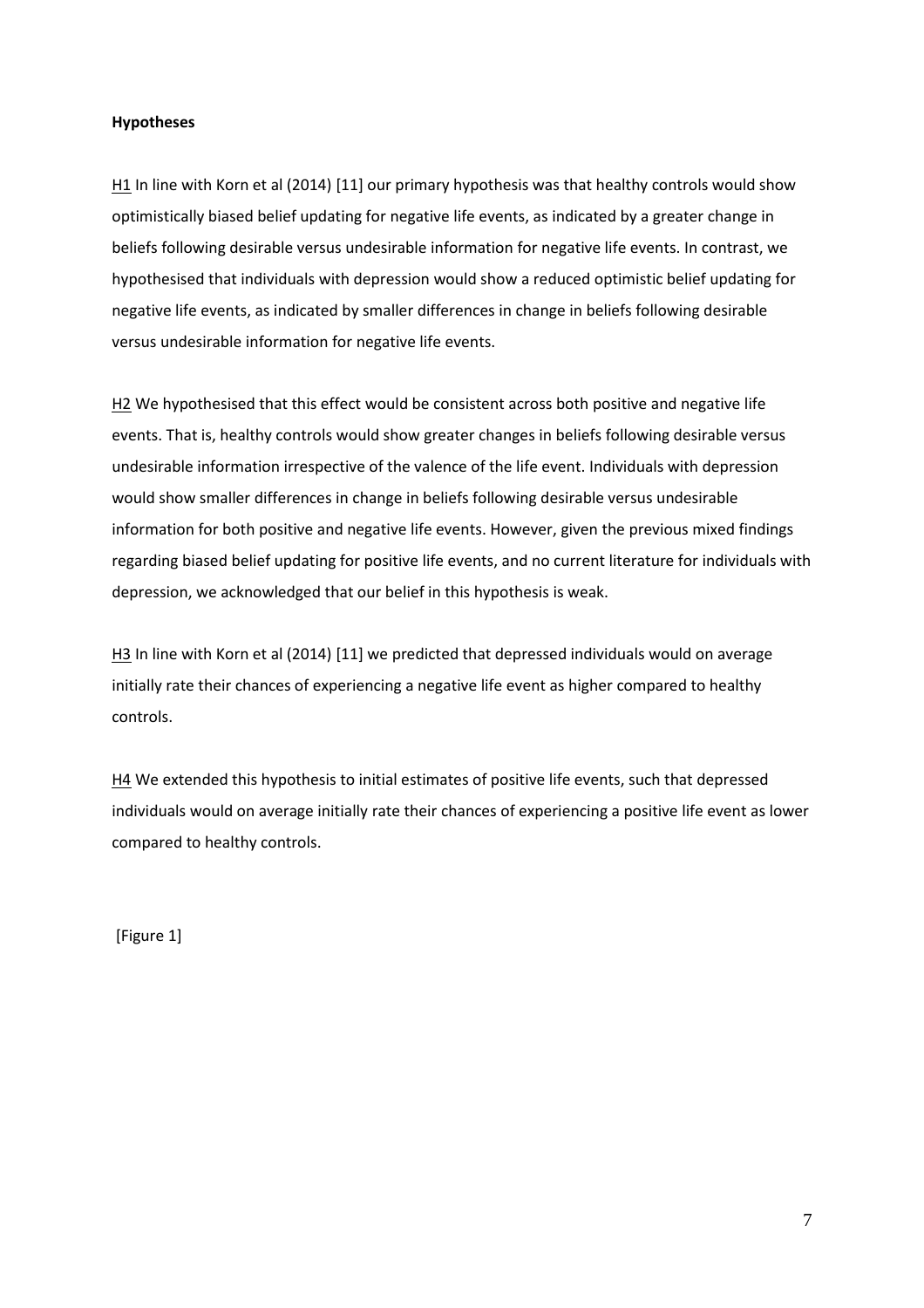# **Hypotheses**

H<sub>1</sub> In line with Korn et al (2014) [11] our primary hypothesis was that healthy controls would show optimistically biased belief updating for negative life events, as indicated by a greater change in beliefs following desirable versus undesirable information for negative life events. In contrast, we hypothesised that individuals with depression would show a reduced optimistic belief updating for negative life events, as indicated by smaller differences in change in beliefs following desirable versus undesirable information for negative life events.

H2 We hypothesised that this effect would be consistent across both positive and negative life events. That is, healthy controls would show greater changes in beliefs following desirable versus undesirable information irrespective of the valence of the life event. Individuals with depression would show smaller differences in change in beliefs following desirable versus undesirable information for both positive and negative life events. However, given the previous mixed findings regarding biased belief updating for positive life events, and no current literature for individuals with depression, we acknowledged that our belief in this hypothesis is weak.

H3 In line with Korn et al (2014) [11] we predicted that depressed individuals would on average initially rate their chances of experiencing a negative life event as higher compared to healthy controls.

H4 We extended this hypothesis to initial estimates of positive life events, such that depressed individuals would on average initially rate their chances of experiencing a positive life event as lower compared to healthy controls.

[Figure 1]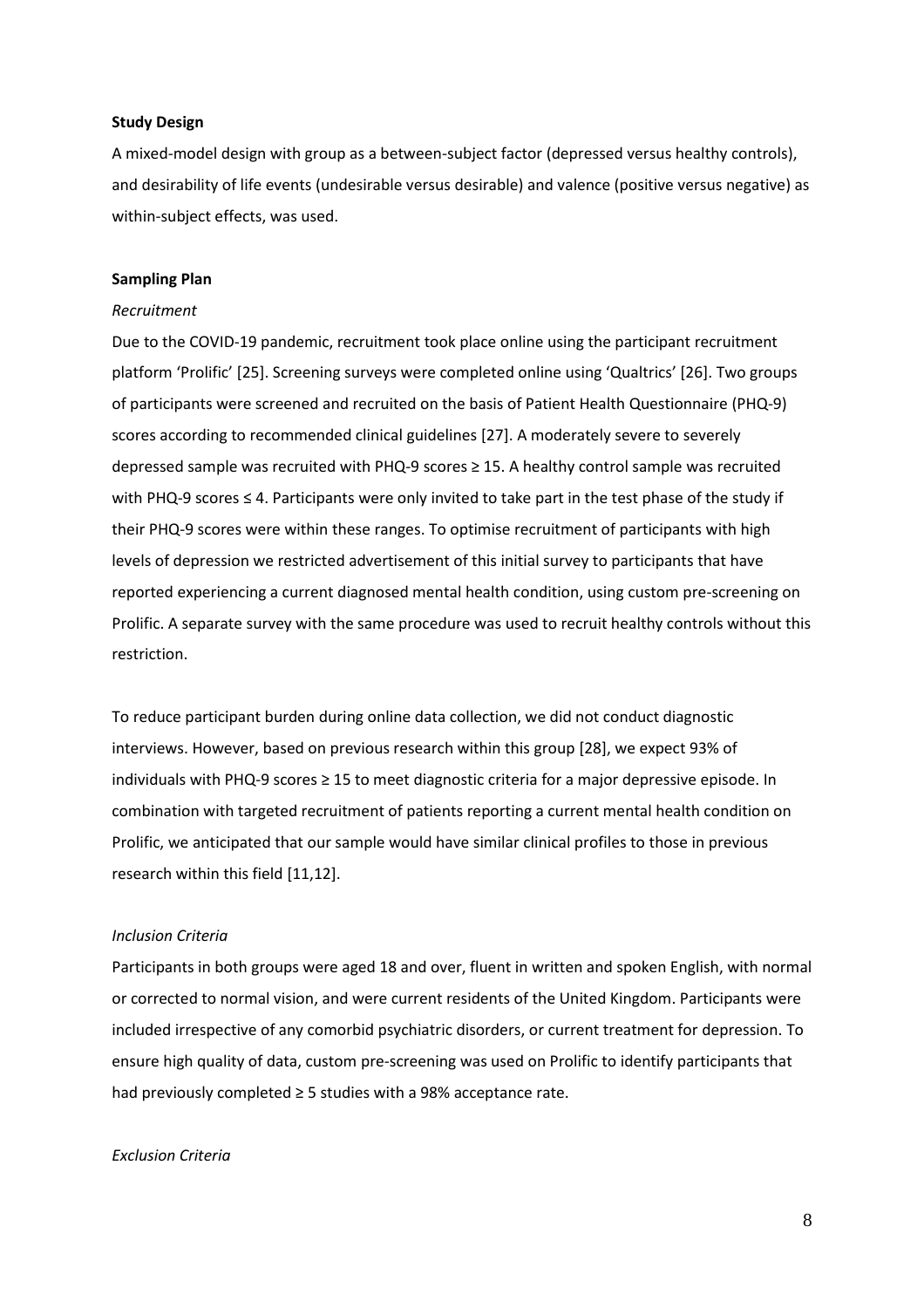### **Study Design**

A mixed-model design with group as a between-subject factor (depressed versus healthy controls), and desirability of life events (undesirable versus desirable) and valence (positive versus negative) as within-subject effects, was used.

## **Sampling Plan**

### *Recruitment*

Due to the COVID-19 pandemic, recruitment took place online using the participant recruitment platform 'Prolific' [25]. Screening surveys were completed online using 'Qualtrics' [26]. Two groups of participants were screened and recruited on the basis of Patient Health Questionnaire (PHQ-9) scores according to recommended clinical guidelines [27]. A moderately severe to severely depressed sample was recruited with PHQ-9 scores ≥ 15. A healthy control sample was recruited with PHQ-9 scores ≤ 4. Participants were only invited to take part in the test phase of the study if their PHQ-9 scores were within these ranges. To optimise recruitment of participants with high levels of depression we restricted advertisement of this initial survey to participants that have reported experiencing a current diagnosed mental health condition, using custom pre-screening on Prolific. A separate survey with the same procedure was used to recruit healthy controls without this restriction.

To reduce participant burden during online data collection, we did not conduct diagnostic interviews. However, based on previous research within this group [28], we expect 93% of individuals with PHQ-9 scores ≥ 15 to meet diagnostic criteria for a major depressive episode. In combination with targeted recruitment of patients reporting a current mental health condition on Prolific, we anticipated that our sample would have similar clinical profiles to those in previous research within this field [11,12].

### *Inclusion Criteria*

Participants in both groups were aged 18 and over, fluent in written and spoken English, with normal or corrected to normal vision, and were current residents of the United Kingdom. Participants were included irrespective of any comorbid psychiatric disorders, or current treatment for depression. To ensure high quality of data, custom pre-screening was used on Prolific to identify participants that had previously completed ≥ 5 studies with a 98% acceptance rate.

### *Exclusion Criteria*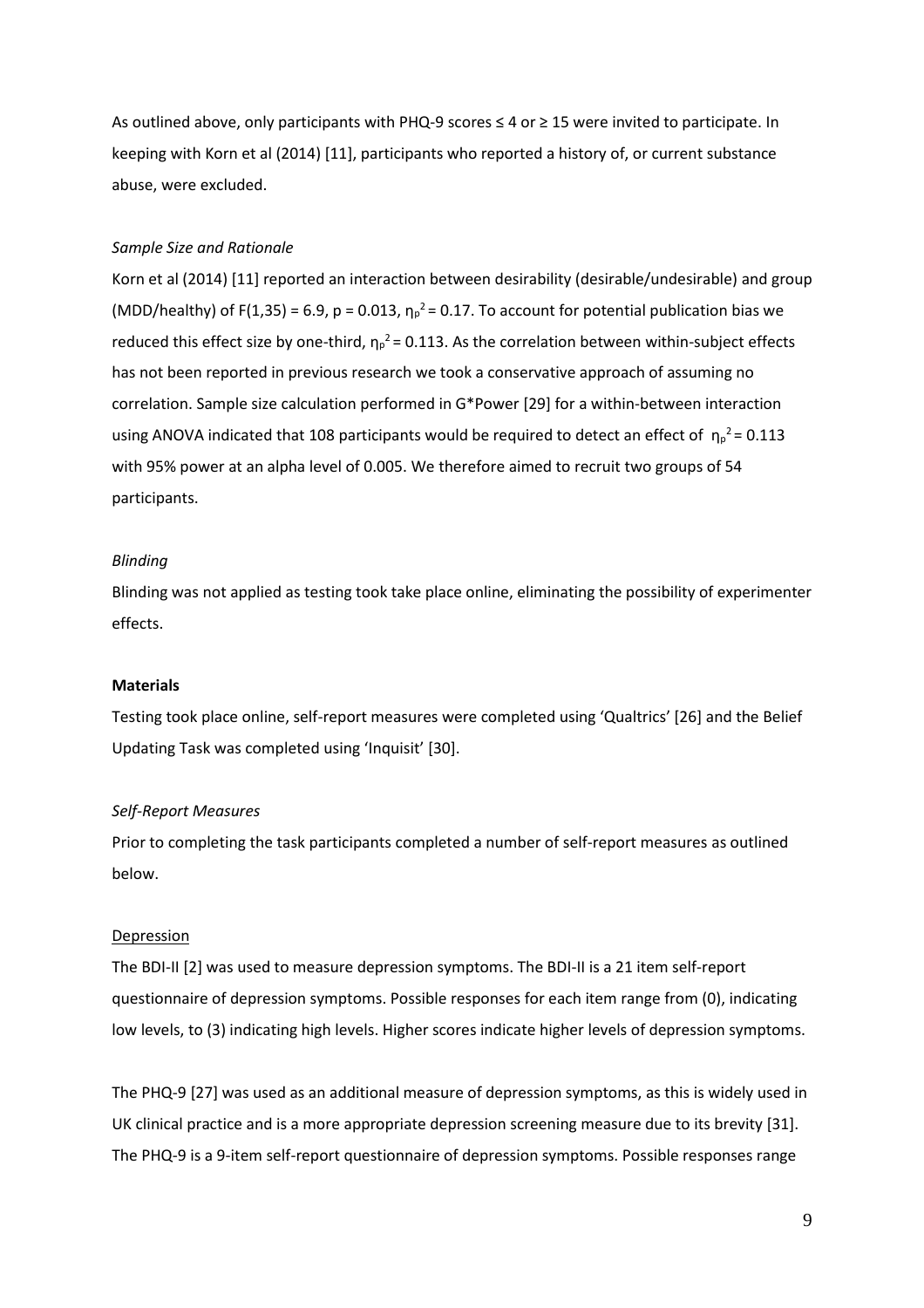As outlined above, only participants with PHQ-9 scores ≤ 4 or ≥ 15 were invited to participate. In keeping with Korn et al (2014) [11], participants who reported a history of, or current substance abuse, were excluded.

## *Sample Size and Rationale*

Korn et al (2014) [11] reported an interaction between desirability (desirable/undesirable) and group (MDD/healthy) of F(1,35) = 6.9, p = 0.013,  $\eta_p^2$  = 0.17. To account for potential publication bias we reduced this effect size by one-third,  $\eta_p^2$  = 0.113. As the correlation between within-subject effects has not been reported in previous research we took a conservative approach of assuming no correlation. Sample size calculation performed in G\*Power [29] for a within-between interaction using ANOVA indicated that 108 participants would be required to detect an effect of  $\eta_{\rm p}^2$  = 0.113 with 95% power at an alpha level of 0.005. We therefore aimed to recruit two groups of 54 participants.

### *Blinding*

Blinding was not applied as testing took take place online, eliminating the possibility of experimenter effects.

### **Materials**

Testing took place online, self-report measures were completed using 'Qualtrics' [26] and the Belief Updating Task was completed using 'Inquisit' [30].

### *Self-Report Measures*

Prior to completing the task participants completed a number of self-report measures as outlined below.

### Depression

The BDI-II [2] was used to measure depression symptoms. The BDI-II is a 21 item self-report questionnaire of depression symptoms. Possible responses for each item range from (0), indicating low levels, to (3) indicating high levels. Higher scores indicate higher levels of depression symptoms.

The PHQ-9 [27] was used as an additional measure of depression symptoms, as this is widely used in UK clinical practice and is a more appropriate depression screening measure due to its brevity [31]. The PHQ-9 is a 9-item self-report questionnaire of depression symptoms. Possible responses range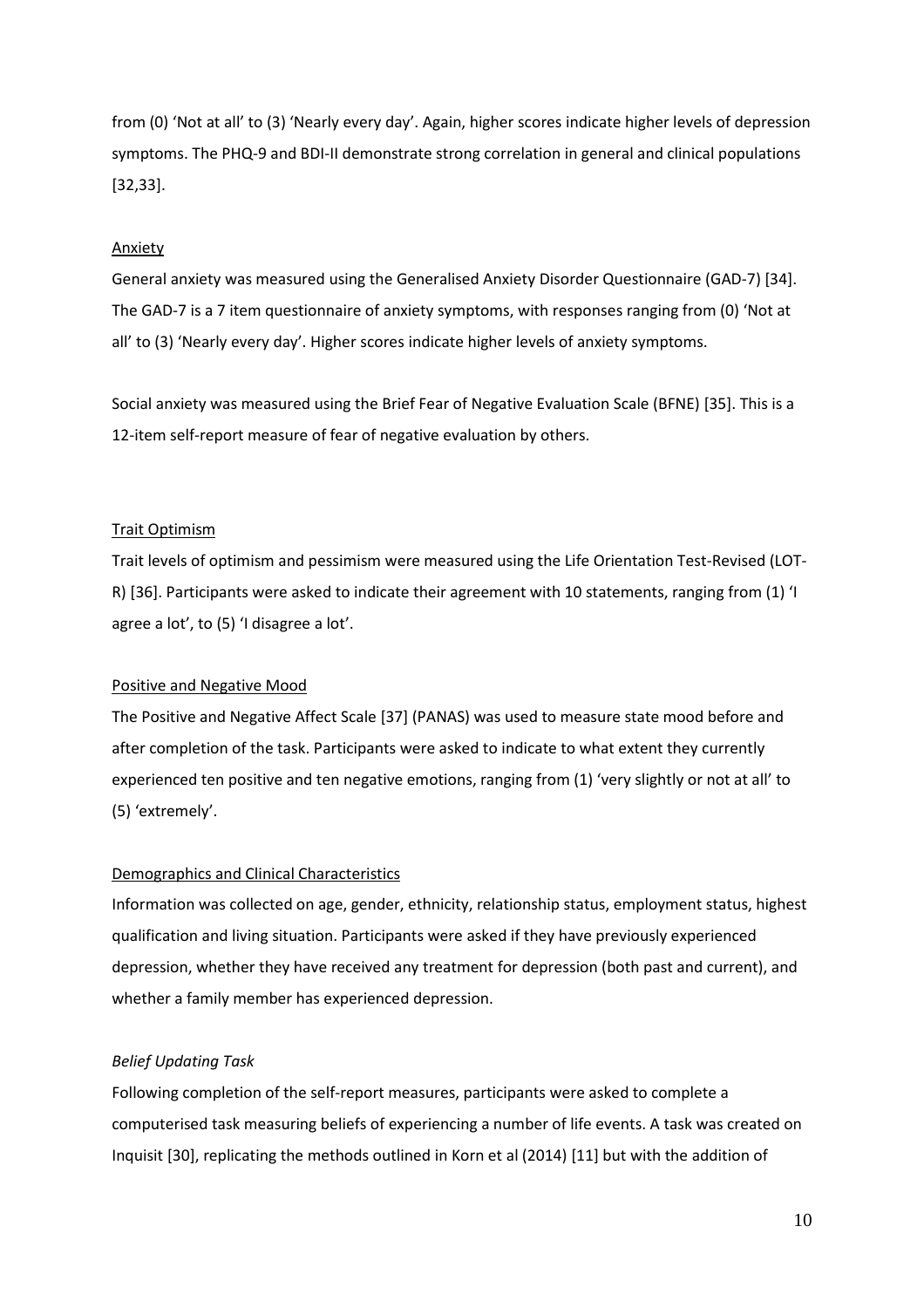from (0) 'Not at all' to (3) 'Nearly every day'. Again, higher scores indicate higher levels of depression symptoms. The PHQ-9 and BDI-II demonstrate strong correlation in general and clinical populations [32,33].

## Anxiety

General anxiety was measured using the Generalised Anxiety Disorder Questionnaire (GAD-7) [34]. The GAD-7 is a 7 item questionnaire of anxiety symptoms, with responses ranging from (0) 'Not at all' to (3) 'Nearly every day'. Higher scores indicate higher levels of anxiety symptoms.

Social anxiety was measured using the Brief Fear of Negative Evaluation Scale (BFNE) [35]. This is a 12-item self-report measure of fear of negative evaluation by others.

## Trait Optimism

Trait levels of optimism and pessimism were measured using the Life Orientation Test-Revised (LOT-R) [36]. Participants were asked to indicate their agreement with 10 statements, ranging from (1) 'I agree a lot', to (5) 'I disagree a lot'.

## Positive and Negative Mood

The Positive and Negative Affect Scale [37] (PANAS) was used to measure state mood before and after completion of the task. Participants were asked to indicate to what extent they currently experienced ten positive and ten negative emotions, ranging from (1) 'very slightly or not at all' to (5) 'extremely'.

# Demographics and Clinical Characteristics

Information was collected on age, gender, ethnicity, relationship status, employment status, highest qualification and living situation. Participants were asked if they have previously experienced depression, whether they have received any treatment for depression (both past and current), and whether a family member has experienced depression.

# *Belief Updating Task*

Following completion of the self-report measures, participants were asked to complete a computerised task measuring beliefs of experiencing a number of life events. A task was created on Inquisit [30], replicating the methods outlined in Korn et al (2014) [11] but with the addition of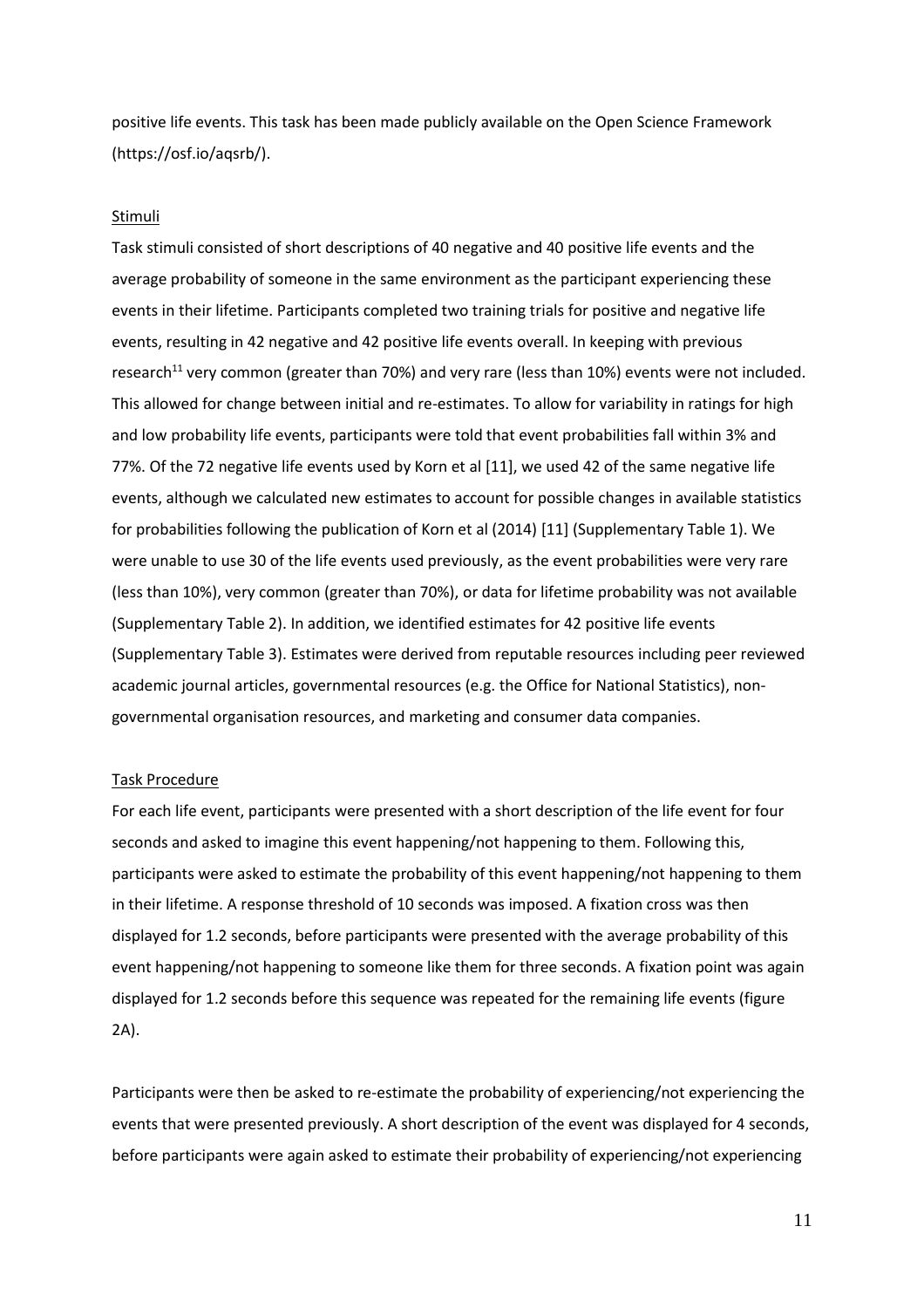positive life events. This task has been made publicly available on the Open Science Framework (https://osf.io/aqsrb/).

### Stimuli

Task stimuli consisted of short descriptions of 40 negative and 40 positive life events and the average probability of someone in the same environment as the participant experiencing these events in their lifetime. Participants completed two training trials for positive and negative life events, resulting in 42 negative and 42 positive life events overall. In keeping with previous research<sup>11</sup> very common (greater than 70%) and very rare (less than 10%) events were not included. This allowed for change between initial and re-estimates. To allow for variability in ratings for high and low probability life events, participants were told that event probabilities fall within 3% and 77%. Of the 72 negative life events used by Korn et al [11], we used 42 of the same negative life events, although we calculated new estimates to account for possible changes in available statistics for probabilities following the publication of Korn et al (2014) [11] (Supplementary Table 1). We were unable to use 30 of the life events used previously, as the event probabilities were very rare (less than 10%), very common (greater than 70%), or data for lifetime probability was not available (Supplementary Table 2). In addition, we identified estimates for 42 positive life events (Supplementary Table 3). Estimates were derived from reputable resources including peer reviewed academic journal articles, governmental resources (e.g. the Office for National Statistics), nongovernmental organisation resources, and marketing and consumer data companies.

### Task Procedure

For each life event, participants were presented with a short description of the life event for four seconds and asked to imagine this event happening/not happening to them. Following this, participants were asked to estimate the probability of this event happening/not happening to them in their lifetime. A response threshold of 10 seconds was imposed. A fixation cross was then displayed for 1.2 seconds, before participants were presented with the average probability of this event happening/not happening to someone like them for three seconds. A fixation point was again displayed for 1.2 seconds before this sequence was repeated for the remaining life events (figure 2A).

Participants were then be asked to re-estimate the probability of experiencing/not experiencing the events that were presented previously. A short description of the event was displayed for 4 seconds, before participants were again asked to estimate their probability of experiencing/not experiencing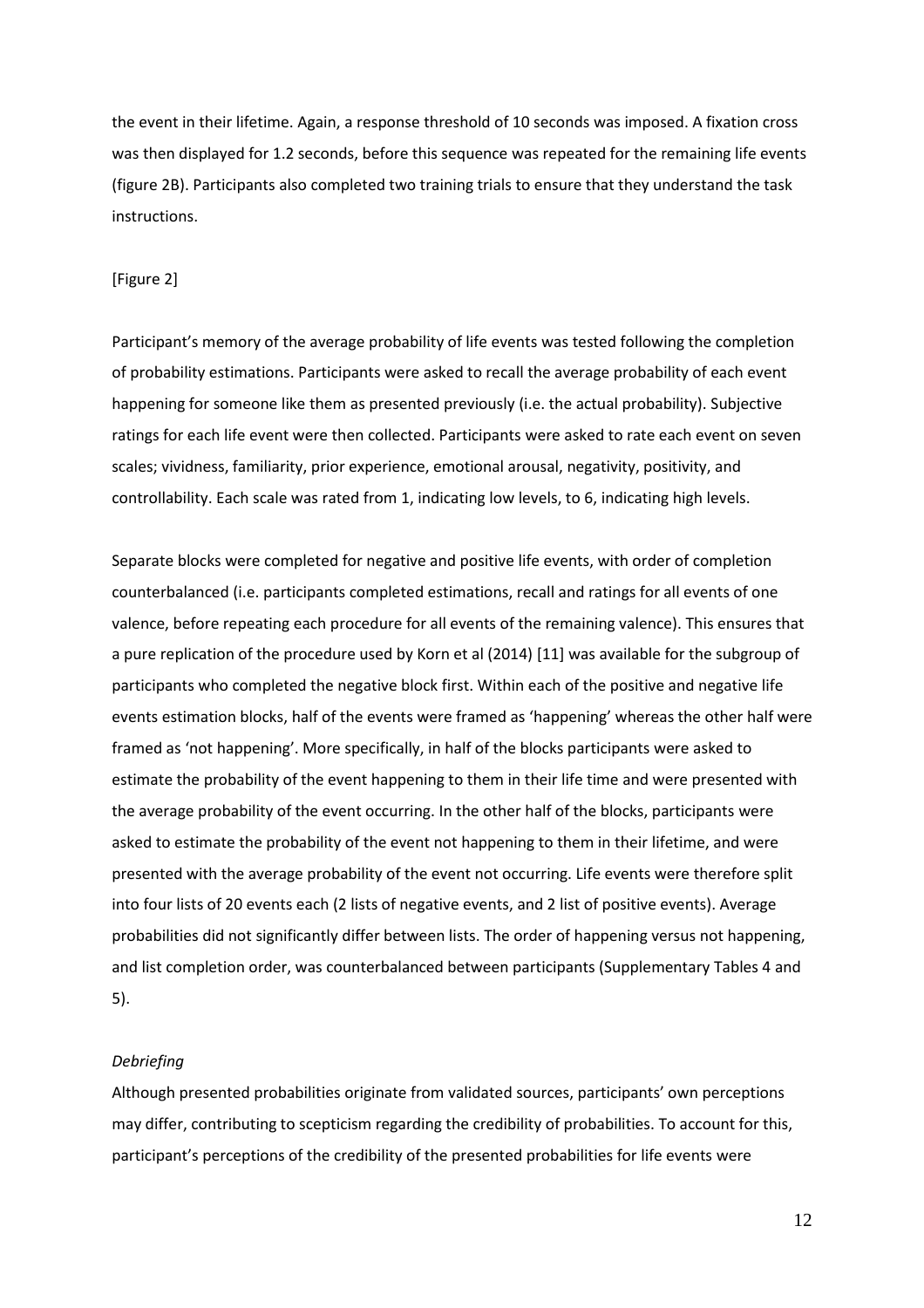the event in their lifetime. Again, a response threshold of 10 seconds was imposed. A fixation cross was then displayed for 1.2 seconds, before this sequence was repeated for the remaining life events (figure 2B). Participants also completed two training trials to ensure that they understand the task instructions.

# [Figure 2]

Participant's memory of the average probability of life events was tested following the completion of probability estimations. Participants were asked to recall the average probability of each event happening for someone like them as presented previously (i.e. the actual probability). Subjective ratings for each life event were then collected. Participants were asked to rate each event on seven scales; vividness, familiarity, prior experience, emotional arousal, negativity, positivity, and controllability. Each scale was rated from 1, indicating low levels, to 6, indicating high levels.

Separate blocks were completed for negative and positive life events, with order of completion counterbalanced (i.e. participants completed estimations, recall and ratings for all events of one valence, before repeating each procedure for all events of the remaining valence). This ensures that a pure replication of the procedure used by Korn et al (2014) [11] was available for the subgroup of participants who completed the negative block first. Within each of the positive and negative life events estimation blocks, half of the events were framed as 'happening' whereas the other half were framed as 'not happening'. More specifically, in half of the blocks participants were asked to estimate the probability of the event happening to them in their life time and were presented with the average probability of the event occurring. In the other half of the blocks, participants were asked to estimate the probability of the event not happening to them in their lifetime, and were presented with the average probability of the event not occurring. Life events were therefore split into four lists of 20 events each (2 lists of negative events, and 2 list of positive events). Average probabilities did not significantly differ between lists. The order of happening versus not happening, and list completion order, was counterbalanced between participants (Supplementary Tables 4 and 5).

# *Debriefing*

Although presented probabilities originate from validated sources, participants' own perceptions may differ, contributing to scepticism regarding the credibility of probabilities. To account for this, participant's perceptions of the credibility of the presented probabilities for life events were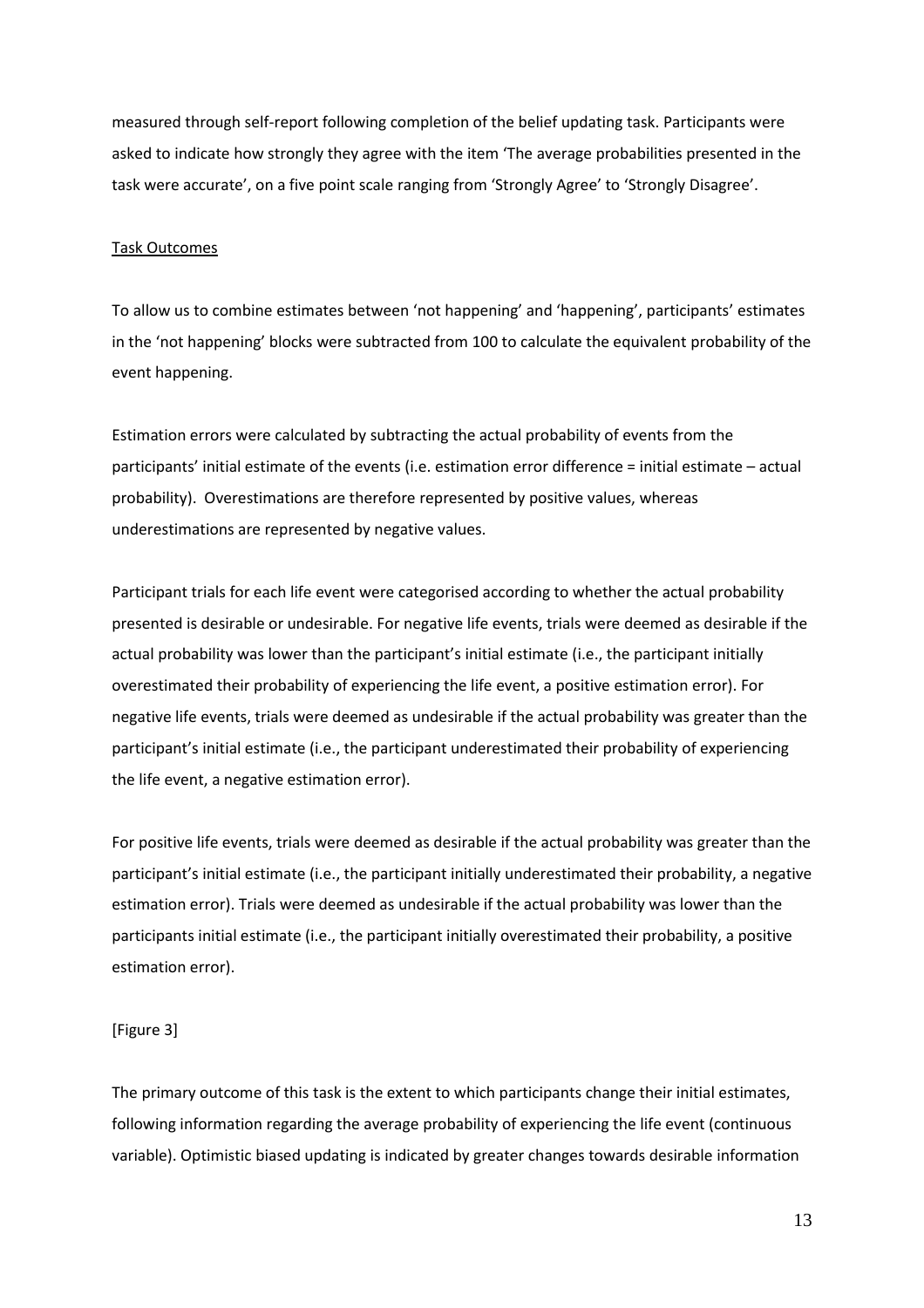measured through self-report following completion of the belief updating task. Participants were asked to indicate how strongly they agree with the item 'The average probabilities presented in the task were accurate', on a five point scale ranging from 'Strongly Agree' to 'Strongly Disagree'.

### Task Outcomes

To allow us to combine estimates between 'not happening' and 'happening', participants' estimates in the 'not happening' blocks were subtracted from 100 to calculate the equivalent probability of the event happening.

Estimation errors were calculated by subtracting the actual probability of events from the participants' initial estimate of the events (i.e. estimation error difference = initial estimate – actual probability). Overestimations are therefore represented by positive values, whereas underestimations are represented by negative values.

Participant trials for each life event were categorised according to whether the actual probability presented is desirable or undesirable. For negative life events, trials were deemed as desirable if the actual probability was lower than the participant's initial estimate (i.e., the participant initially overestimated their probability of experiencing the life event, a positive estimation error). For negative life events, trials were deemed as undesirable if the actual probability was greater than the participant's initial estimate (i.e., the participant underestimated their probability of experiencing the life event, a negative estimation error).

For positive life events, trials were deemed as desirable if the actual probability was greater than the participant's initial estimate (i.e., the participant initially underestimated their probability, a negative estimation error). Trials were deemed as undesirable if the actual probability was lower than the participants initial estimate (i.e., the participant initially overestimated their probability, a positive estimation error).

# [Figure 3]

The primary outcome of this task is the extent to which participants change their initial estimates, following information regarding the average probability of experiencing the life event (continuous variable). Optimistic biased updating is indicated by greater changes towards desirable information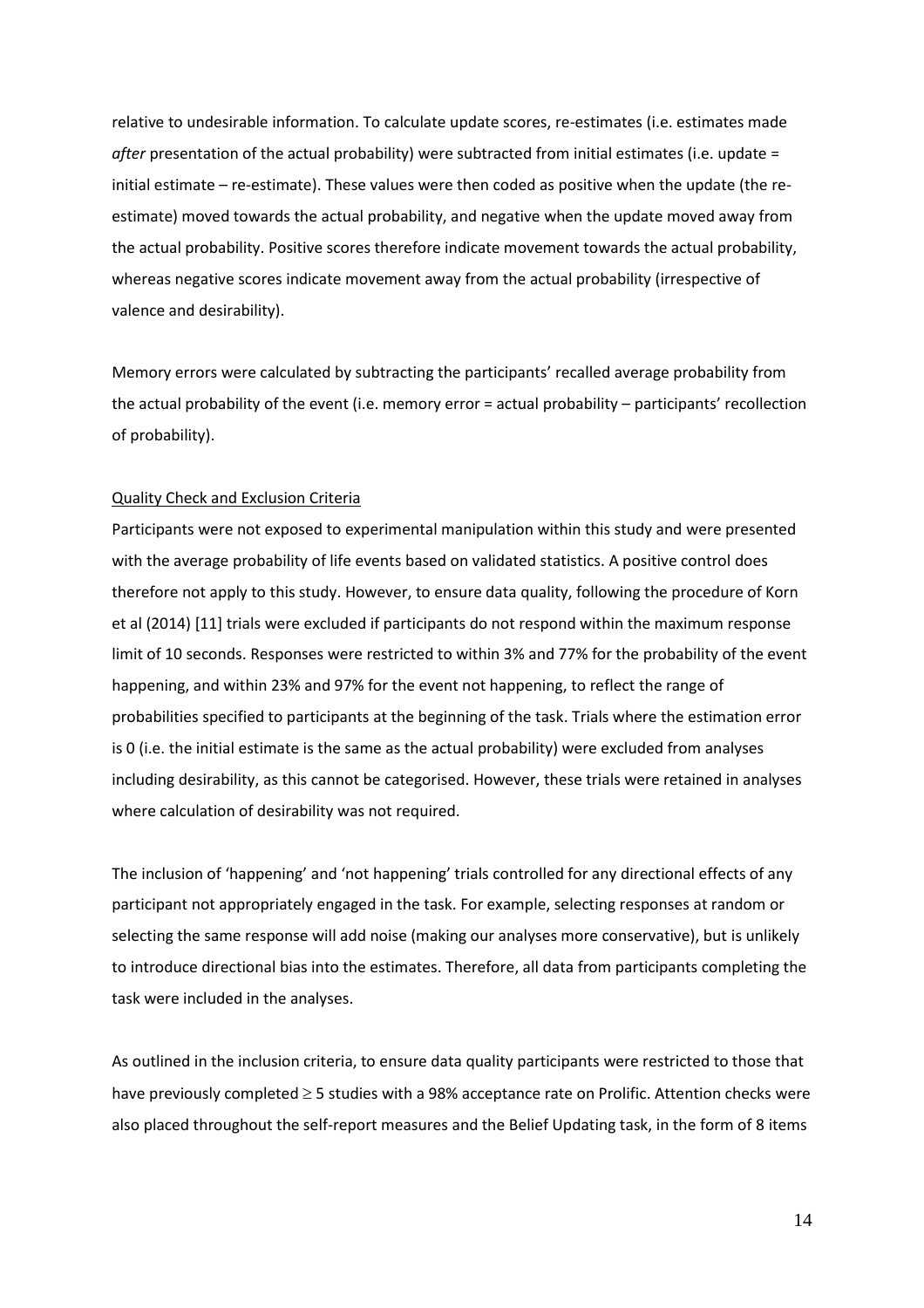relative to undesirable information. To calculate update scores, re-estimates (i.e. estimates made *after* presentation of the actual probability) were subtracted from initial estimates (i.e. update = initial estimate – re-estimate). These values were then coded as positive when the update (the reestimate) moved towards the actual probability, and negative when the update moved away from the actual probability. Positive scores therefore indicate movement towards the actual probability, whereas negative scores indicate movement away from the actual probability (irrespective of valence and desirability).

Memory errors were calculated by subtracting the participants' recalled average probability from the actual probability of the event (i.e. memory error = actual probability – participants' recollection of probability).

### Quality Check and Exclusion Criteria

Participants were not exposed to experimental manipulation within this study and were presented with the average probability of life events based on validated statistics. A positive control does therefore not apply to this study. However, to ensure data quality, following the procedure of Korn et al (2014) [11] trials were excluded if participants do not respond within the maximum response limit of 10 seconds. Responses were restricted to within 3% and 77% for the probability of the event happening, and within 23% and 97% for the event not happening, to reflect the range of probabilities specified to participants at the beginning of the task. Trials where the estimation error is 0 (i.e. the initial estimate is the same as the actual probability) were excluded from analyses including desirability, as this cannot be categorised. However, these trials were retained in analyses where calculation of desirability was not required.

The inclusion of 'happening' and 'not happening' trials controlled for any directional effects of any participant not appropriately engaged in the task. For example, selecting responses at random or selecting the same response will add noise (making our analyses more conservative), but is unlikely to introduce directional bias into the estimates. Therefore, all data from participants completing the task were included in the analyses.

As outlined in the inclusion criteria, to ensure data quality participants were restricted to those that have previously completed  $\geq$  5 studies with a 98% acceptance rate on Prolific. Attention checks were also placed throughout the self-report measures and the Belief Updating task, in the form of 8 items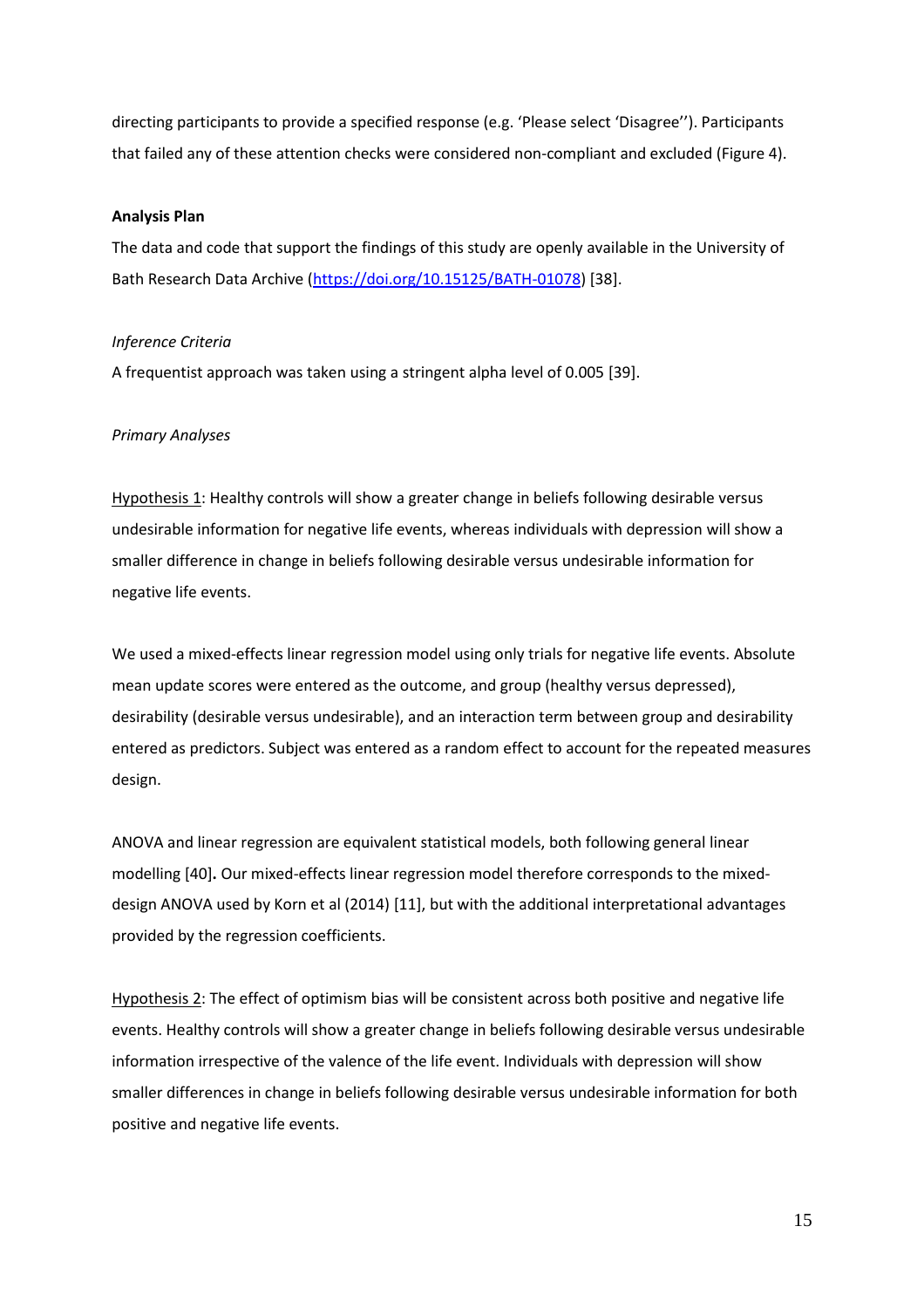directing participants to provide a specified response (e.g. 'Please select 'Disagree''). Participants that failed any of these attention checks were considered non-compliant and excluded (Figure 4).

### **Analysis Plan**

The data and code that support the findings of this study are openly available in the University of Bath Research Data Archive [\(https://doi.org/10.15125/BATH-01078\)](https://doi.org/10.15125/BATH-01078) [38].

## *Inference Criteria*

A frequentist approach was taken using a stringent alpha level of 0.005 [39].

# *Primary Analyses*

Hypothesis 1: Healthy controls will show a greater change in beliefs following desirable versus undesirable information for negative life events, whereas individuals with depression will show a smaller difference in change in beliefs following desirable versus undesirable information for negative life events.

We used a mixed-effects linear regression model using only trials for negative life events. Absolute mean update scores were entered as the outcome, and group (healthy versus depressed), desirability (desirable versus undesirable), and an interaction term between group and desirability entered as predictors. Subject was entered as a random effect to account for the repeated measures design.

ANOVA and linear regression are equivalent statistical models, both following general linear modelling [40]**.** Our mixed-effects linear regression model therefore corresponds to the mixeddesign ANOVA used by Korn et al (2014) [11], but with the additional interpretational advantages provided by the regression coefficients.

Hypothesis 2: The effect of optimism bias will be consistent across both positive and negative life events. Healthy controls will show a greater change in beliefs following desirable versus undesirable information irrespective of the valence of the life event. Individuals with depression will show smaller differences in change in beliefs following desirable versus undesirable information for both positive and negative life events.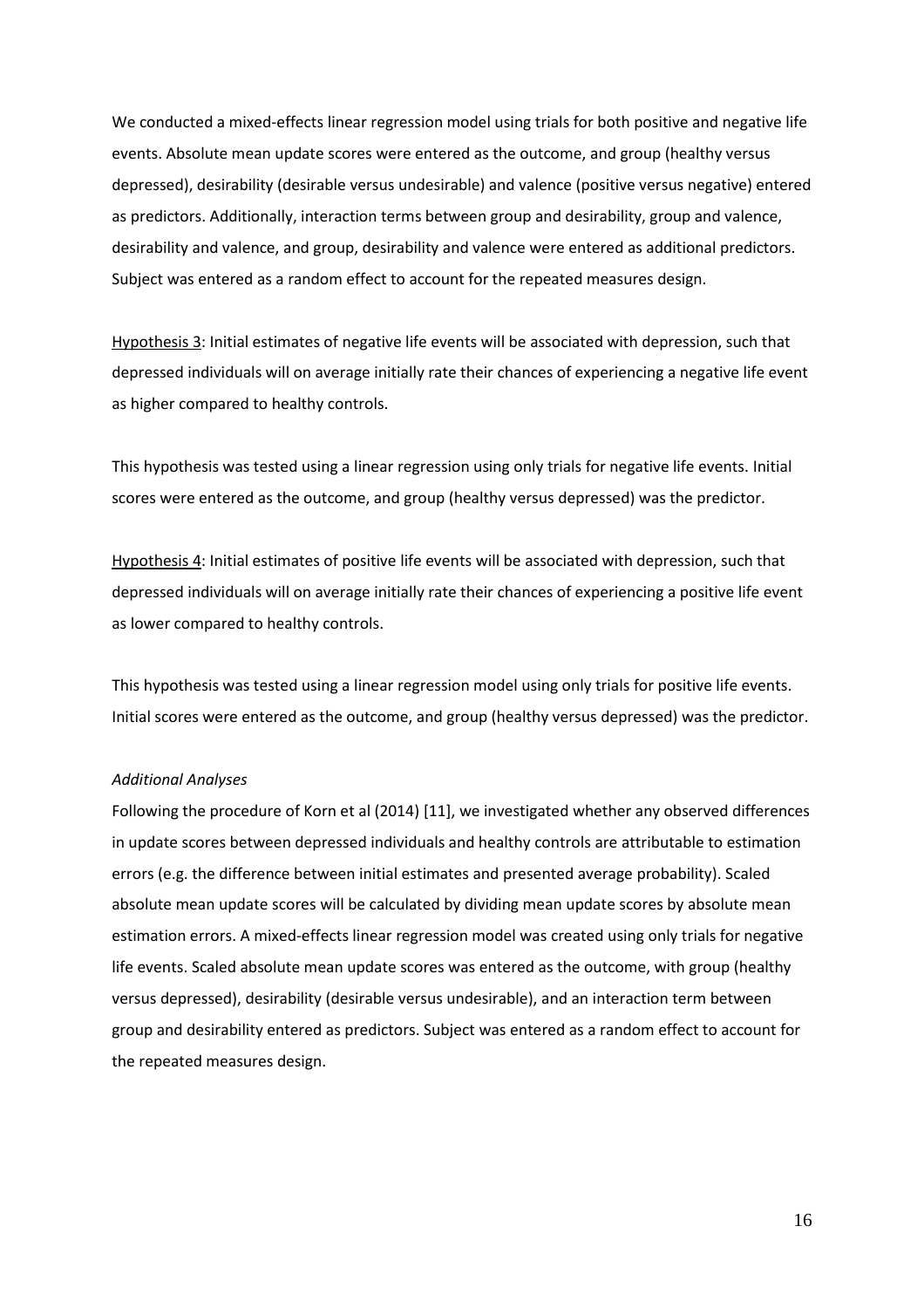We conducted a mixed-effects linear regression model using trials for both positive and negative life events. Absolute mean update scores were entered as the outcome, and group (healthy versus depressed), desirability (desirable versus undesirable) and valence (positive versus negative) entered as predictors. Additionally, interaction terms between group and desirability, group and valence, desirability and valence, and group, desirability and valence were entered as additional predictors. Subject was entered as a random effect to account for the repeated measures design.

Hypothesis 3: Initial estimates of negative life events will be associated with depression, such that depressed individuals will on average initially rate their chances of experiencing a negative life event as higher compared to healthy controls.

This hypothesis was tested using a linear regression using only trials for negative life events. Initial scores were entered as the outcome, and group (healthy versus depressed) was the predictor.

Hypothesis 4: Initial estimates of positive life events will be associated with depression, such that depressed individuals will on average initially rate their chances of experiencing a positive life event as lower compared to healthy controls.

This hypothesis was tested using a linear regression model using only trials for positive life events. Initial scores were entered as the outcome, and group (healthy versus depressed) was the predictor.

# *Additional Analyses*

Following the procedure of Korn et al (2014) [11], we investigated whether any observed differences in update scores between depressed individuals and healthy controls are attributable to estimation errors (e.g. the difference between initial estimates and presented average probability). Scaled absolute mean update scores will be calculated by dividing mean update scores by absolute mean estimation errors. A mixed-effects linear regression model was created using only trials for negative life events. Scaled absolute mean update scores was entered as the outcome, with group (healthy versus depressed), desirability (desirable versus undesirable), and an interaction term between group and desirability entered as predictors. Subject was entered as a random effect to account for the repeated measures design.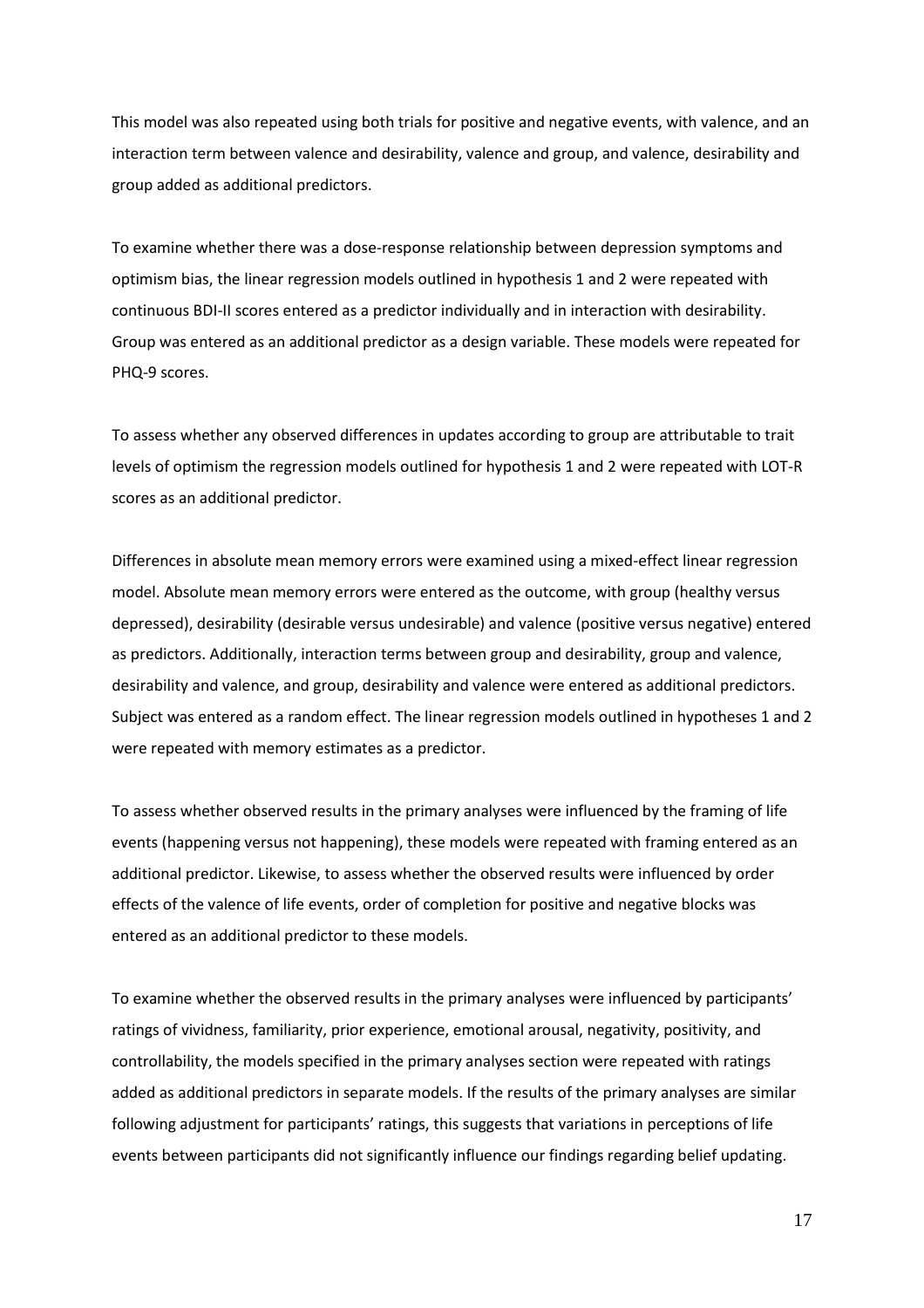This model was also repeated using both trials for positive and negative events, with valence, and an interaction term between valence and desirability, valence and group, and valence, desirability and group added as additional predictors.

To examine whether there was a dose-response relationship between depression symptoms and optimism bias, the linear regression models outlined in hypothesis 1 and 2 were repeated with continuous BDI-II scores entered as a predictor individually and in interaction with desirability. Group was entered as an additional predictor as a design variable. These models were repeated for PHQ-9 scores.

To assess whether any observed differences in updates according to group are attributable to trait levels of optimism the regression models outlined for hypothesis 1 and 2 were repeated with LOT-R scores as an additional predictor.

Differences in absolute mean memory errors were examined using a mixed-effect linear regression model. Absolute mean memory errors were entered as the outcome, with group (healthy versus depressed), desirability (desirable versus undesirable) and valence (positive versus negative) entered as predictors. Additionally, interaction terms between group and desirability, group and valence, desirability and valence, and group, desirability and valence were entered as additional predictors. Subject was entered as a random effect. The linear regression models outlined in hypotheses 1 and 2 were repeated with memory estimates as a predictor.

To assess whether observed results in the primary analyses were influenced by the framing of life events (happening versus not happening), these models were repeated with framing entered as an additional predictor. Likewise, to assess whether the observed results were influenced by order effects of the valence of life events, order of completion for positive and negative blocks was entered as an additional predictor to these models.

To examine whether the observed results in the primary analyses were influenced by participants' ratings of vividness, familiarity, prior experience, emotional arousal, negativity, positivity, and controllability, the models specified in the primary analyses section were repeated with ratings added as additional predictors in separate models. If the results of the primary analyses are similar following adjustment for participants' ratings, this suggests that variations in perceptions of life events between participants did not significantly influence our findings regarding belief updating.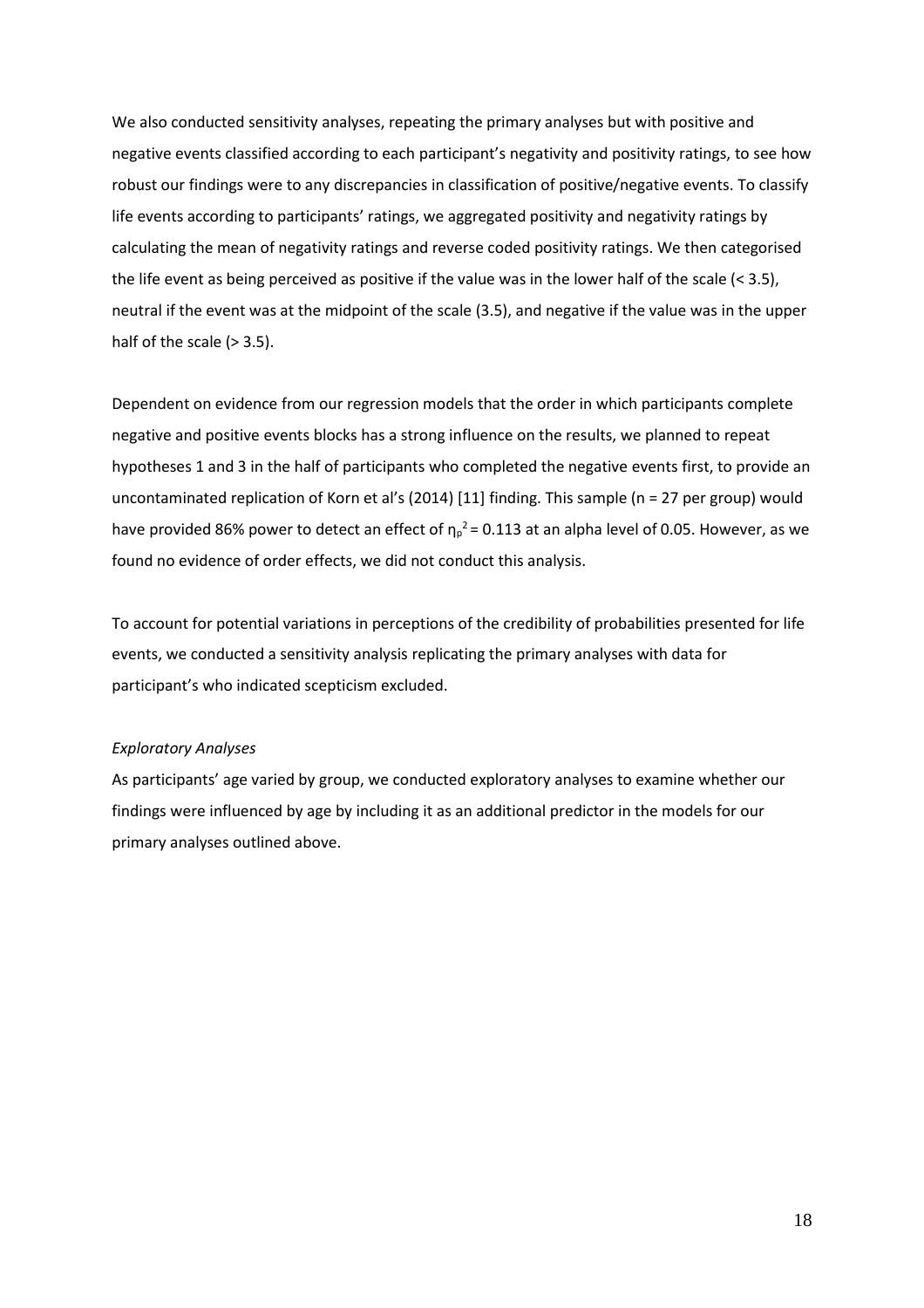We also conducted sensitivity analyses, repeating the primary analyses but with positive and negative events classified according to each participant's negativity and positivity ratings, to see how robust our findings were to any discrepancies in classification of positive/negative events. To classify life events according to participants' ratings, we aggregated positivity and negativity ratings by calculating the mean of negativity ratings and reverse coded positivity ratings. We then categorised the life event as being perceived as positive if the value was in the lower half of the scale (< 3.5), neutral if the event was at the midpoint of the scale (3.5), and negative if the value was in the upper half of the scale  $(> 3.5)$ .

Dependent on evidence from our regression models that the order in which participants complete negative and positive events blocks has a strong influence on the results, we planned to repeat hypotheses 1 and 3 in the half of participants who completed the negative events first, to provide an uncontaminated replication of Korn et al's (2014) [11] finding. This sample (n = 27 per group) would have provided 86% power to detect an effect of  $\eta_p^2$  = 0.113 at an alpha level of 0.05. However, as we found no evidence of order effects, we did not conduct this analysis.

To account for potential variations in perceptions of the credibility of probabilities presented for life events, we conducted a sensitivity analysis replicating the primary analyses with data for participant's who indicated scepticism excluded.

## *Exploratory Analyses*

As participants' age varied by group, we conducted exploratory analyses to examine whether our findings were influenced by age by including it as an additional predictor in the models for our primary analyses outlined above.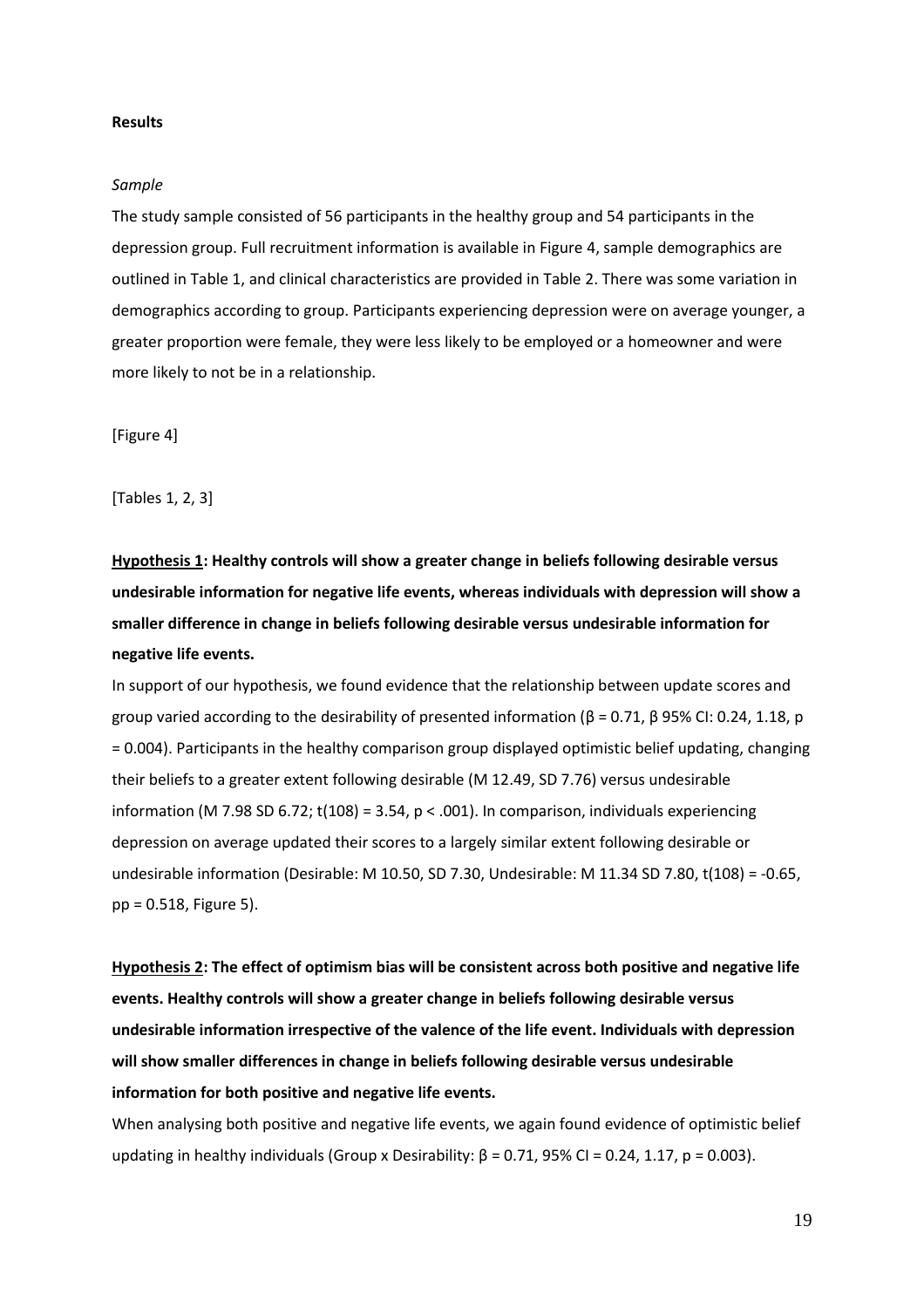### **Results**

### *Sample*

The study sample consisted of 56 participants in the healthy group and 54 participants in the depression group. Full recruitment information is available in Figure 4, sample demographics are outlined in Table 1, and clinical characteristics are provided in Table 2. There was some variation in demographics according to group. Participants experiencing depression were on average younger, a greater proportion were female, they were less likely to be employed or a homeowner and were more likely to not be in a relationship.

[Figure 4]

[Tables 1, 2, 3]

**Hypothesis 1: Healthy controls will show a greater change in beliefs following desirable versus undesirable information for negative life events, whereas individuals with depression will show a smaller difference in change in beliefs following desirable versus undesirable information for negative life events.** 

In support of our hypothesis, we found evidence that the relationship between update scores and group varied according to the desirability of presented information (β = 0.71, β 95% CI: 0.24, 1.18, p = 0.004). Participants in the healthy comparison group displayed optimistic belief updating, changing their beliefs to a greater extent following desirable (M 12.49, SD 7.76) versus undesirable information (M 7.98 SD 6.72;  $t(108) = 3.54$ ,  $p < .001$ ). In comparison, individuals experiencing depression on average updated their scores to a largely similar extent following desirable or undesirable information (Desirable: M 10.50, SD 7.30, Undesirable: M 11.34 SD 7.80, t(108) = -0.65, pp = 0.518, Figure 5).

**Hypothesis 2: The effect of optimism bias will be consistent across both positive and negative life events. Healthy controls will show a greater change in beliefs following desirable versus undesirable information irrespective of the valence of the life event. Individuals with depression will show smaller differences in change in beliefs following desirable versus undesirable information for both positive and negative life events.**

When analysing both positive and negative life events, we again found evidence of optimistic belief updating in healthy individuals (Group x Desirability:  $β = 0.71$ ,  $95%$  CI = 0.24, 1.17,  $p = 0.003$ ).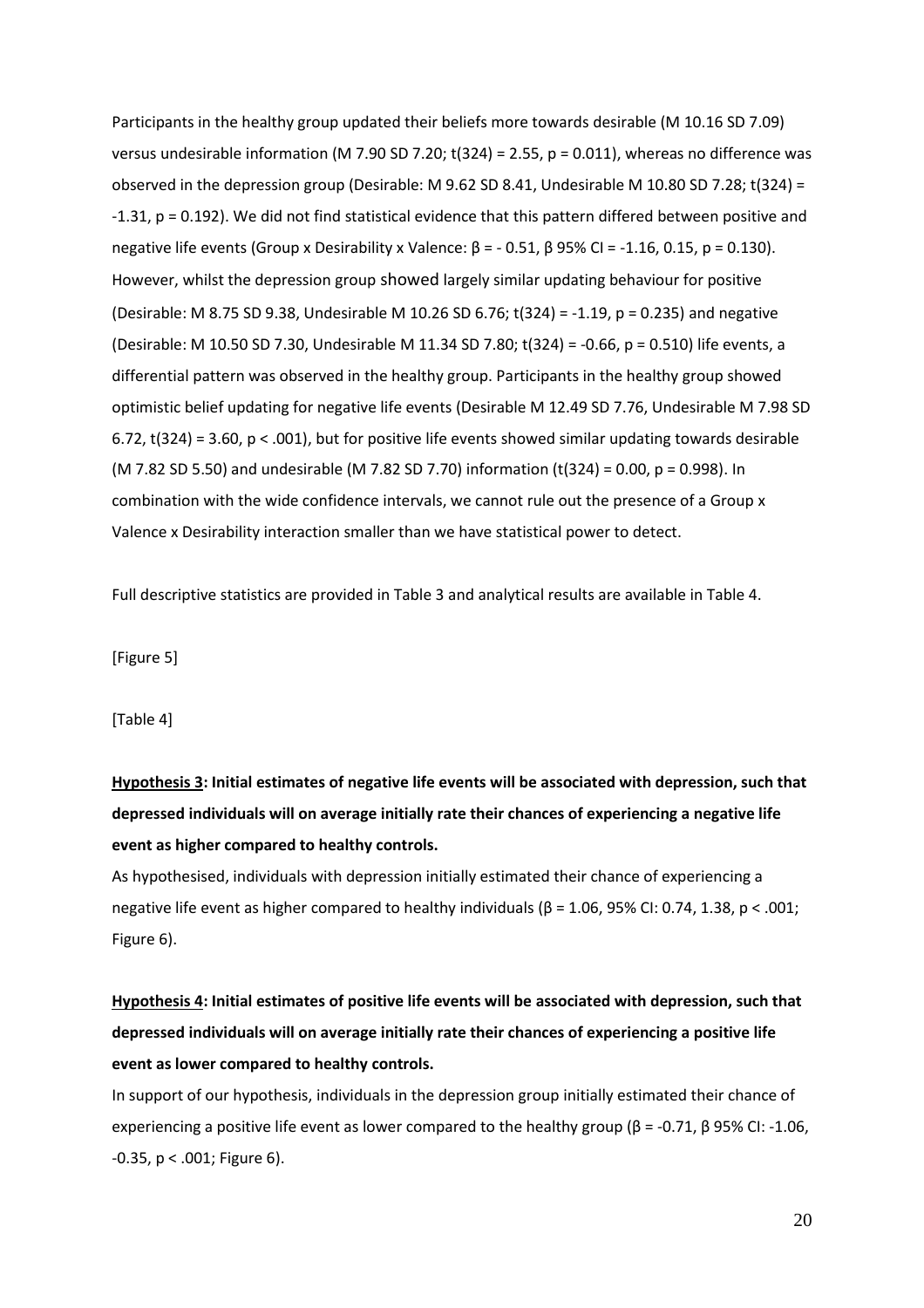Participants in the healthy group updated their beliefs more towards desirable (M 10.16 SD 7.09) versus undesirable information (M 7.90 SD 7.20; t(324) = 2.55, p = 0.011), whereas no difference was observed in the depression group (Desirable: M 9.62 SD 8.41, Undesirable M 10.80 SD 7.28; t(324) = -1.31, p = 0.192). We did not find statistical evidence that this pattern differed between positive and negative life events (Group x Desirability x Valence:  $\beta$  = - 0.51,  $\beta$  95% CI = -1.16, 0.15, p = 0.130). However, whilst the depression group showed largely similar updating behaviour for positive (Desirable: M 8.75 SD 9.38, Undesirable M 10.26 SD 6.76; t(324) = -1.19, p = 0.235) and negative (Desirable: M 10.50 SD 7.30, Undesirable M 11.34 SD 7.80; t(324) = -0.66, p = 0.510) life events, a differential pattern was observed in the healthy group. Participants in the healthy group showed optimistic belief updating for negative life events (Desirable M 12.49 SD 7.76, Undesirable M 7.98 SD 6.72, t(324) = 3.60,  $p < .001$ ), but for positive life events showed similar updating towards desirable (M 7.82 SD 5.50) and undesirable (M 7.82 SD 7.70) information (t(324) = 0.00, p = 0.998). In combination with the wide confidence intervals, we cannot rule out the presence of a Group x Valence x Desirability interaction smaller than we have statistical power to detect.

Full descriptive statistics are provided in Table 3 and analytical results are available in Table 4.

[Figure 5]

[Table 4]

**Hypothesis 3: Initial estimates of negative life events will be associated with depression, such that depressed individuals will on average initially rate their chances of experiencing a negative life event as higher compared to healthy controls.**

As hypothesised, individuals with depression initially estimated their chance of experiencing a negative life event as higher compared to healthy individuals (β = 1.06, 95% CI: 0.74, 1.38, p < .001; Figure 6).

# **Hypothesis 4: Initial estimates of positive life events will be associated with depression, such that depressed individuals will on average initially rate their chances of experiencing a positive life event as lower compared to healthy controls.**

In support of our hypothesis, individuals in the depression group initially estimated their chance of experiencing a positive life event as lower compared to the healthy group (β = -0.71, β 95% CI: -1.06, -0.35, p < .001; Figure 6).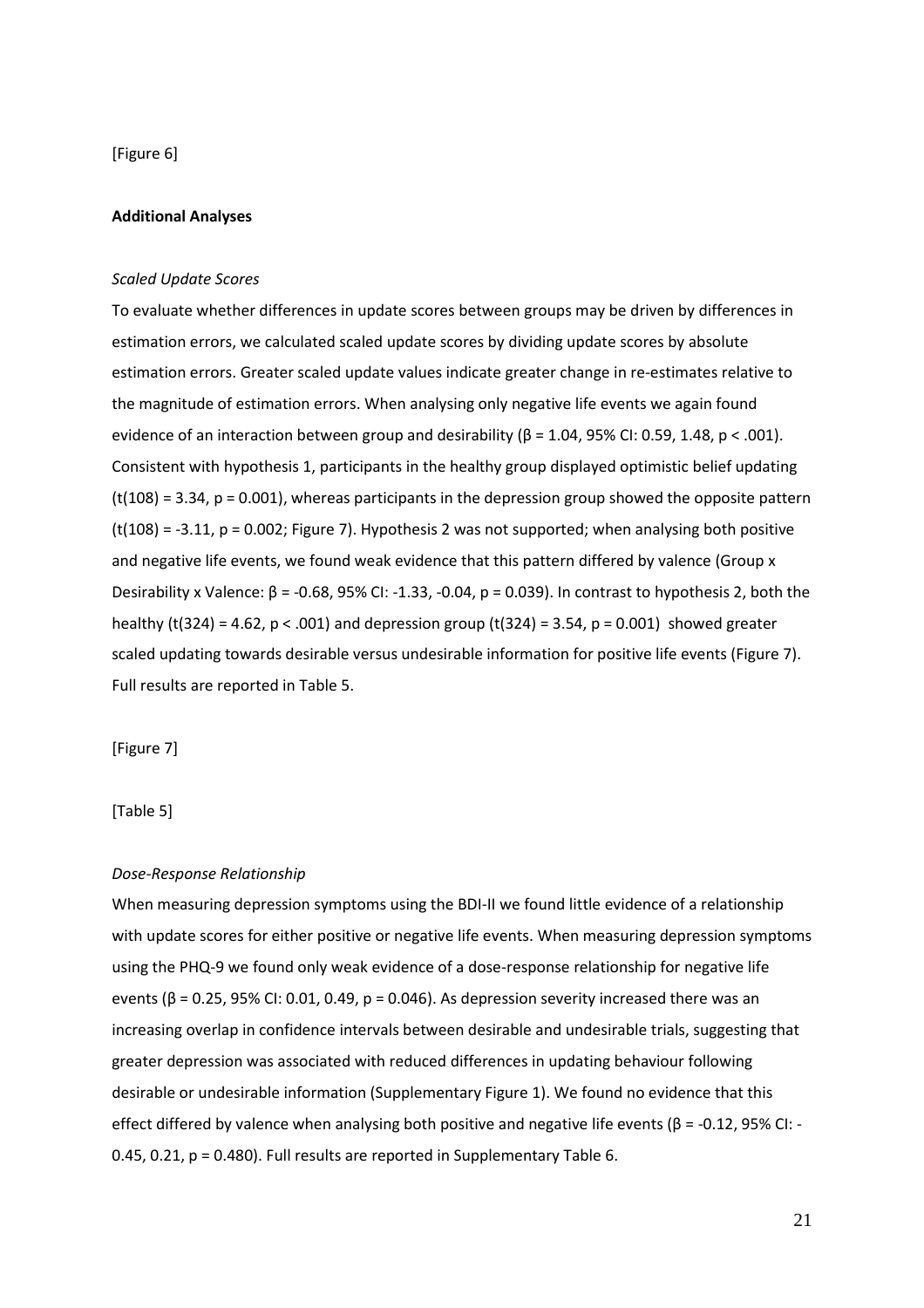[Figure 6]

## **Additional Analyses**

### *Scaled Update Scores*

To evaluate whether differences in update scores between groups may be driven by differences in estimation errors, we calculated scaled update scores by dividing update scores by absolute estimation errors. Greater scaled update values indicate greater change in re-estimates relative to the magnitude of estimation errors. When analysing only negative life events we again found evidence of an interaction between group and desirability  $(β = 1.04, 95%$  CI: 0.59, 1.48, p < .001). Consistent with hypothesis 1, participants in the healthy group displayed optimistic belief updating  $(t(108) = 3.34, p = 0.001)$ , whereas participants in the depression group showed the opposite pattern  $(t(108) = -3.11, p = 0.002;$  Figure 7). Hypothesis 2 was not supported; when analysing both positive and negative life events, we found weak evidence that this pattern differed by valence (Group x Desirability x Valence:  $β = -0.68$ , 95% CI: -1.33, -0.04,  $p = 0.039$ ). In contrast to hypothesis 2, both the healthy (t(324) = 4.62,  $p < .001$ ) and depression group (t(324) = 3.54,  $p = 0.001$ ) showed greater scaled updating towards desirable versus undesirable information for positive life events (Figure 7). Full results are reported in Table 5.

[Figure 7]

# [Table 5]

# *Dose-Response Relationship*

When measuring depression symptoms using the BDI-II we found little evidence of a relationship with update scores for either positive or negative life events. When measuring depression symptoms using the PHQ-9 we found only weak evidence of a dose-response relationship for negative life events ( $β = 0.25$ , 95% CI: 0.01, 0.49,  $p = 0.046$ ). As depression severity increased there was an increasing overlap in confidence intervals between desirable and undesirable trials, suggesting that greater depression was associated with reduced differences in updating behaviour following desirable or undesirable information (Supplementary Figure 1). We found no evidence that this effect differed by valence when analysing both positive and negative life events (β = -0.12, 95% CI: -0.45, 0.21, p = 0.480). Full results are reported in Supplementary Table 6.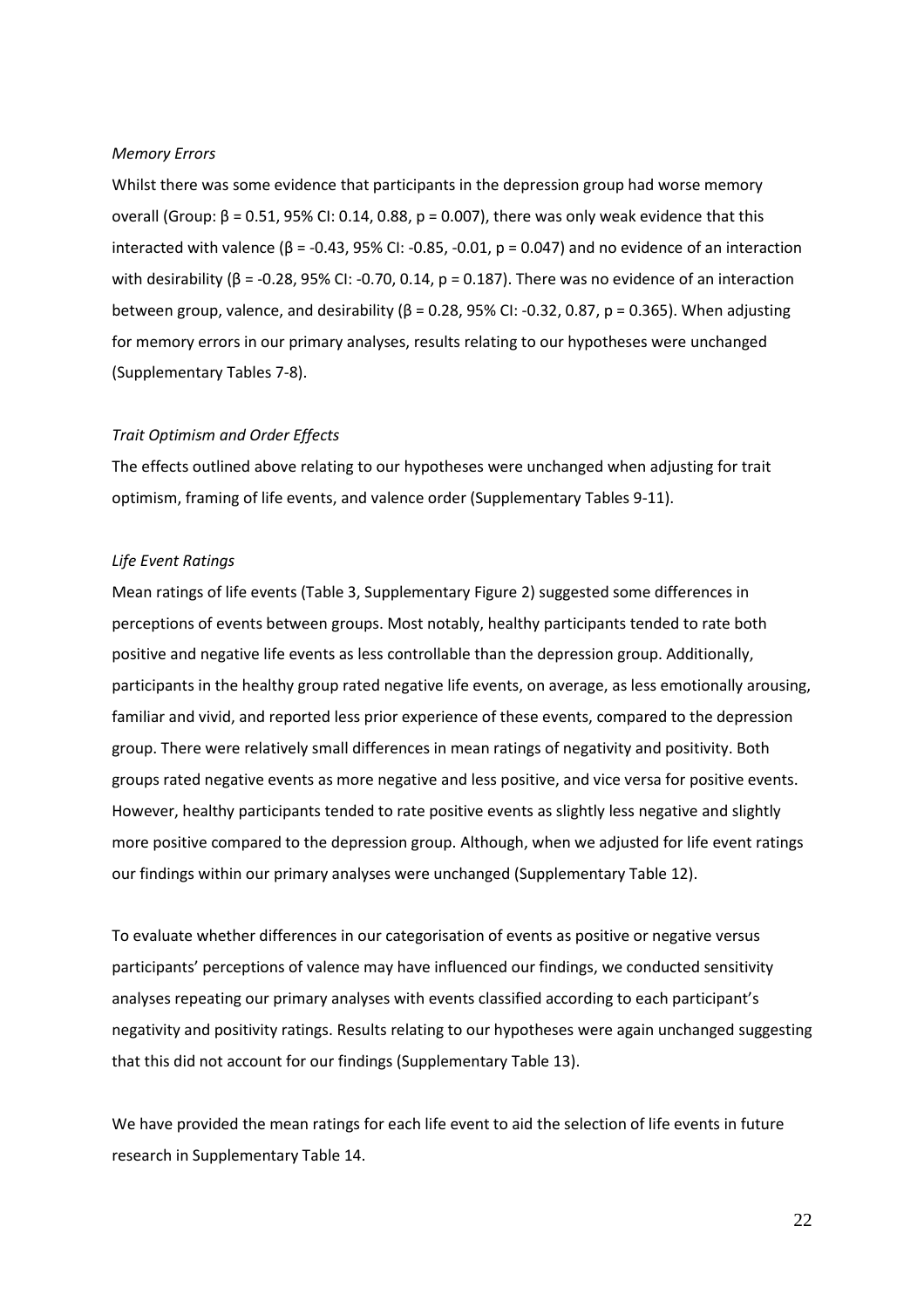## *Memory Errors*

Whilst there was some evidence that participants in the depression group had worse memory overall (Group:  $β = 0.51$ , 95% CI: 0.14, 0.88,  $p = 0.007$ ), there was only weak evidence that this interacted with valence ( $β = -0.43$ , 95% CI: -0.85, -0.01,  $p = 0.047$ ) and no evidence of an interaction with desirability ( $β = -0.28$ , 95% CI: -0.70, 0.14,  $p = 0.187$ ). There was no evidence of an interaction between group, valence, and desirability ( $β = 0.28$ , 95% CI: -0.32, 0.87,  $p = 0.365$ ). When adjusting for memory errors in our primary analyses, results relating to our hypotheses were unchanged (Supplementary Tables 7-8).

### *Trait Optimism and Order Effects*

The effects outlined above relating to our hypotheses were unchanged when adjusting for trait optimism, framing of life events, and valence order (Supplementary Tables 9-11).

### *Life Event Ratings*

Mean ratings of life events (Table 3, Supplementary Figure 2) suggested some differences in perceptions of events between groups. Most notably, healthy participants tended to rate both positive and negative life events as less controllable than the depression group. Additionally, participants in the healthy group rated negative life events, on average, as less emotionally arousing, familiar and vivid, and reported less prior experience of these events, compared to the depression group. There were relatively small differences in mean ratings of negativity and positivity. Both groups rated negative events as more negative and less positive, and vice versa for positive events. However, healthy participants tended to rate positive events as slightly less negative and slightly more positive compared to the depression group. Although, when we adjusted for life event ratings our findings within our primary analyses were unchanged (Supplementary Table 12).

To evaluate whether differences in our categorisation of events as positive or negative versus participants' perceptions of valence may have influenced our findings, we conducted sensitivity analyses repeating our primary analyses with events classified according to each participant's negativity and positivity ratings. Results relating to our hypotheses were again unchanged suggesting that this did not account for our findings (Supplementary Table 13).

We have provided the mean ratings for each life event to aid the selection of life events in future research in Supplementary Table 14.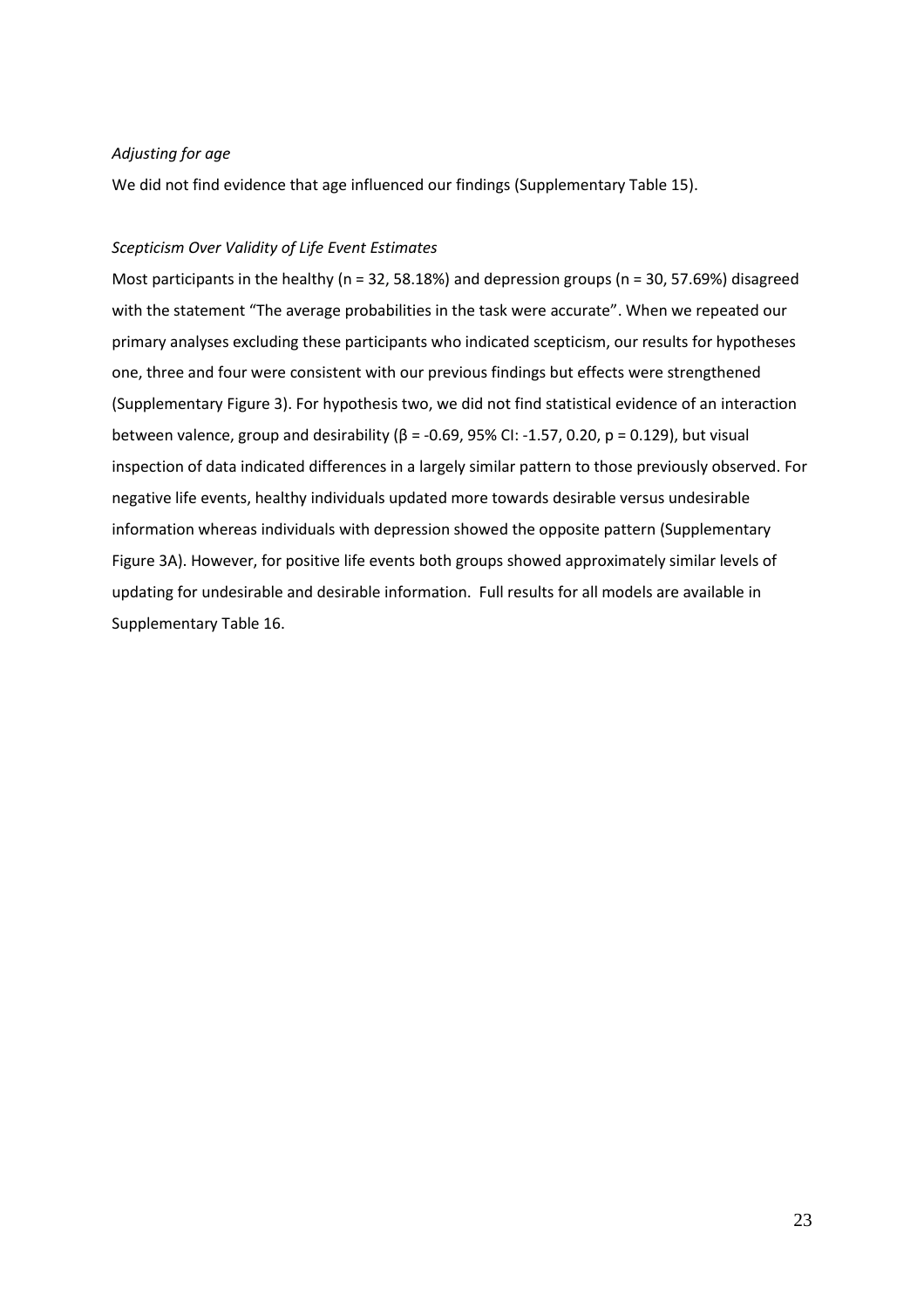# *Adjusting for age*

We did not find evidence that age influenced our findings (Supplementary Table 15).

# *Scepticism Over Validity of Life Event Estimates*

Most participants in the healthy (n = 32, 58.18%) and depression groups (n = 30, 57.69%) disagreed with the statement "The average probabilities in the task were accurate". When we repeated our primary analyses excluding these participants who indicated scepticism, our results for hypotheses one, three and four were consistent with our previous findings but effects were strengthened (Supplementary Figure 3). For hypothesis two, we did not find statistical evidence of an interaction between valence, group and desirability ( $\beta$  = -0.69, 95% CI: -1.57, 0.20, p = 0.129), but visual inspection of data indicated differences in a largely similar pattern to those previously observed. For negative life events, healthy individuals updated more towards desirable versus undesirable information whereas individuals with depression showed the opposite pattern (Supplementary Figure 3A). However, for positive life events both groups showed approximately similar levels of updating for undesirable and desirable information. Full results for all models are available in Supplementary Table 16.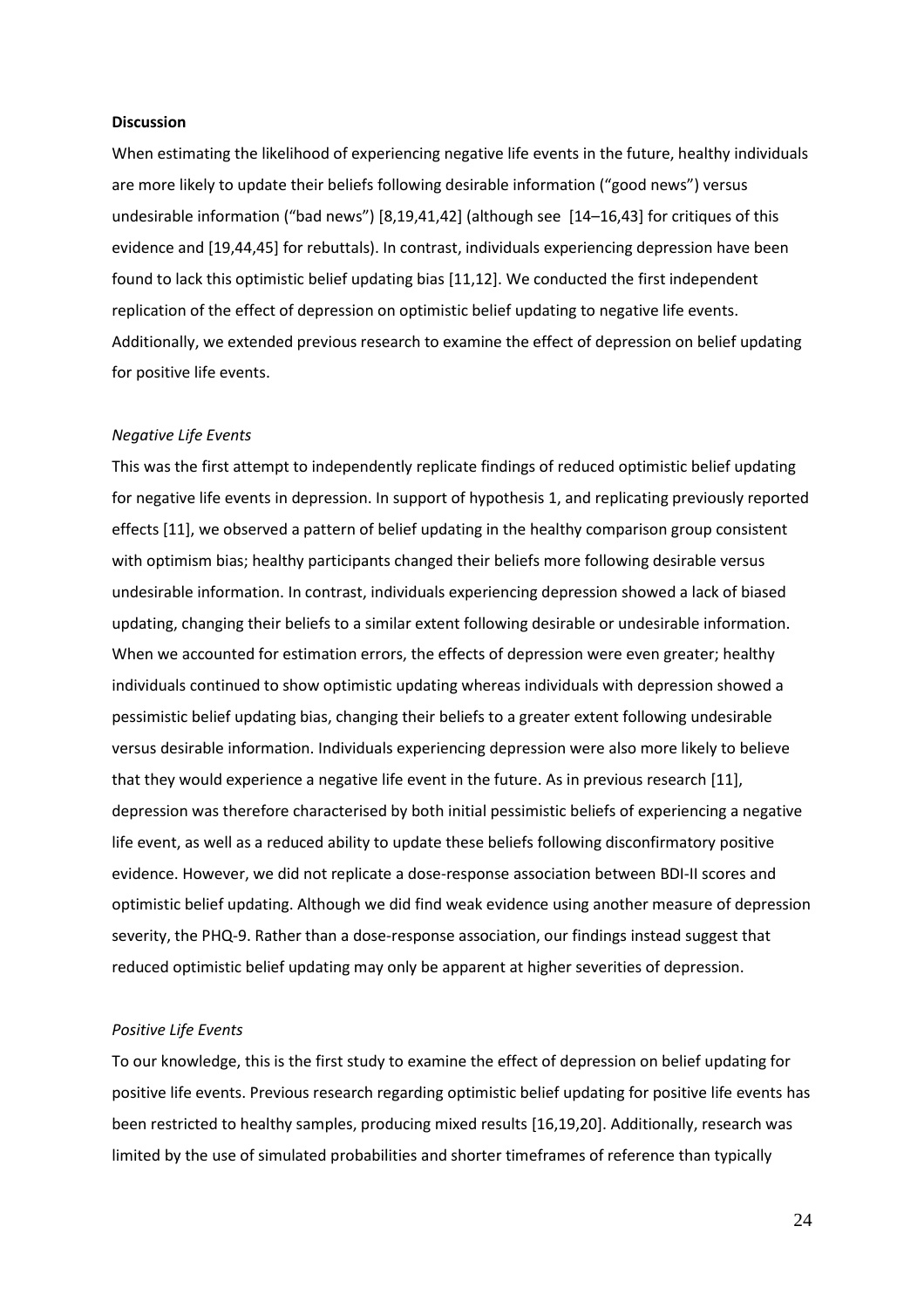### **Discussion**

When estimating the likelihood of experiencing negative life events in the future, healthy individuals are more likely to update their beliefs following desirable information ("good news") versus undesirable information ("bad news") [8,19,41,42] (although see [14–16,43] for critiques of this evidence and [19,44,45] for rebuttals). In contrast, individuals experiencing depression have been found to lack this optimistic belief updating bias [11,12]. We conducted the first independent replication of the effect of depression on optimistic belief updating to negative life events. Additionally, we extended previous research to examine the effect of depression on belief updating for positive life events.

### *Negative Life Events*

This was the first attempt to independently replicate findings of reduced optimistic belief updating for negative life events in depression. In support of hypothesis 1, and replicating previously reported effects [11], we observed a pattern of belief updating in the healthy comparison group consistent with optimism bias; healthy participants changed their beliefs more following desirable versus undesirable information. In contrast, individuals experiencing depression showed a lack of biased updating, changing their beliefs to a similar extent following desirable or undesirable information. When we accounted for estimation errors, the effects of depression were even greater; healthy individuals continued to show optimistic updating whereas individuals with depression showed a pessimistic belief updating bias, changing their beliefs to a greater extent following undesirable versus desirable information. Individuals experiencing depression were also more likely to believe that they would experience a negative life event in the future. As in previous research [11], depression was therefore characterised by both initial pessimistic beliefs of experiencing a negative life event, as well as a reduced ability to update these beliefs following disconfirmatory positive evidence. However, we did not replicate a dose-response association between BDI-II scores and optimistic belief updating. Although we did find weak evidence using another measure of depression severity, the PHQ-9. Rather than a dose-response association, our findings instead suggest that reduced optimistic belief updating may only be apparent at higher severities of depression.

# *Positive Life Events*

To our knowledge, this is the first study to examine the effect of depression on belief updating for positive life events. Previous research regarding optimistic belief updating for positive life events has been restricted to healthy samples, producing mixed results [16,19,20]. Additionally, research was limited by the use of simulated probabilities and shorter timeframes of reference than typically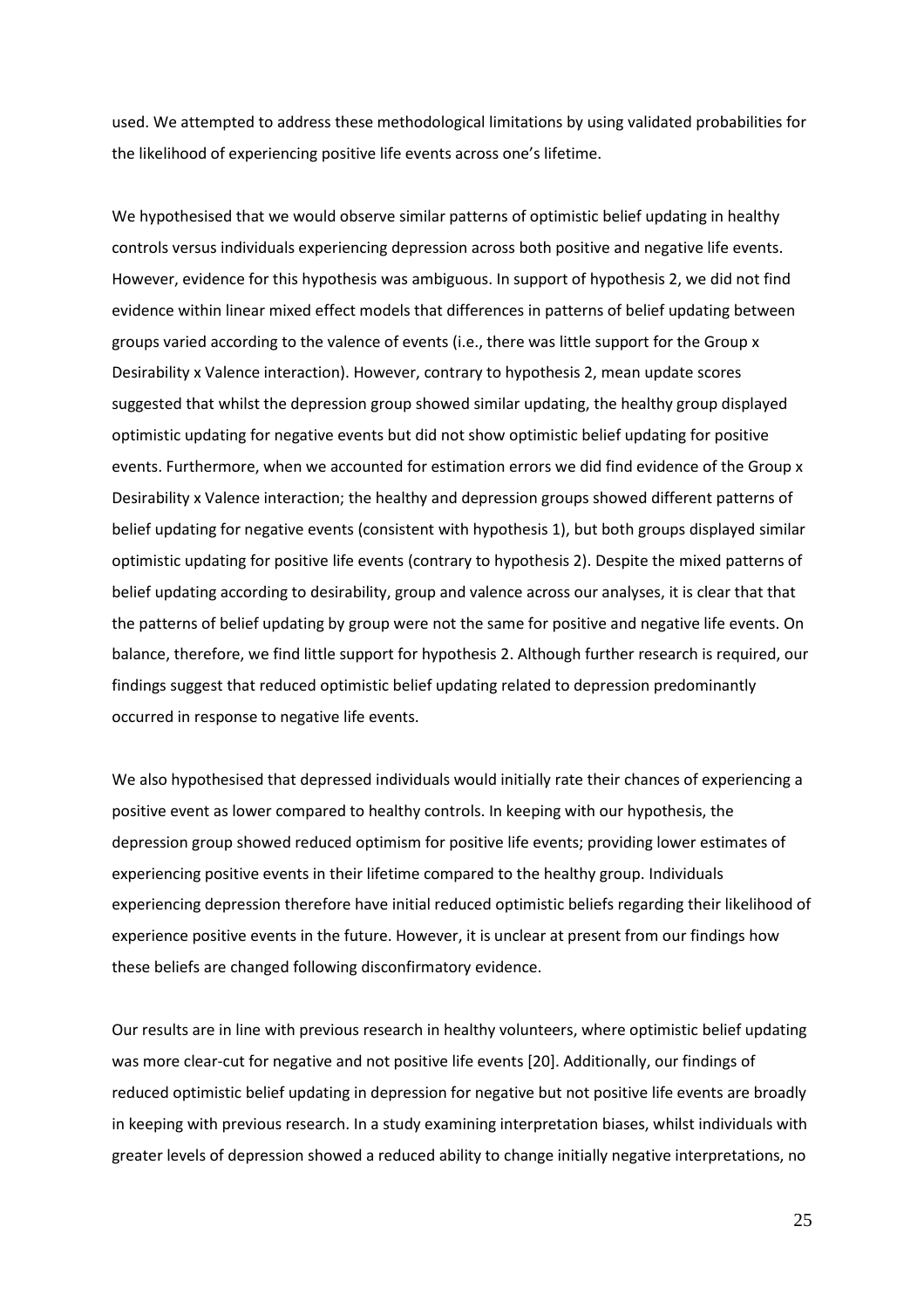used. We attempted to address these methodological limitations by using validated probabilities for the likelihood of experiencing positive life events across one's lifetime.

We hypothesised that we would observe similar patterns of optimistic belief updating in healthy controls versus individuals experiencing depression across both positive and negative life events. However, evidence for this hypothesis was ambiguous. In support of hypothesis 2, we did not find evidence within linear mixed effect models that differences in patterns of belief updating between groups varied according to the valence of events (i.e., there was little support for the Group x Desirability x Valence interaction). However, contrary to hypothesis 2, mean update scores suggested that whilst the depression group showed similar updating, the healthy group displayed optimistic updating for negative events but did not show optimistic belief updating for positive events. Furthermore, when we accounted for estimation errors we did find evidence of the Group x Desirability x Valence interaction; the healthy and depression groups showed different patterns of belief updating for negative events (consistent with hypothesis 1), but both groups displayed similar optimistic updating for positive life events (contrary to hypothesis 2). Despite the mixed patterns of belief updating according to desirability, group and valence across our analyses, it is clear that that the patterns of belief updating by group were not the same for positive and negative life events. On balance, therefore, we find little support for hypothesis 2. Although further research is required, our findings suggest that reduced optimistic belief updating related to depression predominantly occurred in response to negative life events.

We also hypothesised that depressed individuals would initially rate their chances of experiencing a positive event as lower compared to healthy controls. In keeping with our hypothesis, the depression group showed reduced optimism for positive life events; providing lower estimates of experiencing positive events in their lifetime compared to the healthy group. Individuals experiencing depression therefore have initial reduced optimistic beliefs regarding their likelihood of experience positive events in the future. However, it is unclear at present from our findings how these beliefs are changed following disconfirmatory evidence.

Our results are in line with previous research in healthy volunteers, where optimistic belief updating was more clear-cut for negative and not positive life events [20]. Additionally, our findings of reduced optimistic belief updating in depression for negative but not positive life events are broadly in keeping with previous research. In a study examining interpretation biases, whilst individuals with greater levels of depression showed a reduced ability to change initially negative interpretations, no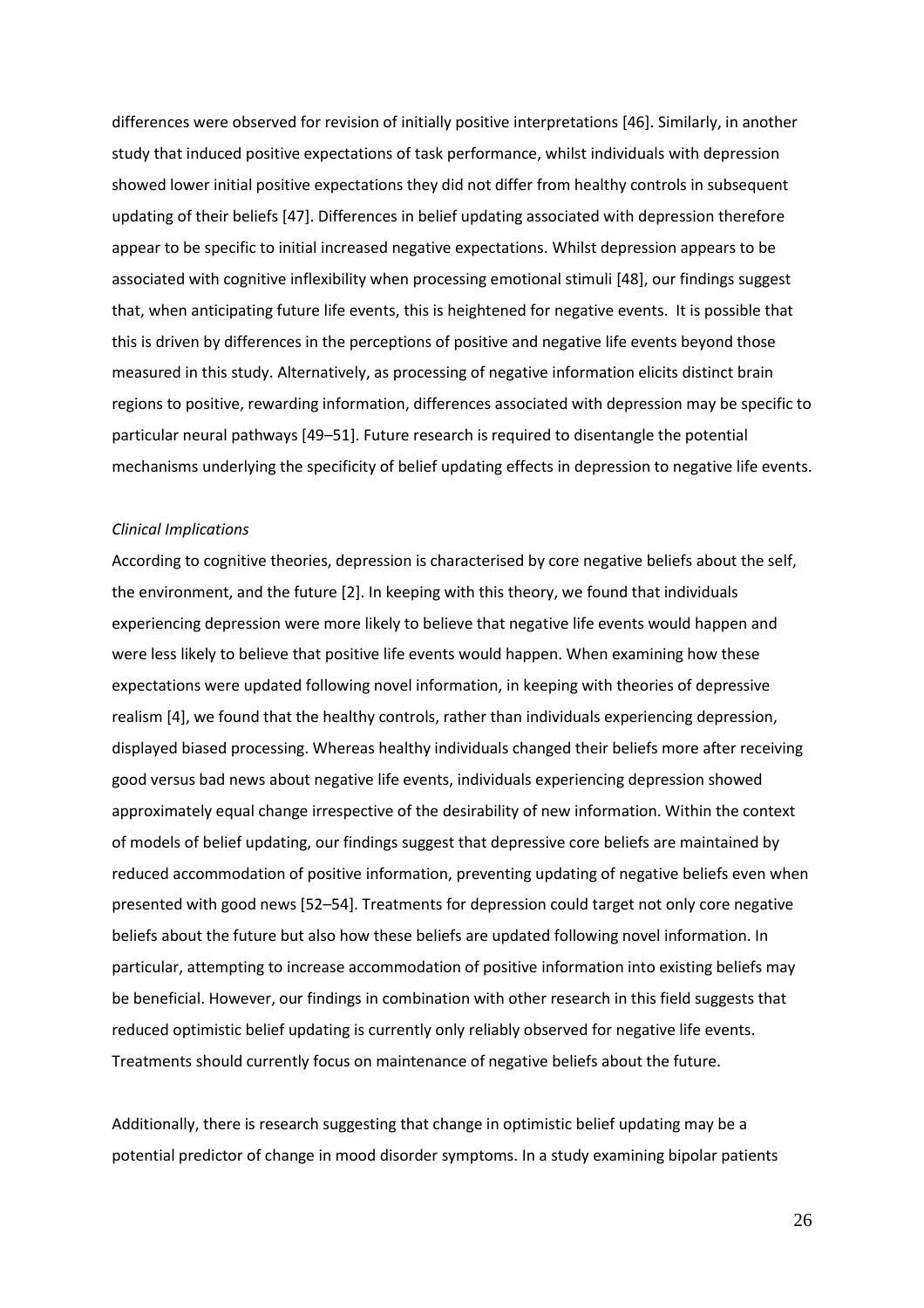differences were observed for revision of initially positive interpretations [46]. Similarly, in another study that induced positive expectations of task performance, whilst individuals with depression showed lower initial positive expectations they did not differ from healthy controls in subsequent updating of their beliefs [47]. Differences in belief updating associated with depression therefore appear to be specific to initial increased negative expectations. Whilst depression appears to be associated with cognitive inflexibility when processing emotional stimuli [48], our findings suggest that, when anticipating future life events, this is heightened for negative events. It is possible that this is driven by differences in the perceptions of positive and negative life events beyond those measured in this study. Alternatively, as processing of negative information elicits distinct brain regions to positive, rewarding information, differences associated with depression may be specific to particular neural pathways [49–51]. Future research is required to disentangle the potential mechanisms underlying the specificity of belief updating effects in depression to negative life events.

### *Clinical Implications*

According to cognitive theories, depression is characterised by core negative beliefs about the self, the environment, and the future [2]. In keeping with this theory, we found that individuals experiencing depression were more likely to believe that negative life events would happen and were less likely to believe that positive life events would happen. When examining how these expectations were updated following novel information, in keeping with theories of depressive realism [4], we found that the healthy controls, rather than individuals experiencing depression, displayed biased processing. Whereas healthy individuals changed their beliefs more after receiving good versus bad news about negative life events, individuals experiencing depression showed approximately equal change irrespective of the desirability of new information. Within the context of models of belief updating, our findings suggest that depressive core beliefs are maintained by reduced accommodation of positive information, preventing updating of negative beliefs even when presented with good news [52–54]. Treatments for depression could target not only core negative beliefs about the future but also how these beliefs are updated following novel information. In particular, attempting to increase accommodation of positive information into existing beliefs may be beneficial. However, our findings in combination with other research in this field suggests that reduced optimistic belief updating is currently only reliably observed for negative life events. Treatments should currently focus on maintenance of negative beliefs about the future.

Additionally, there is research suggesting that change in optimistic belief updating may be a potential predictor of change in mood disorder symptoms. In a study examining bipolar patients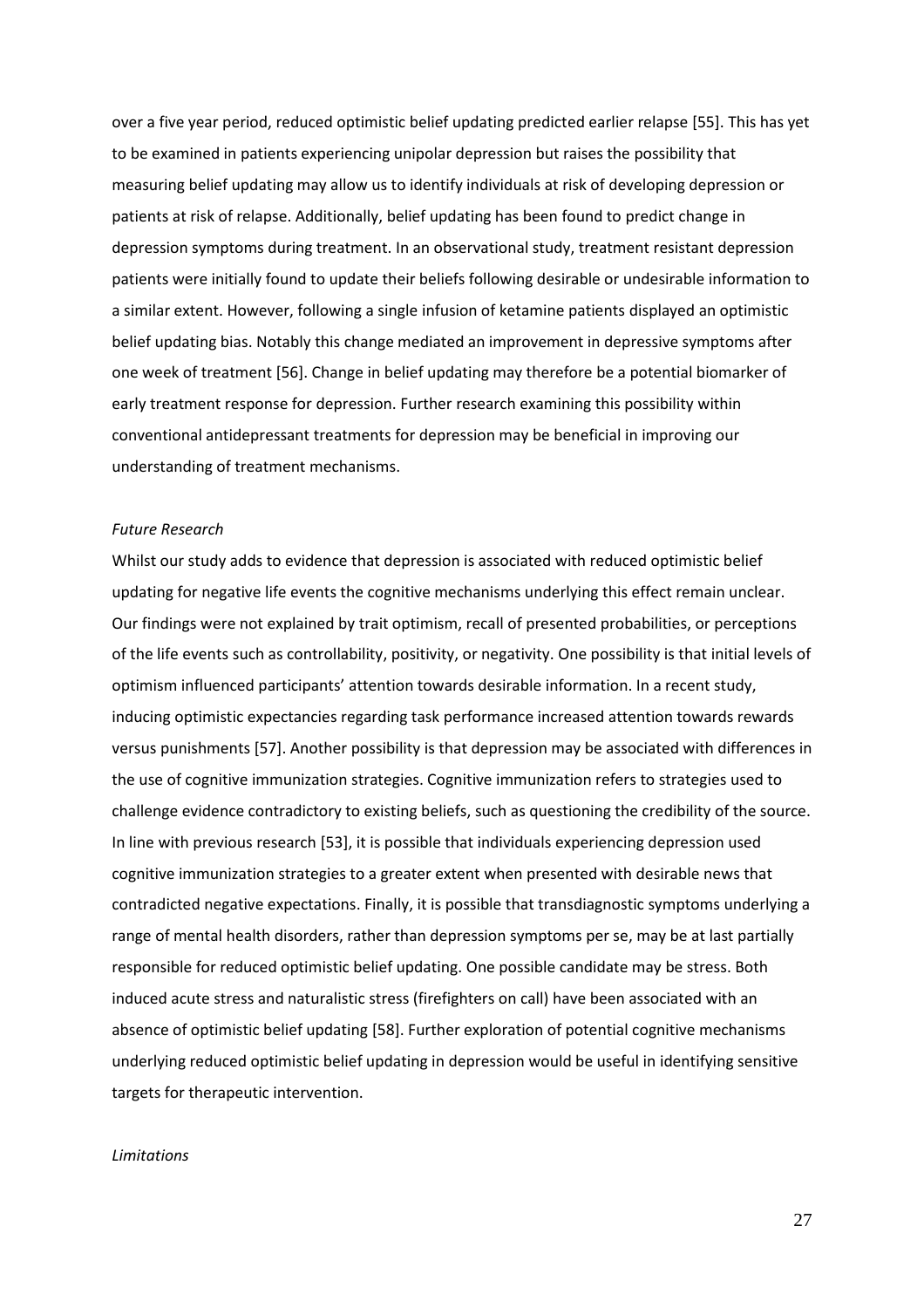over a five year period, reduced optimistic belief updating predicted earlier relapse [55]. This has yet to be examined in patients experiencing unipolar depression but raises the possibility that measuring belief updating may allow us to identify individuals at risk of developing depression or patients at risk of relapse. Additionally, belief updating has been found to predict change in depression symptoms during treatment. In an observational study, treatment resistant depression patients were initially found to update their beliefs following desirable or undesirable information to a similar extent. However, following a single infusion of ketamine patients displayed an optimistic belief updating bias. Notably this change mediated an improvement in depressive symptoms after one week of treatment [56]. Change in belief updating may therefore be a potential biomarker of early treatment response for depression. Further research examining this possibility within conventional antidepressant treatments for depression may be beneficial in improving our understanding of treatment mechanisms.

# *Future Research*

Whilst our study adds to evidence that depression is associated with reduced optimistic belief updating for negative life events the cognitive mechanisms underlying this effect remain unclear. Our findings were not explained by trait optimism, recall of presented probabilities, or perceptions of the life events such as controllability, positivity, or negativity. One possibility is that initial levels of optimism influenced participants' attention towards desirable information. In a recent study, inducing optimistic expectancies regarding task performance increased attention towards rewards versus punishments [57]. Another possibility is that depression may be associated with differences in the use of cognitive immunization strategies. Cognitive immunization refers to strategies used to challenge evidence contradictory to existing beliefs, such as questioning the credibility of the source. In line with previous research [53], it is possible that individuals experiencing depression used cognitive immunization strategies to a greater extent when presented with desirable news that contradicted negative expectations. Finally, it is possible that transdiagnostic symptoms underlying a range of mental health disorders, rather than depression symptoms per se, may be at last partially responsible for reduced optimistic belief updating. One possible candidate may be stress. Both induced acute stress and naturalistic stress (firefighters on call) have been associated with an absence of optimistic belief updating [58]. Further exploration of potential cognitive mechanisms underlying reduced optimistic belief updating in depression would be useful in identifying sensitive targets for therapeutic intervention.

### *Limitations*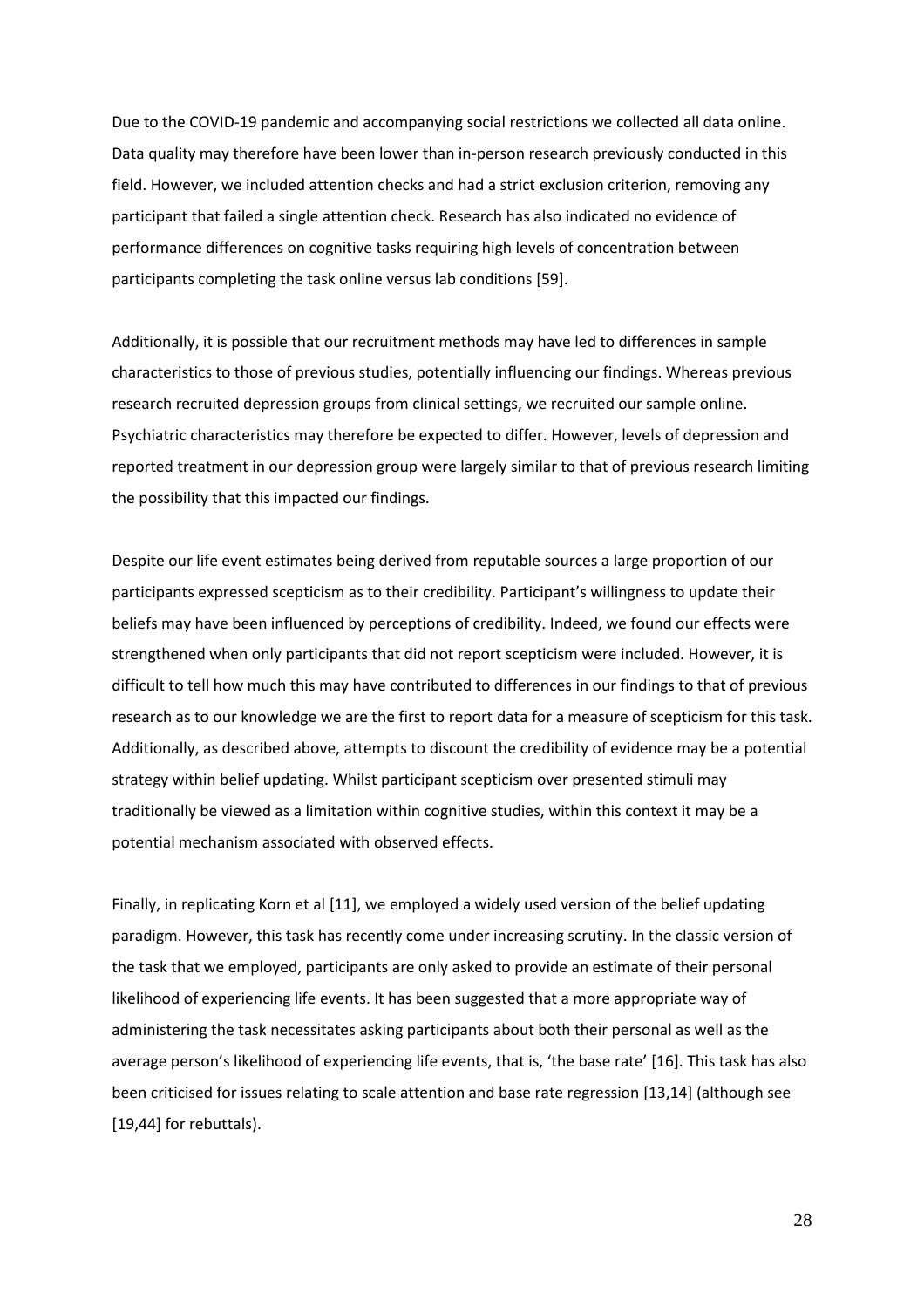Due to the COVID-19 pandemic and accompanying social restrictions we collected all data online. Data quality may therefore have been lower than in-person research previously conducted in this field. However, we included attention checks and had a strict exclusion criterion, removing any participant that failed a single attention check. Research has also indicated no evidence of performance differences on cognitive tasks requiring high levels of concentration between participants completing the task online versus lab conditions [59].

Additionally, it is possible that our recruitment methods may have led to differences in sample characteristics to those of previous studies, potentially influencing our findings. Whereas previous research recruited depression groups from clinical settings, we recruited our sample online. Psychiatric characteristics may therefore be expected to differ. However, levels of depression and reported treatment in our depression group were largely similar to that of previous research limiting the possibility that this impacted our findings.

Despite our life event estimates being derived from reputable sources a large proportion of our participants expressed scepticism as to their credibility. Participant's willingness to update their beliefs may have been influenced by perceptions of credibility. Indeed, we found our effects were strengthened when only participants that did not report scepticism were included. However, it is difficult to tell how much this may have contributed to differences in our findings to that of previous research as to our knowledge we are the first to report data for a measure of scepticism for this task. Additionally, as described above, attempts to discount the credibility of evidence may be a potential strategy within belief updating. Whilst participant scepticism over presented stimuli may traditionally be viewed as a limitation within cognitive studies, within this context it may be a potential mechanism associated with observed effects.

Finally, in replicating Korn et al [11], we employed a widely used version of the belief updating paradigm. However, this task has recently come under increasing scrutiny. In the classic version of the task that we employed, participants are only asked to provide an estimate of their personal likelihood of experiencing life events. It has been suggested that a more appropriate way of administering the task necessitates asking participants about both their personal as well as the average person's likelihood of experiencing life events, that is, 'the base rate' [16]. This task has also been criticised for issues relating to scale attention and base rate regression [13,14] (although see [19,44] for rebuttals).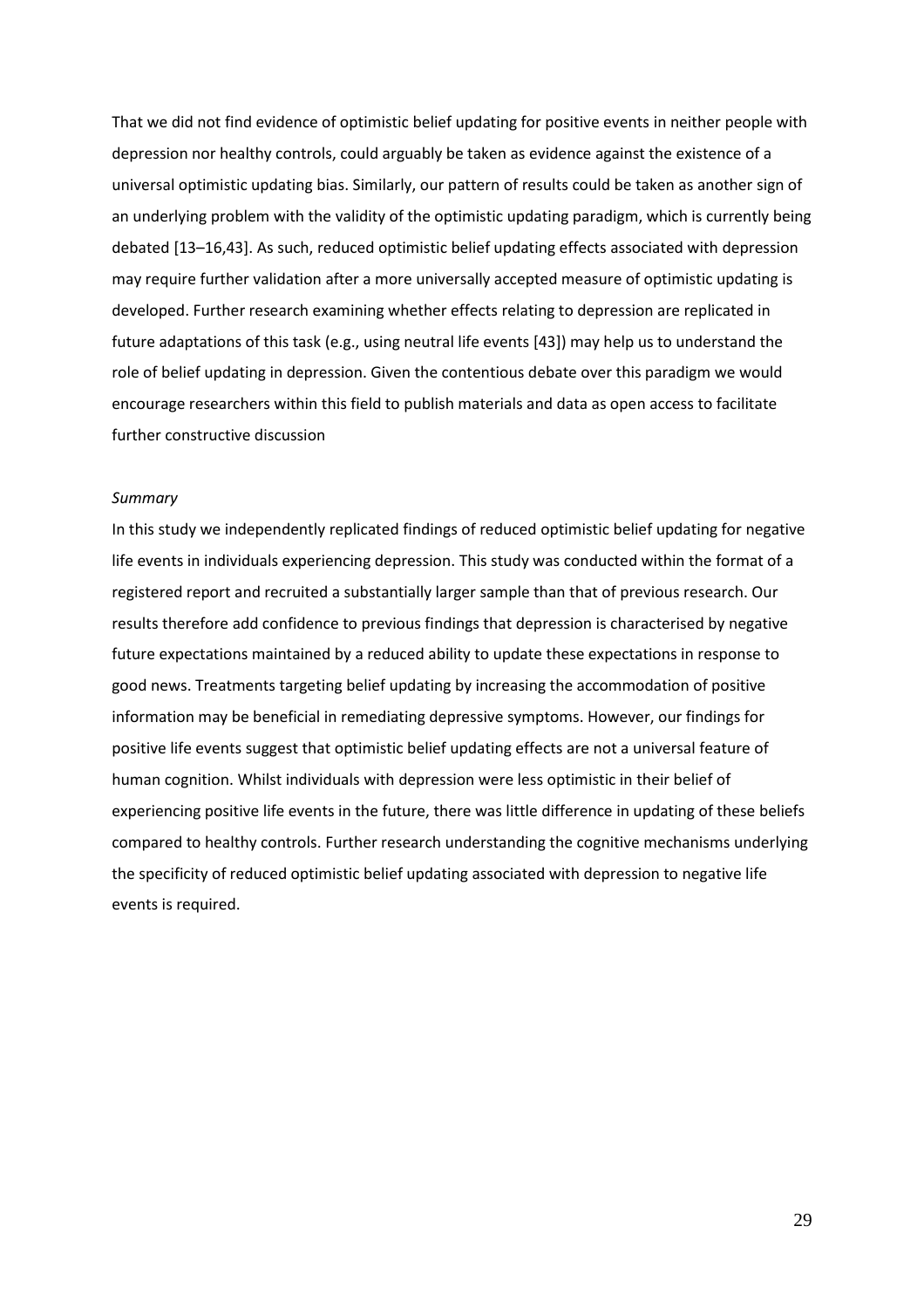That we did not find evidence of optimistic belief updating for positive events in neither people with depression nor healthy controls, could arguably be taken as evidence against the existence of a universal optimistic updating bias. Similarly, our pattern of results could be taken as another sign of an underlying problem with the validity of the optimistic updating paradigm, which is currently being debated [13–16,43]. As such, reduced optimistic belief updating effects associated with depression may require further validation after a more universally accepted measure of optimistic updating is developed. Further research examining whether effects relating to depression are replicated in future adaptations of this task (e.g., using neutral life events [43]) may help us to understand the role of belief updating in depression. Given the contentious debate over this paradigm we would encourage researchers within this field to publish materials and data as open access to facilitate further constructive discussion

# *Summary*

In this study we independently replicated findings of reduced optimistic belief updating for negative life events in individuals experiencing depression. This study was conducted within the format of a registered report and recruited a substantially larger sample than that of previous research. Our results therefore add confidence to previous findings that depression is characterised by negative future expectations maintained by a reduced ability to update these expectations in response to good news. Treatments targeting belief updating by increasing the accommodation of positive information may be beneficial in remediating depressive symptoms. However, our findings for positive life events suggest that optimistic belief updating effects are not a universal feature of human cognition. Whilst individuals with depression were less optimistic in their belief of experiencing positive life events in the future, there was little difference in updating of these beliefs compared to healthy controls. Further research understanding the cognitive mechanisms underlying the specificity of reduced optimistic belief updating associated with depression to negative life events is required.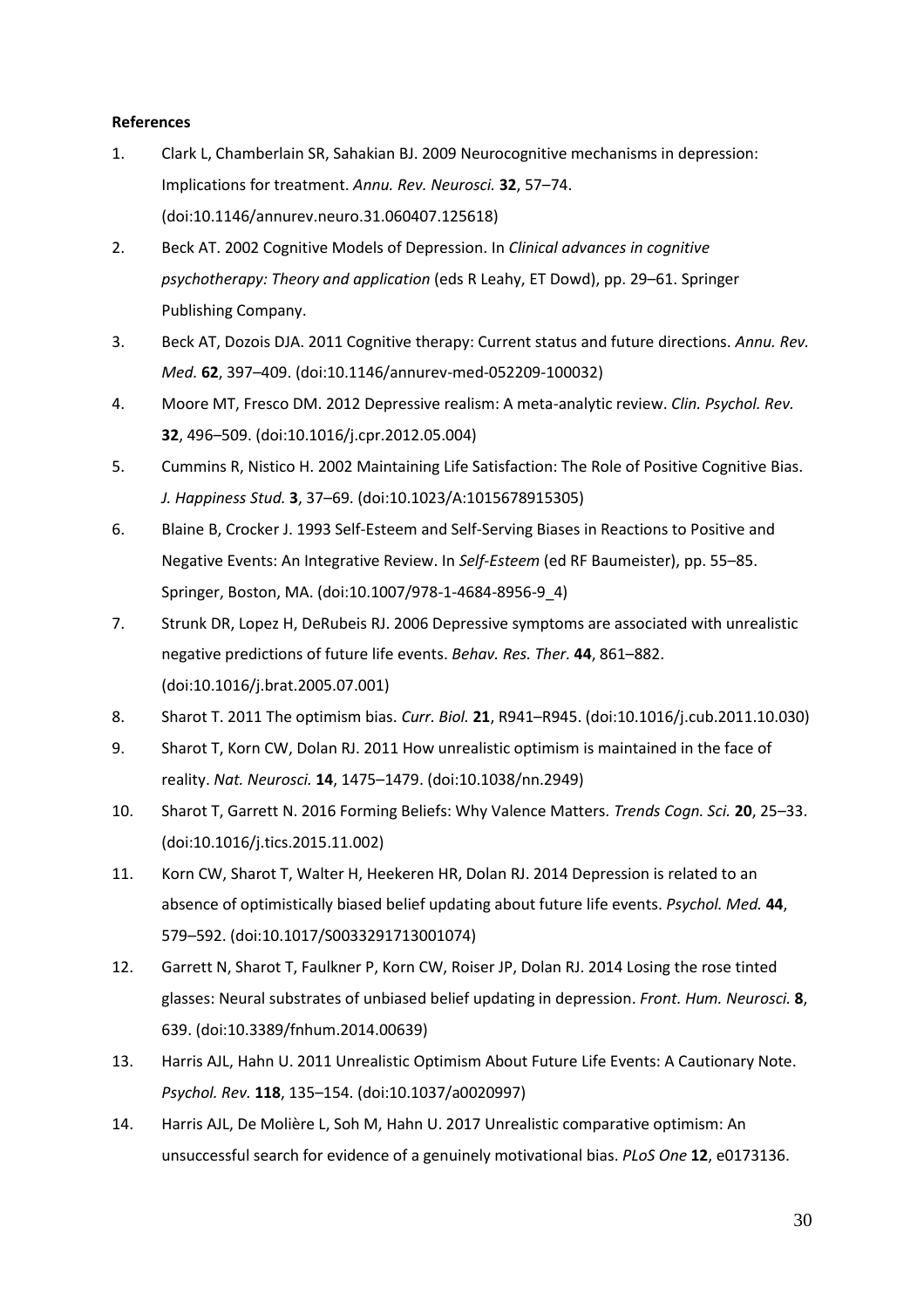# **References**

- 1. Clark L, Chamberlain SR, Sahakian BJ. 2009 Neurocognitive mechanisms in depression: Implications for treatment. *Annu. Rev. Neurosci.* **32**, 57–74. (doi:10.1146/annurev.neuro.31.060407.125618)
- 2. Beck AT. 2002 Cognitive Models of Depression. In *Clinical advances in cognitive psychotherapy: Theory and application* (eds R Leahy, ET Dowd), pp. 29–61. Springer Publishing Company.
- 3. Beck AT, Dozois DJA. 2011 Cognitive therapy: Current status and future directions. *Annu. Rev. Med.* **62**, 397–409. (doi:10.1146/annurev-med-052209-100032)
- 4. Moore MT, Fresco DM. 2012 Depressive realism: A meta-analytic review. *Clin. Psychol. Rev.* **32**, 496–509. (doi:10.1016/j.cpr.2012.05.004)
- 5. Cummins R, Nistico H. 2002 Maintaining Life Satisfaction: The Role of Positive Cognitive Bias. *J. Happiness Stud.* **3**, 37–69. (doi:10.1023/A:1015678915305)
- 6. Blaine B, Crocker J. 1993 Self-Esteem and Self-Serving Biases in Reactions to Positive and Negative Events: An Integrative Review. In *Self-Esteem* (ed RF Baumeister), pp. 55–85. Springer, Boston, MA. (doi:10.1007/978-1-4684-8956-9\_4)
- 7. Strunk DR, Lopez H, DeRubeis RJ. 2006 Depressive symptoms are associated with unrealistic negative predictions of future life events. *Behav. Res. Ther.* **44**, 861–882. (doi:10.1016/j.brat.2005.07.001)
- 8. Sharot T. 2011 The optimism bias. *Curr. Biol.* **21**, R941–R945. (doi:10.1016/j.cub.2011.10.030)
- 9. Sharot T, Korn CW, Dolan RJ. 2011 How unrealistic optimism is maintained in the face of reality. *Nat. Neurosci.* **14**, 1475–1479. (doi:10.1038/nn.2949)
- 10. Sharot T, Garrett N. 2016 Forming Beliefs: Why Valence Matters. *Trends Cogn. Sci.* **20**, 25–33. (doi:10.1016/j.tics.2015.11.002)
- 11. Korn CW, Sharot T, Walter H, Heekeren HR, Dolan RJ. 2014 Depression is related to an absence of optimistically biased belief updating about future life events. *Psychol. Med.* **44**, 579–592. (doi:10.1017/S0033291713001074)
- 12. Garrett N, Sharot T, Faulkner P, Korn CW, Roiser JP, Dolan RJ. 2014 Losing the rose tinted glasses: Neural substrates of unbiased belief updating in depression. *Front. Hum. Neurosci.* **8**, 639. (doi:10.3389/fnhum.2014.00639)
- 13. Harris AJL, Hahn U. 2011 Unrealistic Optimism About Future Life Events: A Cautionary Note. *Psychol. Rev.* **118**, 135–154. (doi:10.1037/a0020997)
- 14. Harris AJL, De Molière L, Soh M, Hahn U. 2017 Unrealistic comparative optimism: An unsuccessful search for evidence of a genuinely motivational bias. *PLoS One* **12**, e0173136.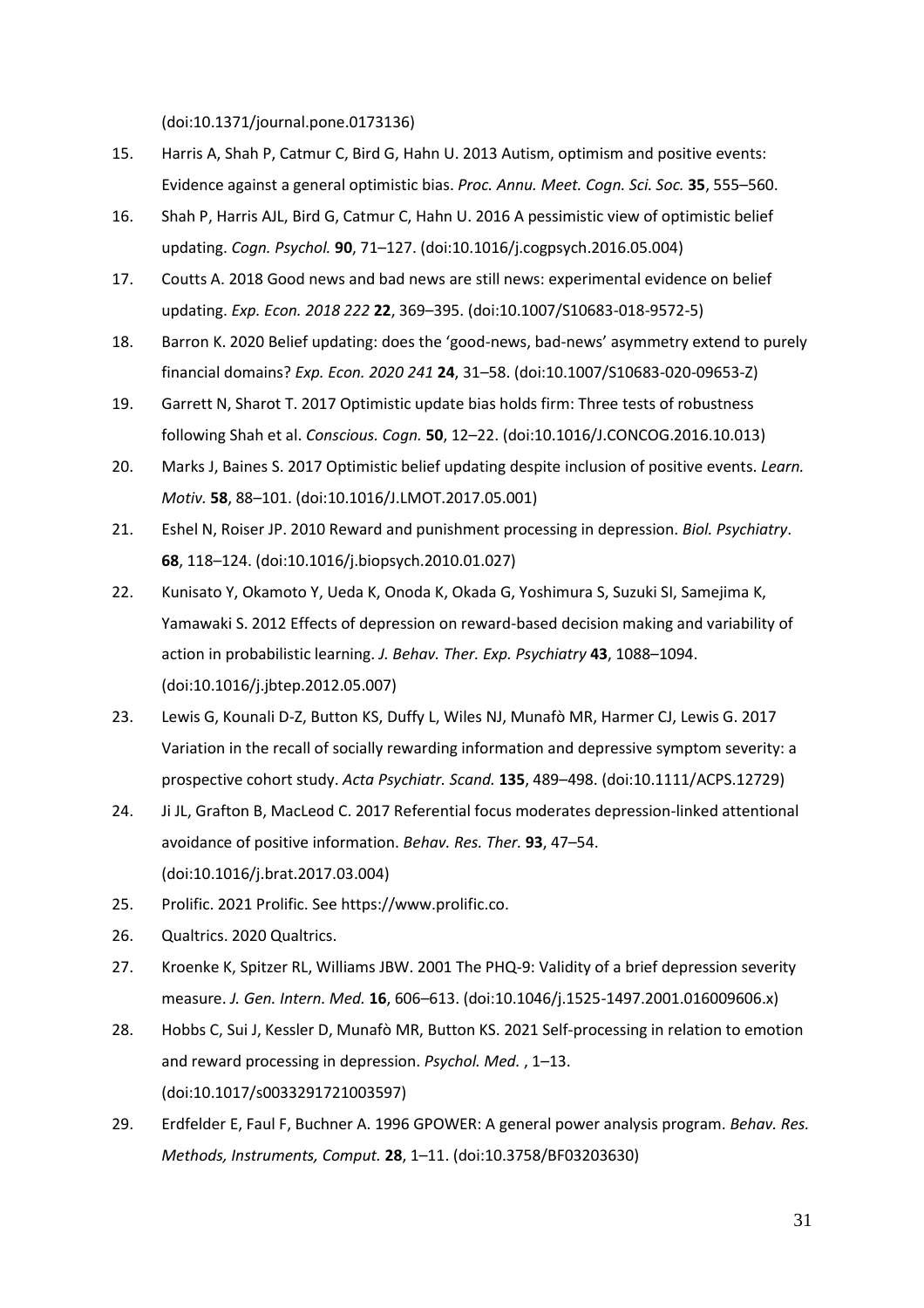(doi:10.1371/journal.pone.0173136)

- 15. Harris A, Shah P, Catmur C, Bird G, Hahn U. 2013 Autism, optimism and positive events: Evidence against a general optimistic bias. *Proc. Annu. Meet. Cogn. Sci. Soc.* **35**, 555–560.
- 16. Shah P, Harris AJL, Bird G, Catmur C, Hahn U. 2016 A pessimistic view of optimistic belief updating. *Cogn. Psychol.* **90**, 71–127. (doi:10.1016/j.cogpsych.2016.05.004)
- 17. Coutts A. 2018 Good news and bad news are still news: experimental evidence on belief updating. *Exp. Econ. 2018 222* **22**, 369–395. (doi:10.1007/S10683-018-9572-5)
- 18. Barron K. 2020 Belief updating: does the 'good-news, bad-news' asymmetry extend to purely financial domains? *Exp. Econ. 2020 241* **24**, 31–58. (doi:10.1007/S10683-020-09653-Z)
- 19. Garrett N, Sharot T. 2017 Optimistic update bias holds firm: Three tests of robustness following Shah et al. *Conscious. Cogn.* **50**, 12–22. (doi:10.1016/J.CONCOG.2016.10.013)
- 20. Marks J, Baines S. 2017 Optimistic belief updating despite inclusion of positive events. *Learn. Motiv.* **58**, 88–101. (doi:10.1016/J.LMOT.2017.05.001)
- 21. Eshel N, Roiser JP. 2010 Reward and punishment processing in depression. *Biol. Psychiatry*. **68**, 118–124. (doi:10.1016/j.biopsych.2010.01.027)
- 22. Kunisato Y, Okamoto Y, Ueda K, Onoda K, Okada G, Yoshimura S, Suzuki SI, Samejima K, Yamawaki S. 2012 Effects of depression on reward-based decision making and variability of action in probabilistic learning. *J. Behav. Ther. Exp. Psychiatry* **43**, 1088–1094. (doi:10.1016/j.jbtep.2012.05.007)
- 23. Lewis G, Kounali D-Z, Button KS, Duffy L, Wiles NJ, Munafò MR, Harmer CJ, Lewis G. 2017 Variation in the recall of socially rewarding information and depressive symptom severity: a prospective cohort study. *Acta Psychiatr. Scand.* **135**, 489–498. (doi:10.1111/ACPS.12729)
- 24. Ji JL, Grafton B, MacLeod C. 2017 Referential focus moderates depression-linked attentional avoidance of positive information. *Behav. Res. Ther.* **93**, 47–54. (doi:10.1016/j.brat.2017.03.004)
- 25. Prolific. 2021 Prolific. See https://www.prolific.co.
- 26. Qualtrics. 2020 Qualtrics.
- 27. Kroenke K, Spitzer RL, Williams JBW. 2001 The PHQ-9: Validity of a brief depression severity measure. *J. Gen. Intern. Med.* **16**, 606–613. (doi:10.1046/j.1525-1497.2001.016009606.x)
- 28. Hobbs C, Sui J, Kessler D, Munafò MR, Button KS. 2021 Self-processing in relation to emotion and reward processing in depression. *Psychol. Med.* , 1–13. (doi:10.1017/s0033291721003597)
- 29. Erdfelder E, Faul F, Buchner A. 1996 GPOWER: A general power analysis program. *Behav. Res. Methods, Instruments, Comput.* **28**, 1–11. (doi:10.3758/BF03203630)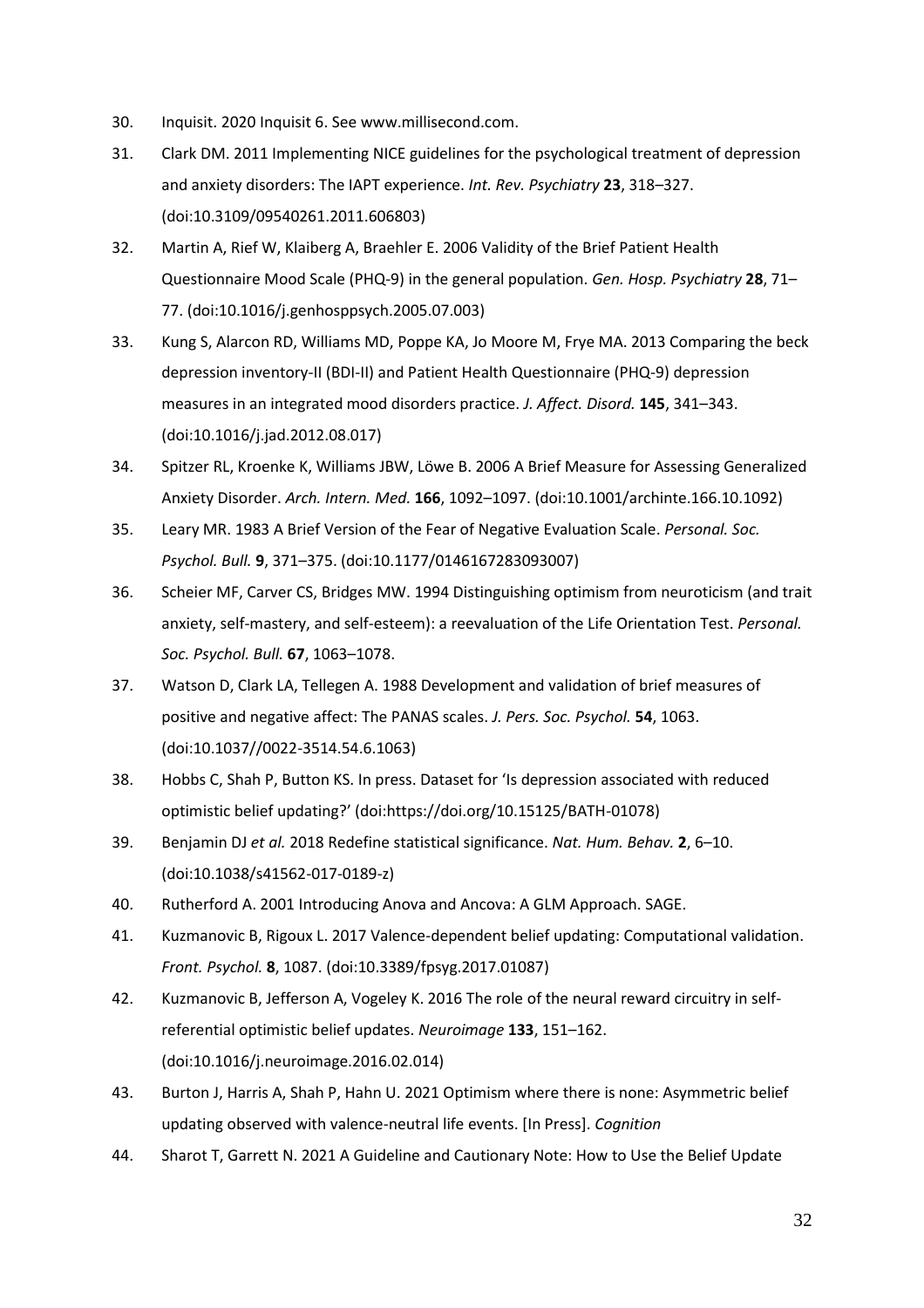- 30. Inquisit. 2020 Inquisit 6. See www.millisecond.com.
- 31. Clark DM. 2011 Implementing NICE guidelines for the psychological treatment of depression and anxiety disorders: The IAPT experience. *Int. Rev. Psychiatry* **23**, 318–327. (doi:10.3109/09540261.2011.606803)
- 32. Martin A, Rief W, Klaiberg A, Braehler E. 2006 Validity of the Brief Patient Health Questionnaire Mood Scale (PHQ-9) in the general population. *Gen. Hosp. Psychiatry* **28**, 71– 77. (doi:10.1016/j.genhosppsych.2005.07.003)
- 33. Kung S, Alarcon RD, Williams MD, Poppe KA, Jo Moore M, Frye MA. 2013 Comparing the beck depression inventory-II (BDI-II) and Patient Health Questionnaire (PHQ-9) depression measures in an integrated mood disorders practice. *J. Affect. Disord.* **145**, 341–343. (doi:10.1016/j.jad.2012.08.017)
- 34. Spitzer RL, Kroenke K, Williams JBW, Löwe B. 2006 A Brief Measure for Assessing Generalized Anxiety Disorder. *Arch. Intern. Med.* **166**, 1092–1097. (doi:10.1001/archinte.166.10.1092)
- 35. Leary MR. 1983 A Brief Version of the Fear of Negative Evaluation Scale. *Personal. Soc. Psychol. Bull.* **9**, 371–375. (doi:10.1177/0146167283093007)
- 36. Scheier MF, Carver CS, Bridges MW. 1994 Distinguishing optimism from neuroticism (and trait anxiety, self-mastery, and self-esteem): a reevaluation of the Life Orientation Test. *Personal. Soc. Psychol. Bull.* **67**, 1063–1078.
- 37. Watson D, Clark LA, Tellegen A. 1988 Development and validation of brief measures of positive and negative affect: The PANAS scales. *J. Pers. Soc. Psychol.* **54**, 1063. (doi:10.1037//0022-3514.54.6.1063)
- 38. Hobbs C, Shah P, Button KS. In press. Dataset for 'Is depression associated with reduced optimistic belief updating?' (doi:https://doi.org/10.15125/BATH-01078)
- 39. Benjamin DJ *et al.* 2018 Redefine statistical significance. *Nat. Hum. Behav.* **2**, 6–10. (doi:10.1038/s41562-017-0189-z)
- 40. Rutherford A. 2001 Introducing Anova and Ancova: A GLM Approach. SAGE.
- 41. Kuzmanovic B, Rigoux L. 2017 Valence-dependent belief updating: Computational validation. *Front. Psychol.* **8**, 1087. (doi:10.3389/fpsyg.2017.01087)
- 42. Kuzmanovic B, Jefferson A, Vogeley K. 2016 The role of the neural reward circuitry in selfreferential optimistic belief updates. *Neuroimage* **133**, 151–162. (doi:10.1016/j.neuroimage.2016.02.014)
- 43. Burton J, Harris A, Shah P, Hahn U. 2021 Optimism where there is none: Asymmetric belief updating observed with valence-neutral life events. [In Press]. *Cognition*
- 44. Sharot T, Garrett N. 2021 A Guideline and Cautionary Note: How to Use the Belief Update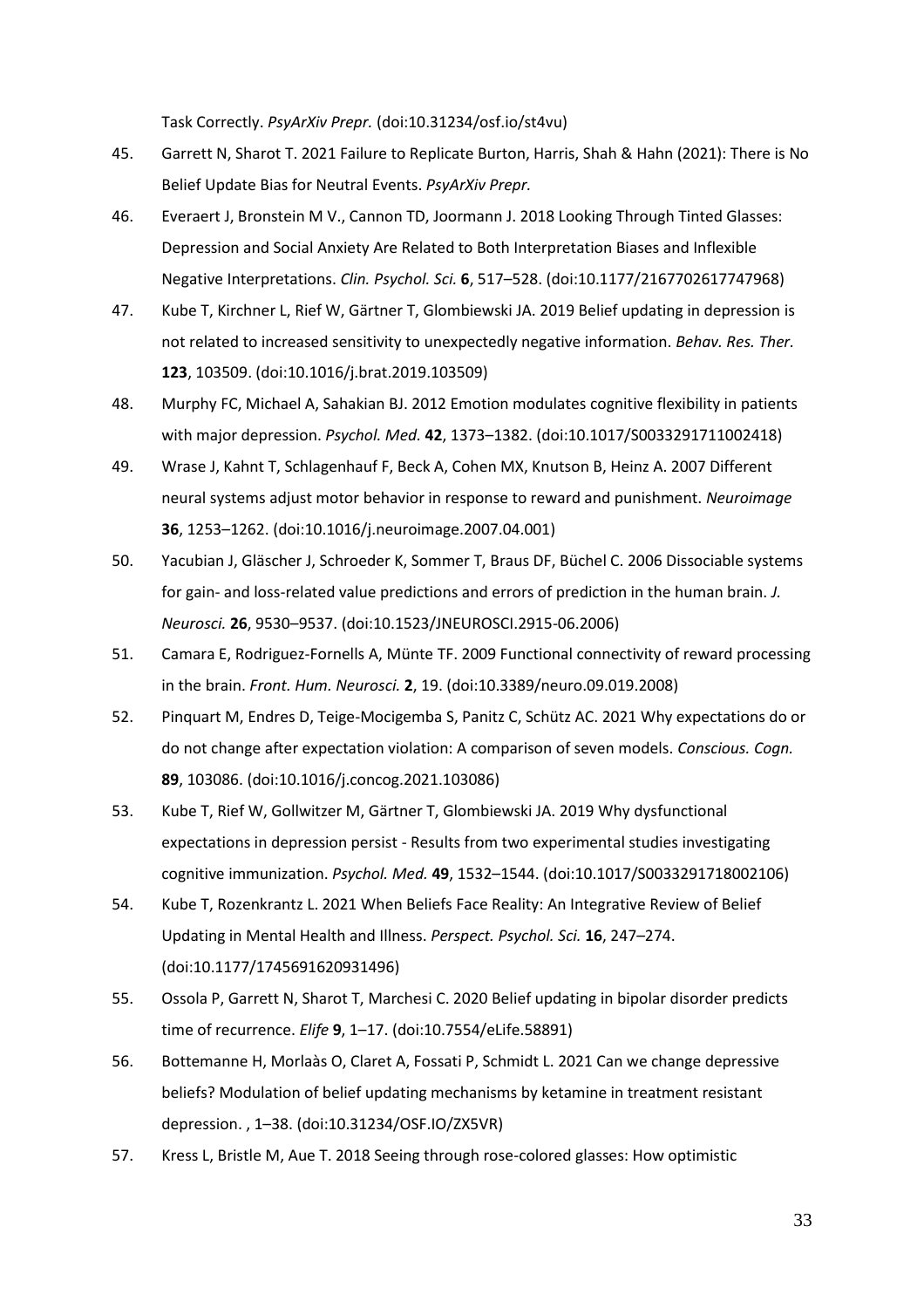Task Correctly. *PsyArXiv Prepr.* (doi:10.31234/osf.io/st4vu)

- 45. Garrett N, Sharot T. 2021 Failure to Replicate Burton, Harris, Shah & Hahn (2021): There is No Belief Update Bias for Neutral Events. *PsyArXiv Prepr.*
- 46. Everaert J, Bronstein M V., Cannon TD, Joormann J. 2018 Looking Through Tinted Glasses: Depression and Social Anxiety Are Related to Both Interpretation Biases and Inflexible Negative Interpretations. *Clin. Psychol. Sci.* **6**, 517–528. (doi:10.1177/2167702617747968)
- 47. Kube T, Kirchner L, Rief W, Gärtner T, Glombiewski JA. 2019 Belief updating in depression is not related to increased sensitivity to unexpectedly negative information. *Behav. Res. Ther.* **123**, 103509. (doi:10.1016/j.brat.2019.103509)
- 48. Murphy FC, Michael A, Sahakian BJ. 2012 Emotion modulates cognitive flexibility in patients with major depression. *Psychol. Med.* **42**, 1373–1382. (doi:10.1017/S0033291711002418)
- 49. Wrase J, Kahnt T, Schlagenhauf F, Beck A, Cohen MX, Knutson B, Heinz A. 2007 Different neural systems adjust motor behavior in response to reward and punishment. *Neuroimage* **36**, 1253–1262. (doi:10.1016/j.neuroimage.2007.04.001)
- 50. Yacubian J, Gläscher J, Schroeder K, Sommer T, Braus DF, Büchel C. 2006 Dissociable systems for gain- and loss-related value predictions and errors of prediction in the human brain. *J. Neurosci.* **26**, 9530–9537. (doi:10.1523/JNEUROSCI.2915-06.2006)
- 51. Camara E, Rodriguez-Fornells A, Münte TF. 2009 Functional connectivity of reward processing in the brain. *Front. Hum. Neurosci.* **2**, 19. (doi:10.3389/neuro.09.019.2008)
- 52. Pinquart M, Endres D, Teige-Mocigemba S, Panitz C, Schütz AC. 2021 Why expectations do or do not change after expectation violation: A comparison of seven models. *Conscious. Cogn.* **89**, 103086. (doi:10.1016/j.concog.2021.103086)
- 53. Kube T, Rief W, Gollwitzer M, Gärtner T, Glombiewski JA. 2019 Why dysfunctional expectations in depression persist - Results from two experimental studies investigating cognitive immunization. *Psychol. Med.* **49**, 1532–1544. (doi:10.1017/S0033291718002106)
- 54. Kube T, Rozenkrantz L. 2021 When Beliefs Face Reality: An Integrative Review of Belief Updating in Mental Health and Illness. *Perspect. Psychol. Sci.* **16**, 247–274. (doi:10.1177/1745691620931496)
- 55. Ossola P, Garrett N, Sharot T, Marchesi C. 2020 Belief updating in bipolar disorder predicts time of recurrence. *Elife* **9**, 1–17. (doi:10.7554/eLife.58891)
- 56. Bottemanne H, Morlaàs O, Claret A, Fossati P, Schmidt L. 2021 Can we change depressive beliefs? Modulation of belief updating mechanisms by ketamine in treatment resistant depression. , 1–38. (doi:10.31234/OSF.IO/ZX5VR)
- 57. Kress L, Bristle M, Aue T. 2018 Seeing through rose-colored glasses: How optimistic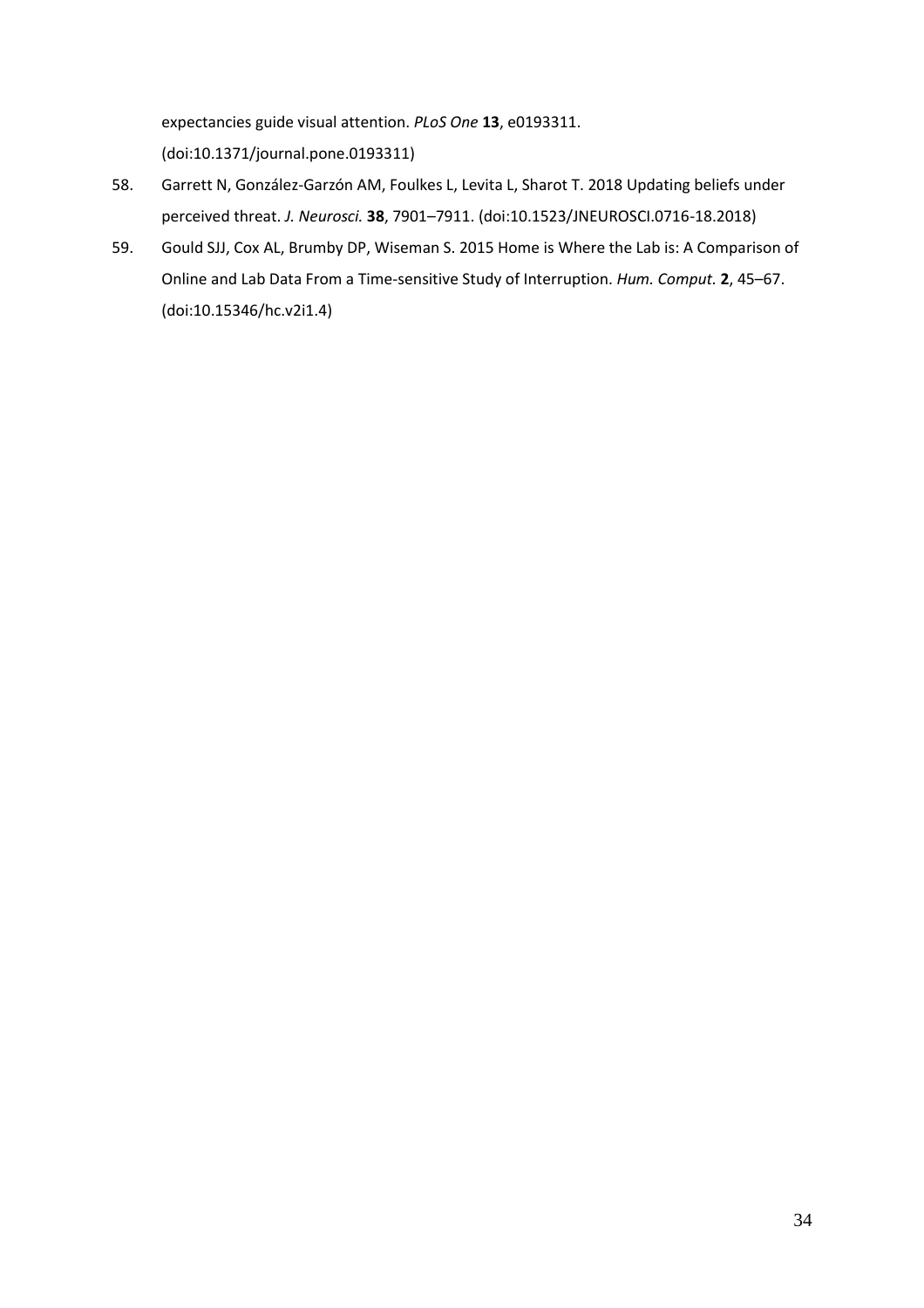expectancies guide visual attention. *PLoS One* **13**, e0193311. (doi:10.1371/journal.pone.0193311)

- 58. Garrett N, González-Garzón AM, Foulkes L, Levita L, Sharot T. 2018 Updating beliefs under perceived threat. *J. Neurosci.* **38**, 7901–7911. (doi:10.1523/JNEUROSCI.0716-18.2018)
- 59. Gould SJJ, Cox AL, Brumby DP, Wiseman S. 2015 Home is Where the Lab is: A Comparison of Online and Lab Data From a Time-sensitive Study of Interruption. *Hum. Comput.* **2**, 45–67. (doi:10.15346/hc.v2i1.4)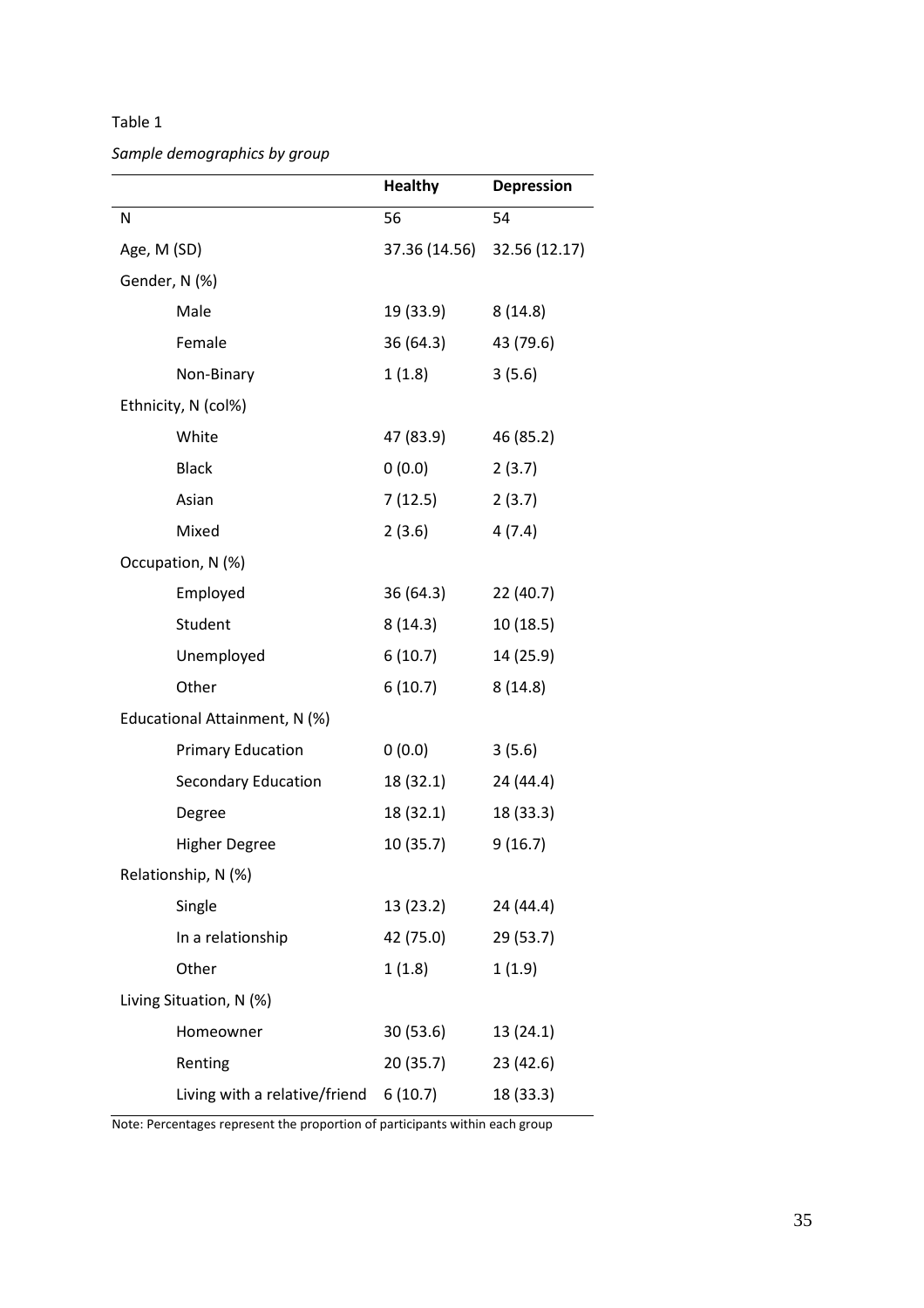*Sample demographics by group*

|                               | <b>Healthy</b> | <b>Depression</b> |
|-------------------------------|----------------|-------------------|
| N                             | 56             | 54                |
| Age, M (SD)                   | 37.36 (14.56)  | 32.56 (12.17)     |
| Gender, N (%)                 |                |                   |
| Male                          | 19 (33.9)      | 8(14.8)           |
| Female                        | 36 (64.3)      | 43 (79.6)         |
| Non-Binary                    | 1(1.8)         | 3(5.6)            |
| Ethnicity, N (col%)           |                |                   |
| White                         | 47 (83.9)      | 46 (85.2)         |
| <b>Black</b>                  | 0(0.0)         | 2(3.7)            |
| Asian                         | 7(12.5)        | 2(3.7)            |
| Mixed                         | 2(3.6)         | 4(7.4)            |
| Occupation, N (%)             |                |                   |
| Employed                      | 36 (64.3)      | 22(40.7)          |
| Student                       | 8(14.3)        | 10(18.5)          |
| Unemployed                    | 6(10.7)        | 14 (25.9)         |
| Other                         | 6(10.7)        | 8(14.8)           |
| Educational Attainment, N (%) |                |                   |
| <b>Primary Education</b>      | 0(0.0)         | 3(5.6)            |
| <b>Secondary Education</b>    | 18 (32.1)      | 24 (44.4)         |
| Degree                        | 18 (32.1)      | 18 (33.3)         |
| <b>Higher Degree</b>          | 10(35.7)       | 9(16.7)           |
| Relationship, N (%)           |                |                   |
| Single                        | 13 (23.2)      | 24 (44.4)         |
| In a relationship             | 42 (75.0)      | 29 (53.7)         |
| Other                         | 1(1.8)         | 1(1.9)            |
| Living Situation, N (%)       |                |                   |
| Homeowner                     | 30 (53.6)      | 13 (24.1)         |
| Renting                       | 20 (35.7)      | 23(42.6)          |
| Living with a relative/friend | 6(10.7)        | 18 (33.3)         |

Note: Percentages represent the proportion of participants within each group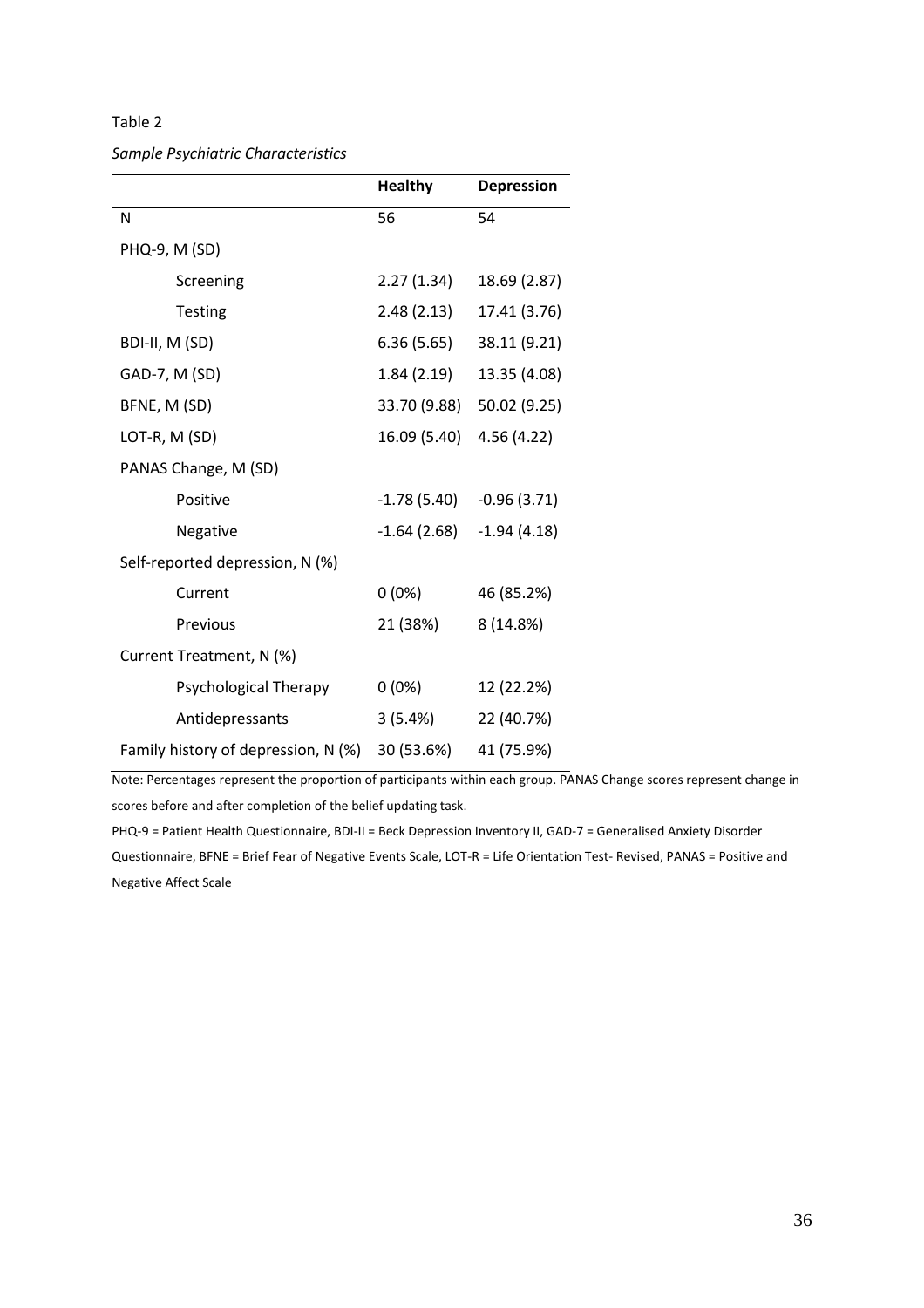# *Sample Psychiatric Characteristics*

|                                     | <b>Healthy</b> | <b>Depression</b> |
|-------------------------------------|----------------|-------------------|
| N                                   | 56             | 54                |
| PHQ-9, M (SD)                       |                |                   |
| Screening                           | 2.27(1.34)     | 18.69 (2.87)      |
| <b>Testing</b>                      | 2.48(2.13)     | 17.41 (3.76)      |
| BDI-II, M (SD)                      | 6.36(5.65)     | 38.11 (9.21)      |
| GAD-7, M (SD)                       | 1.84(2.19)     | 13.35 (4.08)      |
| BFNE, M (SD)                        | 33.70 (9.88)   | 50.02 (9.25)      |
| LOT-R, M (SD)                       | 16.09 (5.40)   | 4.56(4.22)        |
| PANAS Change, M (SD)                |                |                   |
| Positive                            | $-1.78(5.40)$  | $-0.96(3.71)$     |
| Negative                            | $-1.64(2.68)$  | $-1.94(4.18)$     |
| Self-reported depression, N (%)     |                |                   |
| Current                             | $0(0\%)$       | 46 (85.2%)        |
| Previous                            | 21 (38%)       | 8 (14.8%)         |
| Current Treatment, N (%)            |                |                   |
| Psychological Therapy               | $0(0\%)$       | 12 (22.2%)        |
| Antidepressants                     | 3(5.4%)        | 22 (40.7%)        |
| Family history of depression, N (%) | 30 (53.6%)     | 41 (75.9%)        |

Note: Percentages represent the proportion of participants within each group. PANAS Change scores represent change in scores before and after completion of the belief updating task.

PHQ-9 = Patient Health Questionnaire, BDI-II = Beck Depression Inventory II, GAD-7 = Generalised Anxiety Disorder Questionnaire, BFNE = Brief Fear of Negative Events Scale, LOT-R = Life Orientation Test- Revised, PANAS = Positive and Negative Affect Scale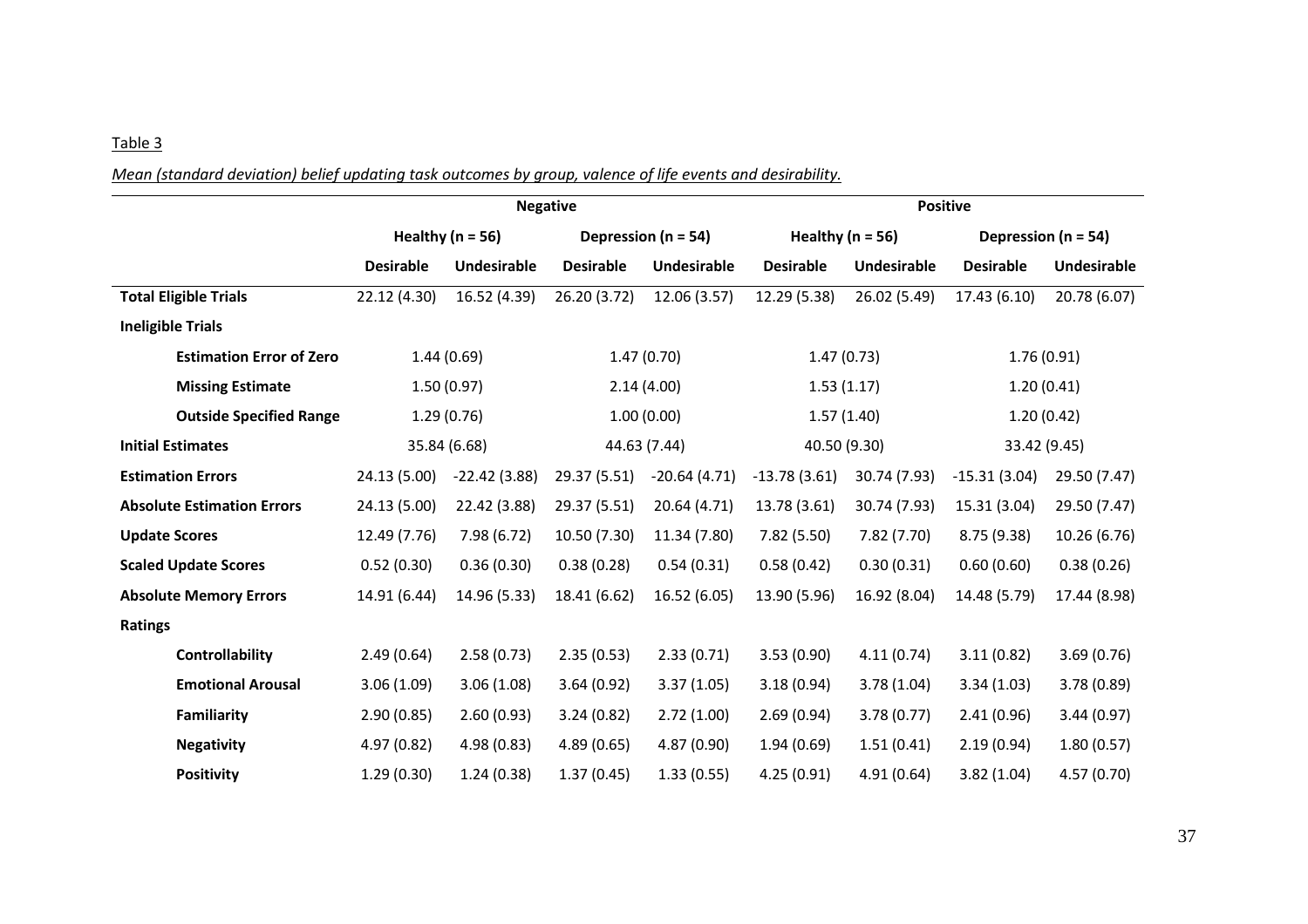*Mean (standard deviation) belief updating task outcomes by group, valence of life events and desirability.*

|                                   | <b>Negative</b>      |                |                         |                | <b>Positive</b>      |              |                         |              |
|-----------------------------------|----------------------|----------------|-------------------------|----------------|----------------------|--------------|-------------------------|--------------|
|                                   | Healthy ( $n = 56$ ) |                | Depression ( $n = 54$ ) |                | Healthy ( $n = 56$ ) |              | Depression ( $n = 54$ ) |              |
|                                   | <b>Desirable</b>     | Undesirable    | <b>Desirable</b>        | Undesirable    | <b>Desirable</b>     | Undesirable  | <b>Desirable</b>        | Undesirable  |
| <b>Total Eligible Trials</b>      | 22.12 (4.30)         | 16.52 (4.39)   | 26.20 (3.72)            | 12.06 (3.57)   | 12.29 (5.38)         | 26.02 (5.49) | 17.43 (6.10)            | 20.78 (6.07) |
| <b>Ineligible Trials</b>          |                      |                |                         |                |                      |              |                         |              |
| <b>Estimation Error of Zero</b>   | 1.44(0.69)           |                | 1.47(0.70)              |                | 1.47(0.73)           |              | 1.76(0.91)              |              |
| <b>Missing Estimate</b>           | 1.50(0.97)           |                | 2.14(4.00)              |                | 1.53(1.17)           |              | 1.20(0.41)              |              |
| <b>Outside Specified Range</b>    | 1.29(0.76)           |                | 1.00(0.00)              |                | 1.57(1.40)           |              | 1.20(0.42)              |              |
| <b>Initial Estimates</b>          | 35.84 (6.68)         |                | 44.63 (7.44)            |                | 40.50 (9.30)         |              | 33.42 (9.45)            |              |
| <b>Estimation Errors</b>          | 24.13 (5.00)         | $-22.42(3.88)$ | 29.37 (5.51)            | $-20.64(4.71)$ | $-13.78(3.61)$       | 30.74 (7.93) | $-15.31(3.04)$          | 29.50 (7.47) |
| <b>Absolute Estimation Errors</b> | 24.13 (5.00)         | 22.42 (3.88)   | 29.37 (5.51)            | 20.64 (4.71)   | 13.78 (3.61)         | 30.74 (7.93) | 15.31 (3.04)            | 29.50 (7.47) |
| <b>Update Scores</b>              | 12.49 (7.76)         | 7.98(6.72)     | 10.50 (7.30)            | 11.34 (7.80)   | 7.82(5.50)           | 7.82(7.70)   | 8.75 (9.38)             | 10.26 (6.76) |
| <b>Scaled Update Scores</b>       | 0.52(0.30)           | 0.36(0.30)     | 0.38(0.28)              | 0.54(0.31)     | 0.58(0.42)           | 0.30(0.31)   | 0.60(0.60)              | 0.38(0.26)   |
| <b>Absolute Memory Errors</b>     | 14.91 (6.44)         | 14.96 (5.33)   | 18.41 (6.62)            | 16.52 (6.05)   | 13.90 (5.96)         | 16.92 (8.04) | 14.48 (5.79)            | 17.44 (8.98) |
| <b>Ratings</b>                    |                      |                |                         |                |                      |              |                         |              |
| <b>Controllability</b>            | 2.49(0.64)           | 2.58(0.73)     | 2.35(0.53)              | 2.33(0.71)     | 3.53(0.90)           | 4.11(0.74)   | 3.11(0.82)              | 3.69(0.76)   |
| <b>Emotional Arousal</b>          | 3.06(1.09)           | 3.06(1.08)     | 3.64(0.92)              | 3.37(1.05)     | 3.18(0.94)           | 3.78(1.04)   | 3.34(1.03)              | 3.78(0.89)   |
| Familiarity                       | 2.90(0.85)           | 2.60(0.93)     | 3.24(0.82)              | 2.72(1.00)     | 2.69(0.94)           | 3.78(0.77)   | 2.41(0.96)              | 3.44(0.97)   |
| <b>Negativity</b>                 | 4.97 (0.82)          | 4.98(0.83)     | 4.89(0.65)              | 4.87(0.90)     | 1.94(0.69)           | 1.51(0.41)   | 2.19(0.94)              | 1.80(0.57)   |
| <b>Positivity</b>                 | 1.29(0.30)           | 1.24(0.38)     | 1.37(0.45)              | 1.33(0.55)     | 4.25(0.91)           | 4.91(0.64)   | 3.82(1.04)              | 4.57 (0.70)  |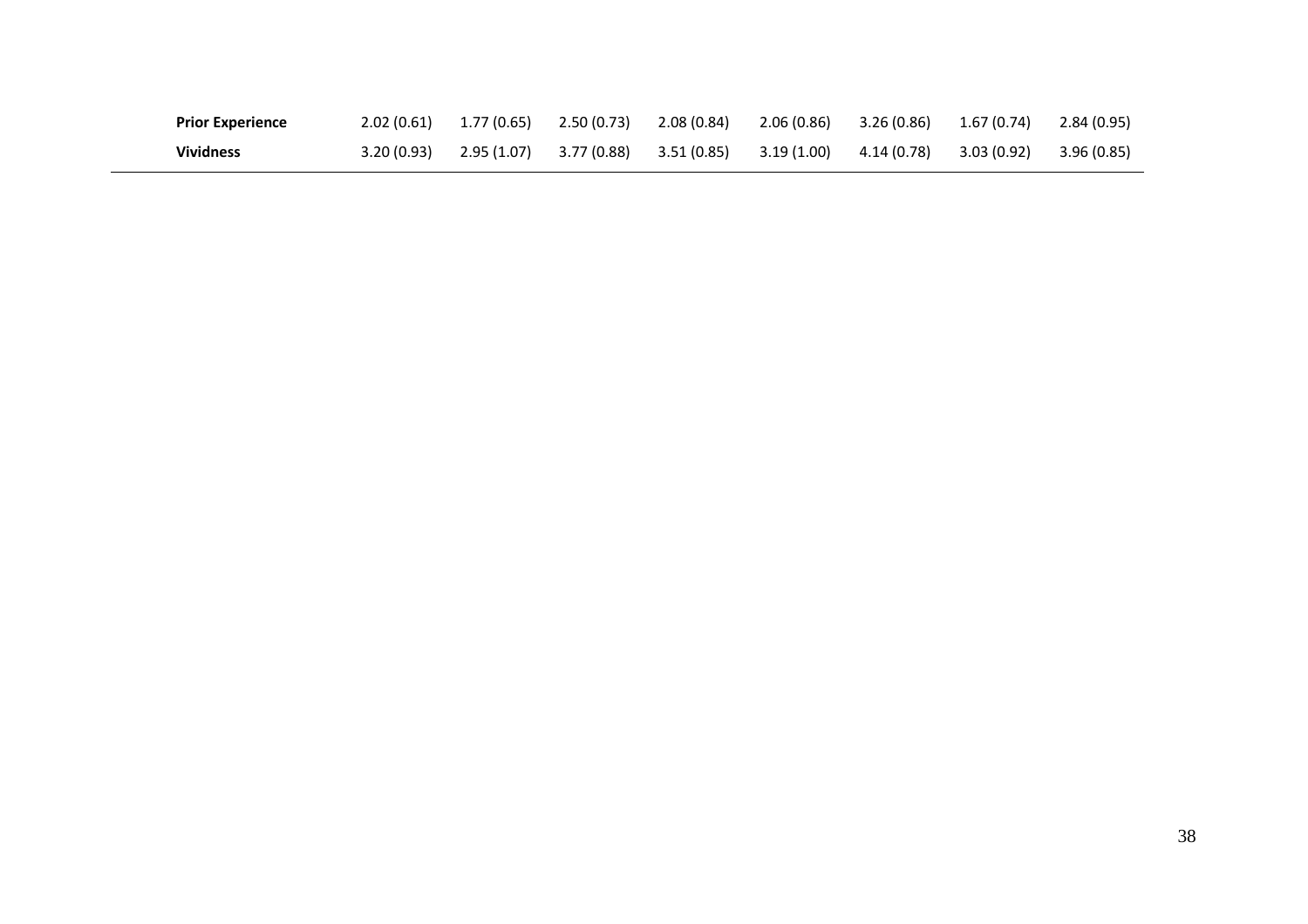| <b>Prior Experience</b> | $2.02(0.61)$ $1.77(0.65)$ | 2.50 (0.73) 2.08 (0.84) |                         | $2.06(0.86)$ $3.26(0.86)$ $1.67(0.74)$ |  | 2.84 (0.95) |
|-------------------------|---------------------------|-------------------------|-------------------------|----------------------------------------|--|-------------|
| <b>Vividness</b>        | $3.20(0.93)$ $2.95(1.07)$ |                         | 3.77 (0.88) 3.51 (0.85) | $3.19(1.00)$ $4.14(0.78)$ $3.03(0.92)$ |  | 3.96 (0.85) |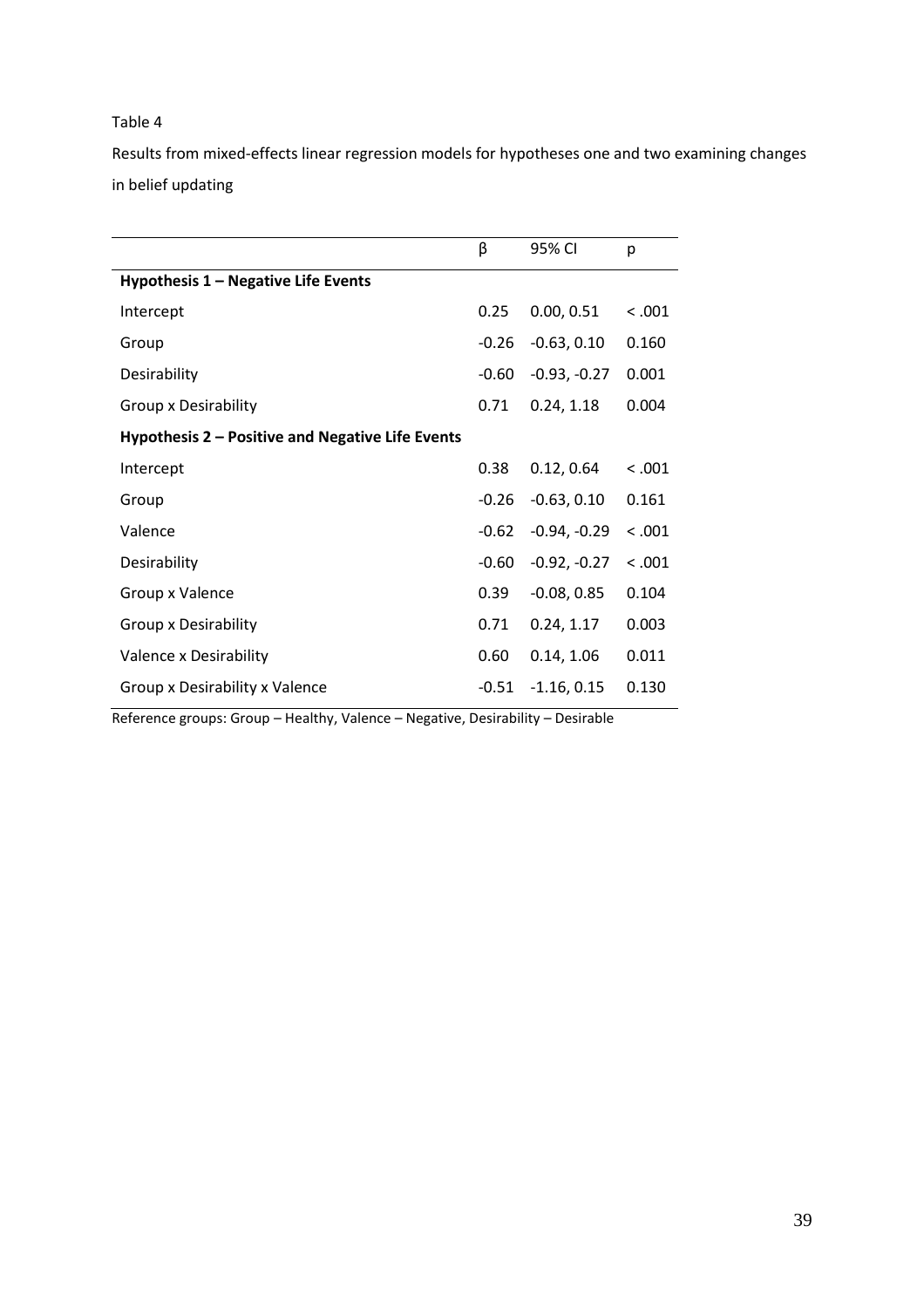Results from mixed-effects linear regression models for hypotheses one and two examining changes in belief updating

|                                                  | β       | 95% CI         | р       |
|--------------------------------------------------|---------|----------------|---------|
| Hypothesis 1 - Negative Life Events              |         |                |         |
| Intercept                                        | 0.25    | 0.00, 0.51     | < .001  |
| Group                                            | $-0.26$ | $-0.63, 0.10$  | 0.160   |
| Desirability                                     | $-0.60$ | $-0.93, -0.27$ | 0.001   |
| Group x Desirability                             | 0.71    | 0.24, 1.18     | 0.004   |
| Hypothesis 2 - Positive and Negative Life Events |         |                |         |
| Intercept                                        | 0.38    | 0.12, 0.64     | < 0.001 |
| Group                                            | $-0.26$ | $-0.63, 0.10$  | 0.161   |
| Valence                                          | $-0.62$ | $-0.94, -0.29$ | < 0.001 |
| Desirability                                     | $-0.60$ | $-0.92, -0.27$ | < .001  |
| Group x Valence                                  | 0.39    | $-0.08, 0.85$  | 0.104   |
| Group x Desirability                             | 0.71    | 0.24, 1.17     | 0.003   |
| Valence x Desirability                           | 0.60    | 0.14, 1.06     | 0.011   |
| Group x Desirability x Valence                   | $-0.51$ | $-1.16, 0.15$  | 0.130   |

Reference groups: Group – Healthy, Valence – Negative, Desirability – Desirable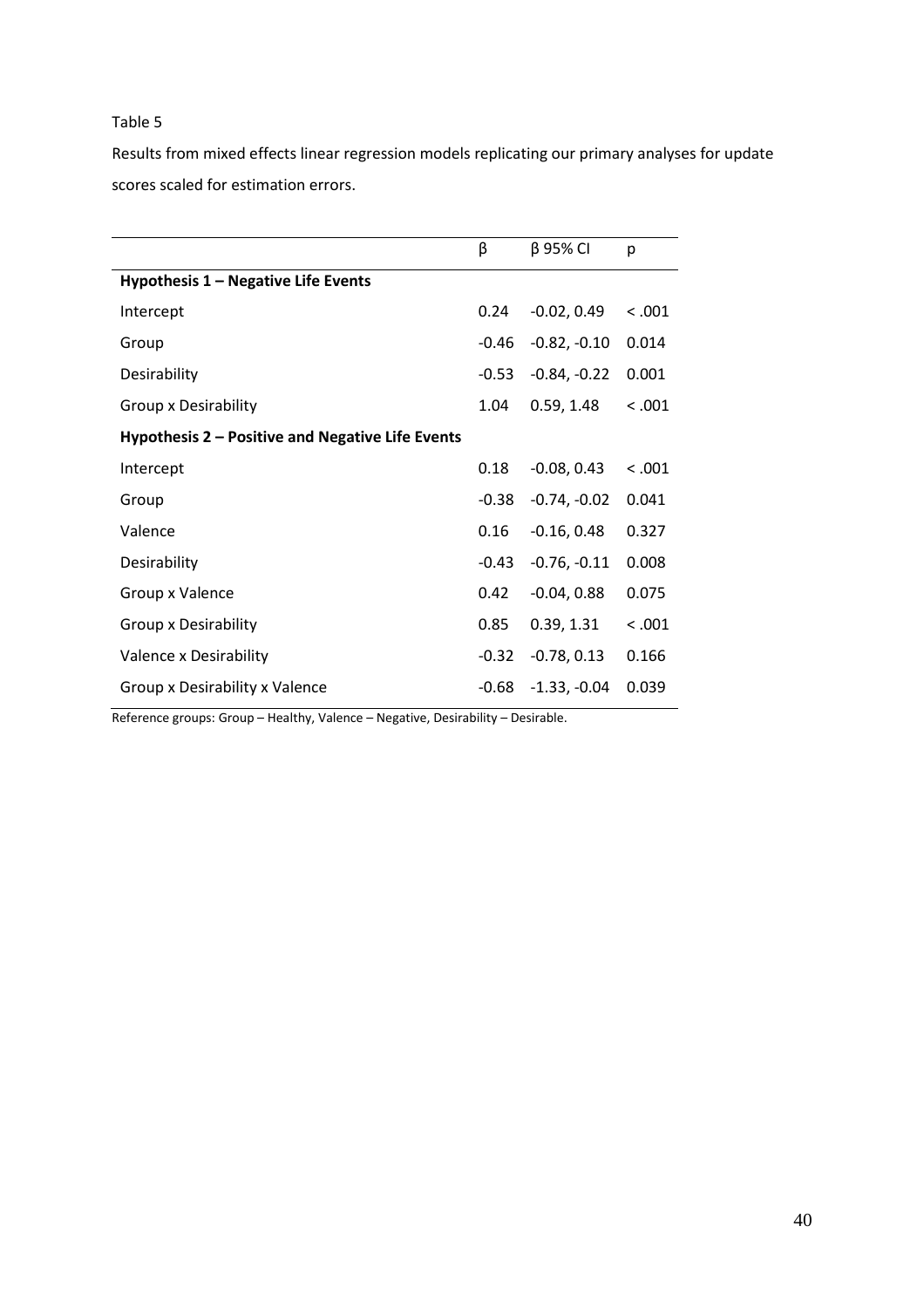Results from mixed effects linear regression models replicating our primary analyses for update scores scaled for estimation errors.

|                                                  | β       | $\beta$ 95% CI | p       |
|--------------------------------------------------|---------|----------------|---------|
| Hypothesis 1 - Negative Life Events              |         |                |         |
| Intercept                                        | 0.24    | $-0.02, 0.49$  | < 0.001 |
| Group                                            | $-0.46$ | $-0.82, -0.10$ | 0.014   |
| Desirability                                     | $-0.53$ | $-0.84, -0.22$ | 0.001   |
| Group x Desirability                             | 1.04    | 0.59, 1.48     | < 0.001 |
| Hypothesis 2 – Positive and Negative Life Events |         |                |         |
| Intercept                                        | 0.18    | $-0.08, 0.43$  | < .001  |
| Group                                            | $-0.38$ | $-0.74, -0.02$ | 0.041   |
| Valence                                          | 0.16    | $-0.16, 0.48$  | 0.327   |
| Desirability                                     | $-0.43$ | $-0.76, -0.11$ | 0.008   |
| Group x Valence                                  | 0.42    | $-0.04, 0.88$  | 0.075   |
| Group x Desirability                             | 0.85    | 0.39, 1.31     | < 0.001 |
| Valence x Desirability                           | $-0.32$ | $-0.78, 0.13$  | 0.166   |
| Group x Desirability x Valence                   | $-0.68$ | $-1.33, -0.04$ | 0.039   |
|                                                  |         |                |         |

Reference groups: Group – Healthy, Valence – Negative, Desirability – Desirable.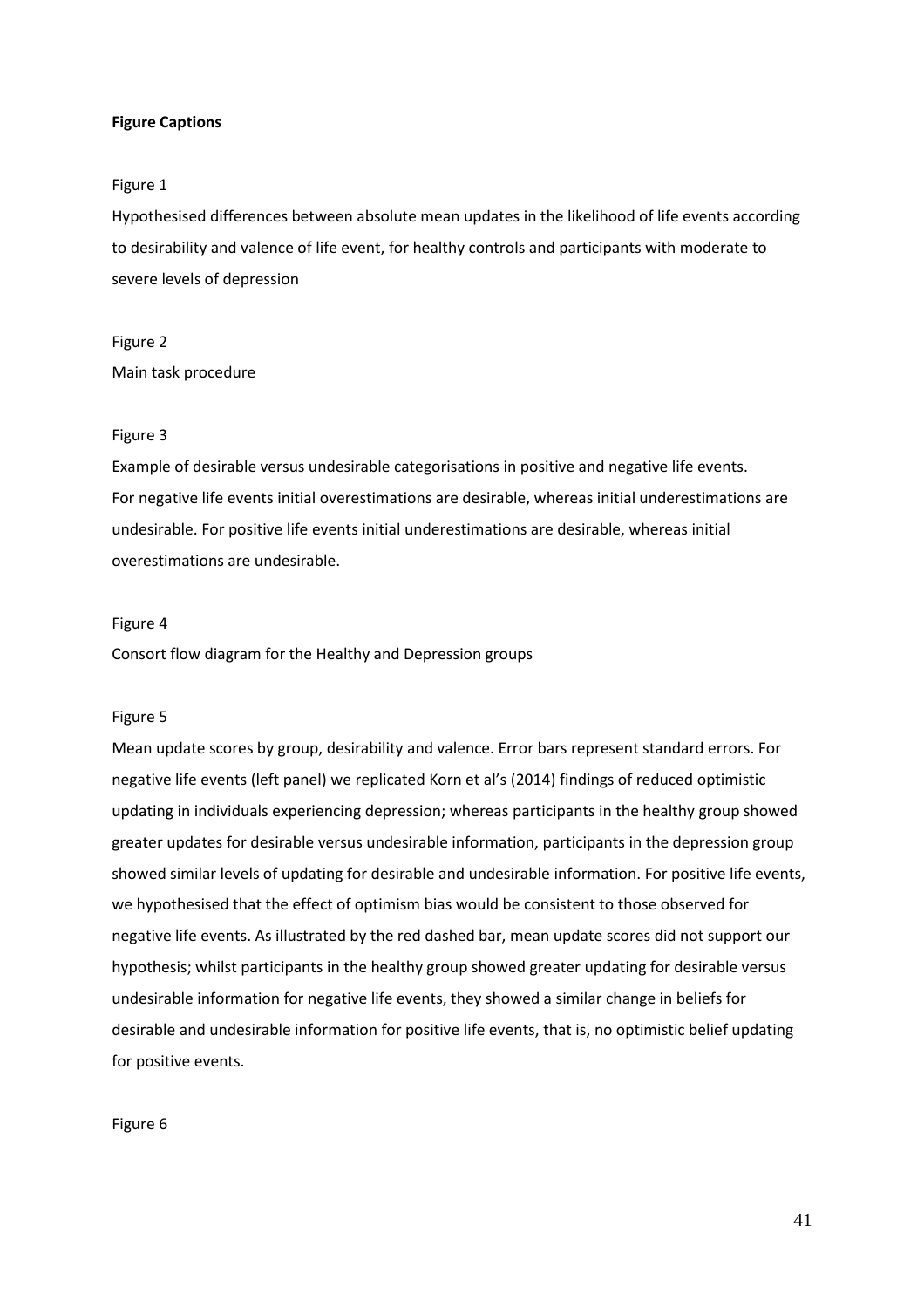# **Figure Captions**

### Figure 1

Hypothesised differences between absolute mean updates in the likelihood of life events according to desirability and valence of life event, for healthy controls and participants with moderate to severe levels of depression

# Figure 2 Main task procedure

### Figure 3

Example of desirable versus undesirable categorisations in positive and negative life events. For negative life events initial overestimations are desirable, whereas initial underestimations are undesirable. For positive life events initial underestimations are desirable, whereas initial overestimations are undesirable.

## Figure 4

Consort flow diagram for the Healthy and Depression groups

# Figure 5

Mean update scores by group, desirability and valence. Error bars represent standard errors. For negative life events (left panel) we replicated Korn et al's (2014) findings of reduced optimistic updating in individuals experiencing depression; whereas participants in the healthy group showed greater updates for desirable versus undesirable information, participants in the depression group showed similar levels of updating for desirable and undesirable information. For positive life events, we hypothesised that the effect of optimism bias would be consistent to those observed for negative life events. As illustrated by the red dashed bar, mean update scores did not support our hypothesis; whilst participants in the healthy group showed greater updating for desirable versus undesirable information for negative life events, they showed a similar change in beliefs for desirable and undesirable information for positive life events, that is, no optimistic belief updating for positive events.

Figure 6